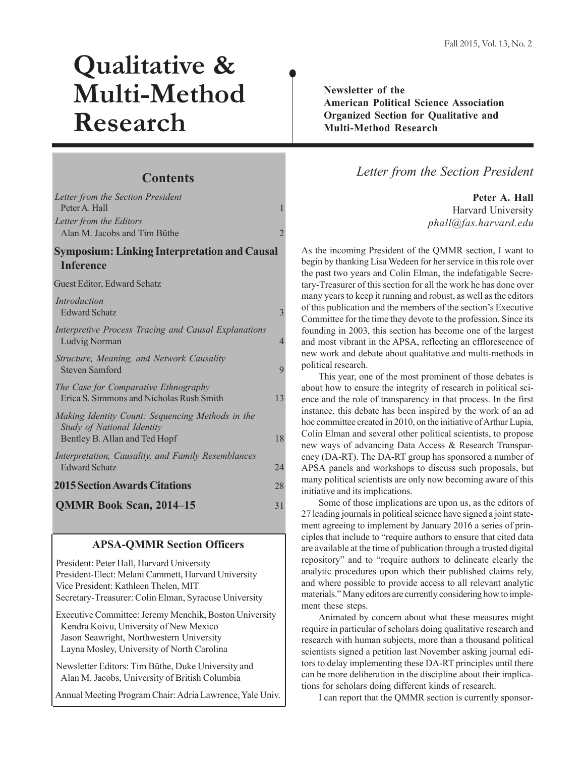# **Qualitative & Multi-Method Research**

## **Contents**

| Letter from the Section President<br>Peter A Hall<br>Letter from the Editors                                    | 1              |
|-----------------------------------------------------------------------------------------------------------------|----------------|
| Alan M. Jacobs and Tim Büthe                                                                                    | $\overline{2}$ |
| <b>Symposium: Linking Interpretation and Causal</b><br><b>Inference</b>                                         |                |
| Guest Editor, Edward Schatz                                                                                     |                |
| Introduction<br><b>Edward Schatz</b>                                                                            | $\mathcal{E}$  |
| Interpretive Process Tracing and Causal Explanations<br>Ludvig Norman                                           | 4              |
| Structure, Meaning, and Network Causality<br><b>Steven Samford</b>                                              | $\mathbf Q$    |
| The Case for Comparative Ethnography<br>Erica S. Simmons and Nicholas Rush Smith                                | 13             |
| Making Identity Count: Sequencing Methods in the<br>Study of National Identity<br>Bentley B. Allan and Ted Hopf | 18             |
| Interpretation, Causality, and Family Resemblances<br><b>Edward Schatz</b>                                      | 24             |
| <b>2015 Section Awards Citations</b>                                                                            | 28             |
| <b>QMMR Book Scan, 2014-15</b>                                                                                  | 31             |

## **APSA-QMMR Section Officers**

 President: Peter Hall, Harvard University President-Elect: Melani Cammett, Harvard University Vice President: Kathleen Thelen, MIT Secretary-Treasurer: Colin Elman, Syracuse University

 Executive Committee: Jeremy Menchik, Boston University Kendra Koivu, University of New Mexico Jason Seawright, Northwestern University Layna Mosley, University of North Carolina

 Newsletter Editors: Tim Büthe, Duke University and Alan M. Jacobs, University of British Columbia

Annual Meeting Program Chair: Adria Lawrence, Yale Univ.

**Newsletter of the American Political Science Association Organized Section for Qualitative and Multi-Method Research**

## *Letter from the Section President*

**Peter A. Hall** Harvard University *phall@fas.harvard.edu*

As the incoming President of the QMMR section, I want to begin by thanking Lisa Wedeen for her service in this role over the past two years and Colin Elman, the indefatigable Secretary-Treasurer of this section for all the work he has done over many years to keep it running and robust, as well as the editors of this publication and the members of the section's Executive Committee for the time they devote to the profession. Since its founding in 2003, this section has become one of the largest and most vibrant in the APSA, reflecting an efflorescence of new work and debate about qualitative and multi-methods in political research.

This year, one of the most prominent of those debates is about how to ensure the integrity of research in political science and the role of transparency in that process. In the first instance, this debate has been inspired by the work of an ad hoc committee created in 2010, on the initiative of Arthur Lupia, Colin Elman and several other political scientists, to propose new ways of advancing Data Access & Research Transparency (DA-RT). The DA-RT group has sponsored a number of APSA panels and workshops to discuss such proposals, but many political scientists are only now becoming aware of this initiative and its implications.

Some of those implications are upon us, as the editors of 27 leading journals in political science have signed a joint statement agreeing to implement by January 2016 a series of principles that include to "require authors to ensure that cited data are available at the time of publication through a trusted digital repository" and to "require authors to delineate clearly the analytic procedures upon which their published claims rely, and where possible to provide access to all relevant analytic materials." Many editors are currently considering how to implement these steps.

Animated by concern about what these measures might require in particular of scholars doing qualitative research and research with human subjects, more than a thousand political scientists signed a petition last November asking journal editors to delay implementing these DA-RT principles until there can be more deliberation in the discipline about their implications for scholars doing different kinds of research.

I can report that the QMMR section is currently sponsor-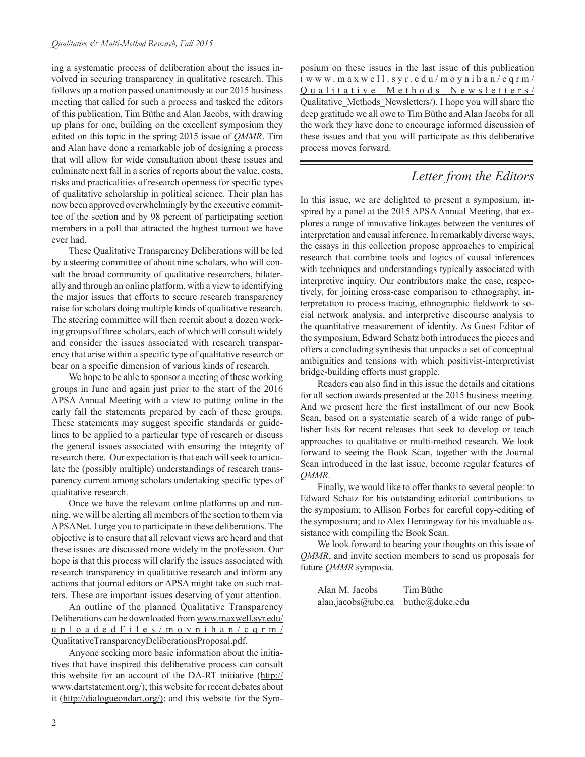ing a systematic process of deliberation about the issues involved in securing transparency in qualitative research. This follows up a motion passed unanimously at our 2015 business meeting that called for such a process and tasked the editors of this publication, Tim Büthe and Alan Jacobs, with drawing up plans for one, building on the excellent symposium they edited on this topic in the spring 2015 issue of *QMMR*. Tim and Alan have done a remarkable job of designing a process that will allow for wide consultation about these issues and culminate next fall in a series of reports about the value, costs, risks and practicalities of research openness for specific types of qualitative scholarship in political science. Their plan has now been approved overwhelmingly by the executive committee of the section and by 98 percent of participating section members in a poll that attracted the highest turnout we have ever had.

These Qualitative Transparency Deliberations will be led by a steering committee of about nine scholars, who will consult the broad community of qualitative researchers, bilaterally and through an online platform, with a view to identifying the major issues that efforts to secure research transparency raise for scholars doing multiple kinds of qualitative research. The steering committee will then recruit about a dozen working groups of three scholars, each of which will consult widely and consider the issues associated with research transparency that arise within a specific type of qualitative research or bear on a specific dimension of various kinds of research.

We hope to be able to sponsor a meeting of these working groups in June and again just prior to the start of the 2016 APSA Annual Meeting with a view to putting online in the early fall the statements prepared by each of these groups. These statements may suggest specific standards or guidelines to be applied to a particular type of research or discuss the general issues associated with ensuring the integrity of research there. Our expectation is that each will seek to articulate the (possibly multiple) understandings of research transparency current among scholars undertaking specific types of qualitative research.

Once we have the relevant online platforms up and running, we will be alerting all members of the section to them via APSANet. I urge you to participate in these deliberations. The objective is to ensure that all relevant views are heard and that these issues are discussed more widely in the profession. Our hope is that this process will clarify the issues associated with research transparency in qualitative research and inform any actions that journal editors or APSA might take on such matters. These are important issues deserving of your attention.

An outline of the planned Qualitative Transparency [Deliberations can be downloaded from www.maxwell.syr.edu/](http://www.maxwell.syr.edu/uploadedFiles/moynihan/cqrm/QualitativeTransparencyDeliberationsProposal.pdf) uploadedFiles/moynihan/cqrm/ QualitativeTransparencyDeliberationsProposal.pdf.

Anyone seeking more basic information about the initiatives that have inspired this deliberative process can consult this website for an account of the DA-RT initiative (http:// www.dartstatement.org/); this website for recent debates about it (http://dialogueondart.org/); and this website for the Symposium on these issues in the last issue of this publication ( www .maxwell.syr .edu/moynihan/cqrm/ [Qualitative\\_Methods\\_Newsletters/](http://www.maxwell.syr.edu/moynihan/cqrm/Qualitative_Methods_Newsletters/Qualitative_Methods_Newsletters/) Qualitative\_Methods\_Newsletters/). I hope you will share the deep gratitude we all owe to Tim Büthe and Alan Jacobs for all the work they have done to encourage informed discussion of these issues and that you will participate as this deliberative process moves forward.

## *Letter from the Editors*

In this issue, we are delighted to present a symposium, inspired by a panel at the 2015 APSA Annual Meeting, that explores a range of innovative linkages between the ventures of interpretation and causal inference. In remarkably diverse ways, the essays in this collection propose approaches to empirical research that combine tools and logics of causal inferences with techniques and understandings typically associated with interpretive inquiry. Our contributors make the case, respectively, for joining cross-case comparison to ethnography, interpretation to process tracing, ethnographic fieldwork to social network analysis, and interpretive discourse analysis to the quantitative measurement of identity. As Guest Editor of the symposium, Edward Schatz both introduces the pieces and offers a concluding synthesis that unpacks a set of conceptual ambiguities and tensions with which positivist-interpretivist bridge-building efforts must grapple.

Readers can also find in this issue the details and citations for all section awards presented at the 2015 business meeting. And we present here the first installment of our new Book Scan, based on a systematic search of a wide range of publisher lists for recent releases that seek to develop or teach approaches to qualitative or multi-method research. We look forward to seeing the Book Scan, together with the Journal Scan introduced in the last issue, become regular features of *QMMR*.

Finally, we would like to offer thanks to several people: to Edward Schatz for his outstanding editorial contributions to the symposium; to Allison Forbes for careful copy-editing of the symposium; and to Alex Hemingway for his invaluable assistance with compiling the Book Scan.

We look forward to hearing your thoughts on this issue of *QMMR*, and invite section members to send us proposals for future *QMMR* symposia.

| Alan M. Jacobs     | Tim Büthe      |
|--------------------|----------------|
| alan.jacobs@ubc.ca | buthe@duke.edu |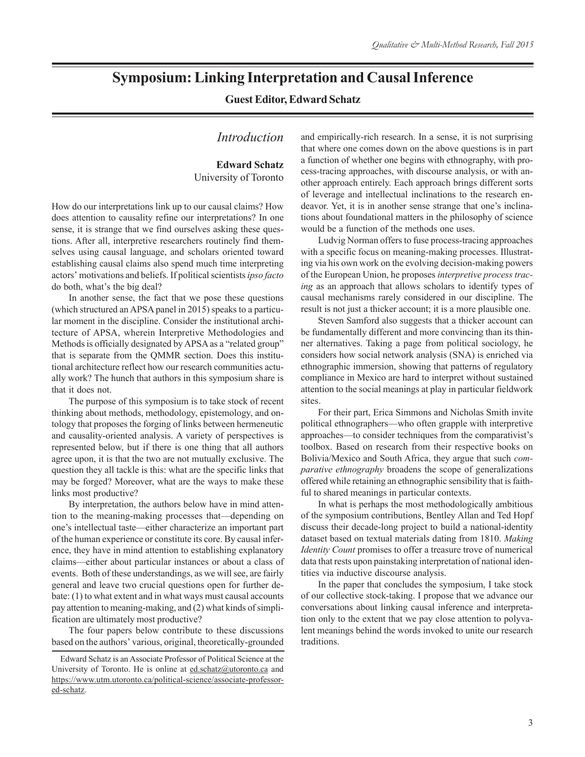## **Symposium: Linking Interpretation and Causal Inference**

## **Guest Editor, Edward Schatz**

## *Introduction*

### **Edward Schatz** University of Toronto

How do our interpretations link up to our causal claims? How does attention to causality refine our interpretations? In one sense, it is strange that we find ourselves asking these questions. After all, interpretive researchers routinely find themselves using causal language, and scholars oriented toward establishing causal claims also spend much time interpreting actors' motivations and beliefs. If political scientists *ipso facto* do both, what's the big deal?

In another sense, the fact that we pose these questions (which structured an APSA panel in 2015) speaks to a particular moment in the discipline. Consider the institutional architecture of APSA, wherein Interpretive Methodologies and Methods is officially designated by APSA as a "related group" that is separate from the QMMR section. Does this institutional architecture reflect how our research communities actually work? The hunch that authors in this symposium share is that it does not.

The purpose of this symposium is to take stock of recent thinking about methods, methodology, epistemology, and ontology that proposes the forging of links between hermeneutic and causality-oriented analysis. A variety of perspectives is represented below, but if there is one thing that all authors agree upon, it is that the two are not mutually exclusive. The question they all tackle is this: what are the specific links that may be forged? Moreover, what are the ways to make these links most productive?

By interpretation, the authors below have in mind attention to the meaning-making processes that—depending on one's intellectual taste—either characterize an important part of the human experience or constitute its core. By causal inference, they have in mind attention to establishing explanatory claims—either about particular instances or about a class of events. Both of these understandings, as we will see, are fairly general and leave two crucial questions open for further debate: (1) to what extent and in what ways must causal accounts pay attention to meaning-making, and (2) what kinds of simplification are ultimately most productive?

The four papers below contribute to these discussions based on the authors' various, original, theoretically-grounded and empirically-rich research. In a sense, it is not surprising that where one comes down on the above questions is in part a function of whether one begins with ethnography, with process-tracing approaches, with discourse analysis, or with another approach entirely. Each approach brings different sorts of leverage and intellectual inclinations to the research endeavor. Yet, it is in another sense strange that one's inclinations about foundational matters in the philosophy of science would be a function of the methods one uses.

Ludvig Norman offers to fuse process-tracing approaches with a specific focus on meaning-making processes. Illustrating via his own work on the evolving decision-making powers of the European Union, he proposes *interpretive process tracing* as an approach that allows scholars to identify types of causal mechanisms rarely considered in our discipline. The result is not just a thicker account; it is a more plausible one.

Steven Samford also suggests that a thicker account can be fundamentally different and more convincing than its thinner alternatives. Taking a page from political sociology, he considers how social network analysis (SNA) is enriched via ethnographic immersion, showing that patterns of regulatory compliance in Mexico are hard to interpret without sustained attention to the social meanings at play in particular fieldwork sites.

For their part, Erica Simmons and Nicholas Smith invite political ethnographers—who often grapple with interpretive approaches—to consider techniques from the comparativist's toolbox. Based on research from their respective books on Bolivia/Mexico and South Africa, they argue that such *comparative ethnography* broadens the scope of generalizations offered while retaining an ethnographic sensibility that is faithful to shared meanings in particular contexts.

In what is perhaps the most methodologically ambitious of the symposium contributions, Bentley Allan and Ted Hopf discuss their decade-long project to build a national-identity dataset based on textual materials dating from 1810. *Making Identity Count* promises to offer a treasure trove of numerical data that rests upon painstaking interpretation of national identities via inductive discourse analysis.

In the paper that concludes the symposium, I take stock of our collective stock-taking. I propose that we advance our conversations about linking causal inference and interpretation only to the extent that we pay close attention to polyvalent meanings behind the words invoked to unite our research traditions.

Edward Schatz is an Associate Professor of Political Science at the University of Toronto. He is online at ed.schatz@utoronto.ca and https://www.utm.utoronto.ca/political-science/associate-professored-schatz.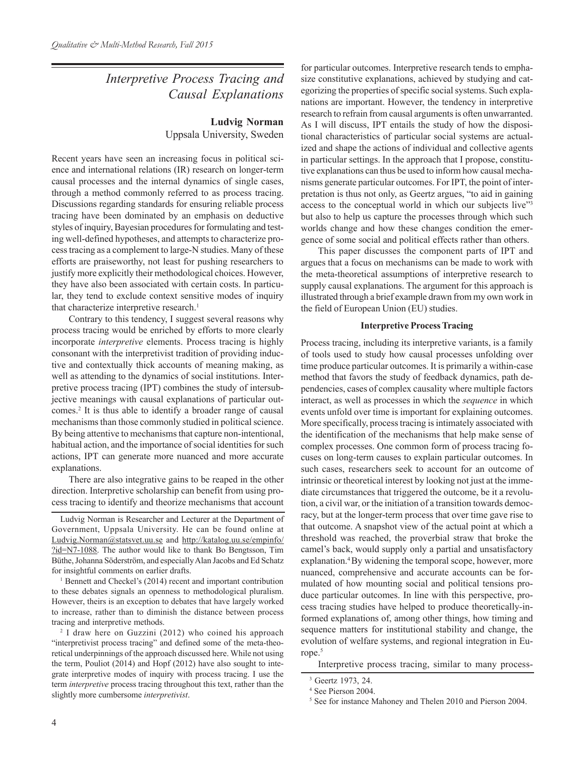## *Interpretive Process Tracing and Causal Explanations*

## **Ludvig Norman** Uppsala University, Sweden

Recent years have seen an increasing focus in political science and international relations (IR) research on longer-term causal processes and the internal dynamics of single cases, through a method commonly referred to as process tracing. Discussions regarding standards for ensuring reliable process tracing have been dominated by an emphasis on deductive styles of inquiry, Bayesian procedures for formulating and testing well-defined hypotheses, and attempts to characterize process tracing as a complement to large-N studies. Many of these efforts are praiseworthy, not least for pushing researchers to justify more explicitly their methodological choices. However, they have also been associated with certain costs. In particular, they tend to exclude context sensitive modes of inquiry that characterize interpretive research.<sup>1</sup>

Contrary to this tendency, I suggest several reasons why process tracing would be enriched by efforts to more clearly incorporate *interpretive* elements. Process tracing is highly consonant with the interpretivist tradition of providing inductive and contextually thick accounts of meaning making, as well as attending to the dynamics of social institutions. Interpretive process tracing (IPT) combines the study of intersubjective meanings with causal explanations of particular outcomes.2 It is thus able to identify a broader range of causal mechanisms than those commonly studied in political science. By being attentive to mechanisms that capture non-intentional, habitual action, and the importance of social identities for such actions, IPT can generate more nuanced and more accurate explanations.

There are also integrative gains to be reaped in the other direction. Interpretive scholarship can benefit from using process tracing to identify and theorize mechanisms that account

Ludvig Norman is Researcher and Lecturer at the Department of Government, Uppsala University. He can be found online at [Ludvig.Norman@statsvet.uu.se and http://katalog.uu.se/empinfo/](http://katalog.uu.se/empinfo/?id=N7-1088) ?id=N7-1088. The author would like to thank Bo Bengtsson, Tim Büthe, Johanna Söderström, and especially Alan Jacobs and Ed Schatz for insightful comments on earlier drafts.

1 Bennett and Checkel's (2014) recent and important contribution to these debates signals an openness to methodological pluralism. However, theirs is an exception to debates that have largely worked to increase, rather than to diminish the distance between process tracing and interpretive methods.

2 I draw here on Guzzini (2012) who coined his approach "interpretivist process tracing" and defined some of the meta-theoretical underpinnings of the approach discussed here. While not using the term, Pouliot (2014) and Hopf (2012) have also sought to integrate interpretive modes of inquiry with process tracing. I use the term *interpretive* process tracing throughout this text, rather than the slightly more cumbersome *interpretivist*.

for particular outcomes. Interpretive research tends to emphasize constitutive explanations, achieved by studying and categorizing the properties of specific social systems. Such explanations are important. However, the tendency in interpretive research to refrain from causal arguments is often unwarranted. As I will discuss, IPT entails the study of how the dispositional characteristics of particular social systems are actualized and shape the actions of individual and collective agents in particular settings. In the approach that I propose, constitutive explanations can thus be used to inform how causal mechanisms generate particular outcomes. For IPT, the point of interpretation is thus not only, as Geertz argues, "to aid in gaining access to the conceptual world in which our subjects live"3 but also to help us capture the processes through which such worlds change and how these changes condition the emergence of some social and political effects rather than others.

This paper discusses the component parts of IPT and argues that a focus on mechanisms can be made to work with the meta-theoretical assumptions of interpretive research to supply causal explanations. The argument for this approach is illustrated through a brief example drawn from my own work in the field of European Union (EU) studies.

#### **Interpretive Process Tracing**

Process tracing, including its interpretive variants, is a family of tools used to study how causal processes unfolding over time produce particular outcomes. It is primarily a within-case method that favors the study of feedback dynamics, path dependencies, cases of complex causality where multiple factors interact, as well as processes in which the *sequence* in which events unfold over time is important for explaining outcomes. More specifically, process tracing is intimately associated with the identification of the mechanisms that help make sense of complex processes. One common form of process tracing focuses on long-term causes to explain particular outcomes. In such cases, researchers seek to account for an outcome of intrinsic or theoretical interest by looking not just at the immediate circumstances that triggered the outcome, be it a revolution, a civil war, or the initiation of a transition towards democracy, but at the longer-term process that over time gave rise to that outcome. A snapshot view of the actual point at which a threshold was reached, the proverbial straw that broke the camel's back, would supply only a partial and unsatisfactory explanation.<sup>4</sup> By widening the temporal scope, however, more nuanced, comprehensive and accurate accounts can be formulated of how mounting social and political tensions produce particular outcomes. In line with this perspective, process tracing studies have helped to produce theoretically-informed explanations of, among other things, how timing and sequence matters for institutional stability and change, the evolution of welfare systems, and regional integration in Europe.<sup>5</sup>

Interpretive process tracing, similar to many process-

<sup>3</sup> Geertz 1973, 24.

<sup>4</sup> See Pierson 2004.

<sup>&</sup>lt;sup>5</sup> See for instance Mahoney and Thelen 2010 and Pierson 2004.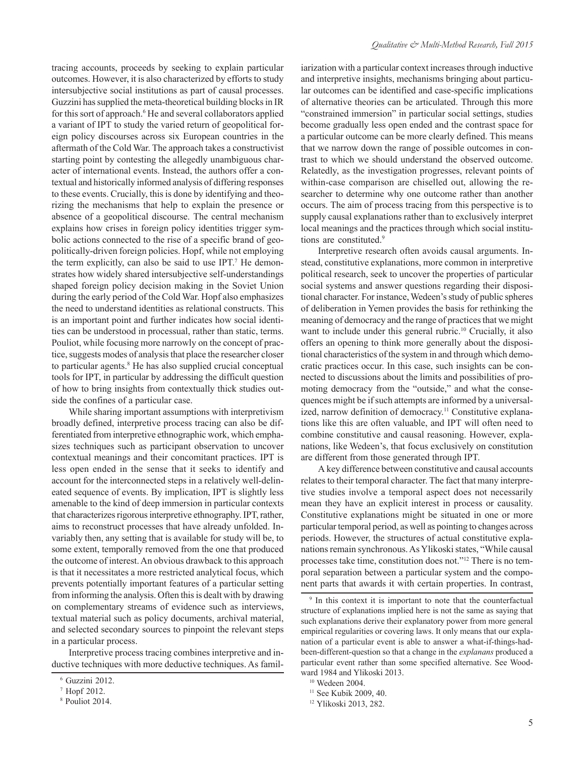tracing accounts, proceeds by seeking to explain particular outcomes. However, it is also characterized by efforts to study intersubjective social institutions as part of causal processes. Guzzini has supplied the meta-theoretical building blocks in IR for this sort of approach.<sup>6</sup> He and several collaborators applied a variant of IPT to study the varied return of geopolitical foreign policy discourses across six European countries in the aftermath of the Cold War. The approach takes a constructivist starting point by contesting the allegedly unambiguous character of international events. Instead, the authors offer a contextual and historically informed analysis of differing responses to these events. Crucially, this is done by identifying and theorizing the mechanisms that help to explain the presence or absence of a geopolitical discourse. The central mechanism explains how crises in foreign policy identities trigger symbolic actions connected to the rise of a specific brand of geopolitically-driven foreign policies. Hopf, while not employing the term explicitly, can also be said to use IPT.<sup>7</sup> He demonstrates how widely shared intersubjective self-understandings shaped foreign policy decision making in the Soviet Union during the early period of the Cold War. Hopf also emphasizes the need to understand identities as relational constructs. This is an important point and further indicates how social identities can be understood in processual, rather than static, terms. Pouliot, while focusing more narrowly on the concept of practice, suggests modes of analysis that place the researcher closer to particular agents.<sup>8</sup> He has also supplied crucial conceptual tools for IPT, in particular by addressing the difficult question of how to bring insights from contextually thick studies outside the confines of a particular case.

While sharing important assumptions with interpretivism broadly defined, interpretive process tracing can also be differentiated from interpretive ethnographic work, which emphasizes techniques such as participant observation to uncover contextual meanings and their concomitant practices. IPT is less open ended in the sense that it seeks to identify and account for the interconnected steps in a relatively well-delineated sequence of events. By implication, IPT is slightly less amenable to the kind of deep immersion in particular contexts that characterizes rigorous interpretive ethnography. IPT, rather, aims to reconstruct processes that have already unfolded. Invariably then, any setting that is available for study will be, to some extent, temporally removed from the one that produced the outcome of interest. An obvious drawback to this approach is that it necessitates a more restricted analytical focus, which prevents potentially important features of a particular setting from informing the analysis. Often this is dealt with by drawing on complementary streams of evidence such as interviews, textual material such as policy documents, archival material, and selected secondary sources to pinpoint the relevant steps in a particular process.

Interpretive process tracing combines interpretive and inductive techniques with more deductive techniques. As familiarization with a particular context increases through inductive and interpretive insights, mechanisms bringing about particular outcomes can be identified and case-specific implications of alternative theories can be articulated. Through this more "constrained immersion" in particular social settings, studies become gradually less open ended and the contrast space for a particular outcome can be more clearly defined. This means that we narrow down the range of possible outcomes in contrast to which we should understand the observed outcome. Relatedly, as the investigation progresses, relevant points of within-case comparison are chiselled out, allowing the researcher to determine why one outcome rather than another occurs. The aim of process tracing from this perspective is to supply causal explanations rather than to exclusively interpret local meanings and the practices through which social institutions are constituted.<sup>9</sup>

Interpretive research often avoids causal arguments. Instead, constitutive explanations, more common in interpretive political research, seek to uncover the properties of particular social systems and answer questions regarding their dispositional character. For instance, Wedeen's study of public spheres of deliberation in Yemen provides the basis for rethinking the meaning of democracy and the range of practices that we might want to include under this general rubric.<sup>10</sup> Crucially, it also offers an opening to think more generally about the dispositional characteristics of the system in and through which democratic practices occur. In this case, such insights can be connected to discussions about the limits and possibilities of promoting democracy from the "outside," and what the consequences might be if such attempts are informed by a universalized, narrow definition of democracy.<sup>11</sup> Constitutive explanations like this are often valuable, and IPT will often need to combine constitutive and causal reasoning. However, explanations, like Wedeen's, that focus exclusively on constitution are different from those generated through IPT.

A key difference between constitutive and causal accounts relates to their temporal character. The fact that many interpretive studies involve a temporal aspect does not necessarily mean they have an explicit interest in process or causality. Constitutive explanations might be situated in one or more particular temporal period, as well as pointing to changes across periods. However, the structures of actual constitutive explanations remain synchronous. As Ylikoski states, "While causal processes take time, constitution does not."12 There is no temporal separation between a particular system and the component parts that awards it with certain properties. In contrast,

<sup>6</sup> Guzzini 2012.

<sup>7</sup> Hopf 2012.

<sup>8</sup> Pouliot 2014.

<sup>9</sup> In this context it is important to note that the counterfactual structure of explanations implied here is not the same as saying that such explanations derive their explanatory power from more general empirical regularities or covering laws. It only means that our explanation of a particular event is able to answer a what-if-things-hadbeen-different-question so that a change in the *explanans* produced a particular event rather than some specified alternative. See Woodward 1984 and Ylikoski 2013.

<sup>10</sup> Wedeen 2004.

<sup>&</sup>lt;sup>11</sup> See Kubik 2009, 40.

<sup>12</sup> Ylikoski 2013, 282.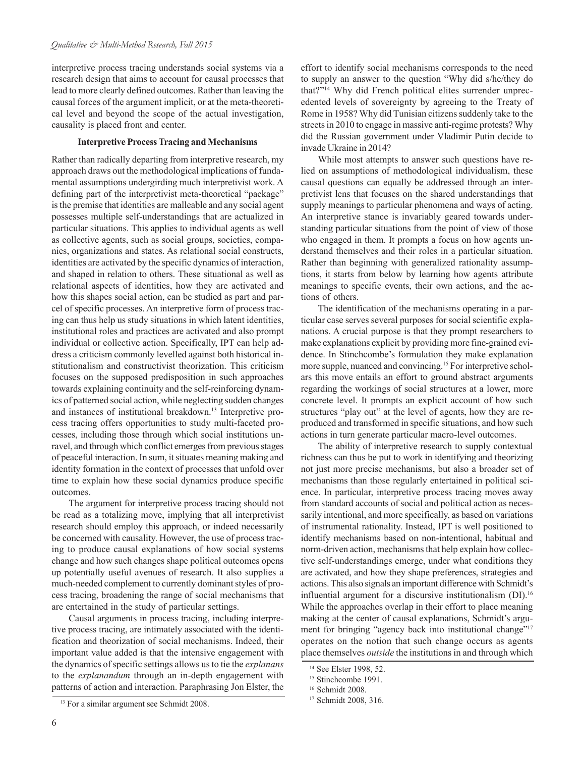interpretive process tracing understands social systems via a research design that aims to account for causal processes that lead to more clearly defined outcomes. Rather than leaving the causal forces of the argument implicit, or at the meta-theoretical level and beyond the scope of the actual investigation, causality is placed front and center.

#### **Interpretive Process Tracing and Mechanisms**

Rather than radically departing from interpretive research, my approach draws out the methodological implications of fundamental assumptions undergirding much interpretivist work. A defining part of the interpretivist meta-theoretical "package" is the premise that identities are malleable and any social agent possesses multiple self-understandings that are actualized in particular situations. This applies to individual agents as well as collective agents, such as social groups, societies, companies, organizations and states. As relational social constructs, identities are activated by the specific dynamics of interaction, and shaped in relation to others. These situational as well as relational aspects of identities, how they are activated and how this shapes social action, can be studied as part and parcel of specific processes. An interpretive form of process tracing can thus help us study situations in which latent identities, institutional roles and practices are activated and also prompt individual or collective action. Specifically, IPT can help address a criticism commonly levelled against both historical institutionalism and constructivist theorization. This criticism focuses on the supposed predisposition in such approaches towards explaining continuity and the self-reinforcing dynamics of patterned social action, while neglecting sudden changes and instances of institutional breakdown.13 Interpretive process tracing offers opportunities to study multi-faceted processes, including those through which social institutions unravel, and through which conflict emerges from previous stages of peaceful interaction. In sum, it situates meaning making and identity formation in the context of processes that unfold over time to explain how these social dynamics produce specific outcomes.

The argument for interpretive process tracing should not be read as a totalizing move, implying that all interpretivist research should employ this approach, or indeed necessarily be concerned with causality. However, the use of process tracing to produce causal explanations of how social systems change and how such changes shape political outcomes opens up potentially useful avenues of research. It also supplies a much-needed complement to currently dominant styles of process tracing, broadening the range of social mechanisms that are entertained in the study of particular settings.

Causal arguments in process tracing, including interpretive process tracing, are intimately associated with the identification and theorization of social mechanisms. Indeed, their important value added is that the intensive engagement with the dynamics of specific settings allows us to tie the *explanans* to the *explanandum* through an in-depth engagement with patterns of action and interaction. Paraphrasing Jon Elster, the

While most attempts to answer such questions have relied on assumptions of methodological individualism, these causal questions can equally be addressed through an interpretivist lens that focuses on the shared understandings that supply meanings to particular phenomena and ways of acting. An interpretive stance is invariably geared towards understanding particular situations from the point of view of those who engaged in them. It prompts a focus on how agents understand themselves and their roles in a particular situation. Rather than beginning with generalized rationality assumptions, it starts from below by learning how agents attribute meanings to specific events, their own actions, and the actions of others.

The identification of the mechanisms operating in a particular case serves several purposes for social scientific explanations. A crucial purpose is that they prompt researchers to make explanations explicit by providing more fine-grained evidence. In Stinchcombe's formulation they make explanation more supple, nuanced and convincing.<sup>15</sup> For interpretive scholars this move entails an effort to ground abstract arguments regarding the workings of social structures at a lower, more concrete level. It prompts an explicit account of how such structures "play out" at the level of agents, how they are reproduced and transformed in specific situations, and how such actions in turn generate particular macro-level outcomes.

The ability of interpretive research to supply contextual richness can thus be put to work in identifying and theorizing not just more precise mechanisms, but also a broader set of mechanisms than those regularly entertained in political science. In particular, interpretive process tracing moves away from standard accounts of social and political action as necessarily intentional, and more specifically, as based on variations of instrumental rationality. Instead, IPT is well positioned to identify mechanisms based on non-intentional, habitual and norm-driven action, mechanisms that help explain how collective self-understandings emerge, under what conditions they are activated, and how they shape preferences, strategies and actions. This also signals an important difference with Schmidt's influential argument for a discursive institutionalism (DI).<sup>16</sup> While the approaches overlap in their effort to place meaning making at the center of causal explanations, Schmidt's argument for bringing "agency back into institutional change"<sup>17</sup> operates on the notion that such change occurs as agents place themselves *outside* the institutions in and through which

effort to identify social mechanisms corresponds to the need to supply an answer to the question "Why did s/he/they do that?"14 Why did French political elites surrender unprecedented levels of sovereignty by agreeing to the Treaty of Rome in 1958? Why did Tunisian citizens suddenly take to the streets in 2010 to engage in massive anti-regime protests? Why did the Russian government under Vladimir Putin decide to invade Ukraine in 2014?

<sup>14</sup> See Elster 1998, 52.

<sup>&</sup>lt;sup>15</sup> Stinchcombe 1991.

<sup>16</sup> Schmidt 2008.

<sup>17</sup> Schmidt 2008, 316.

<sup>&</sup>lt;sup>13</sup> For a similar argument see Schmidt 2008.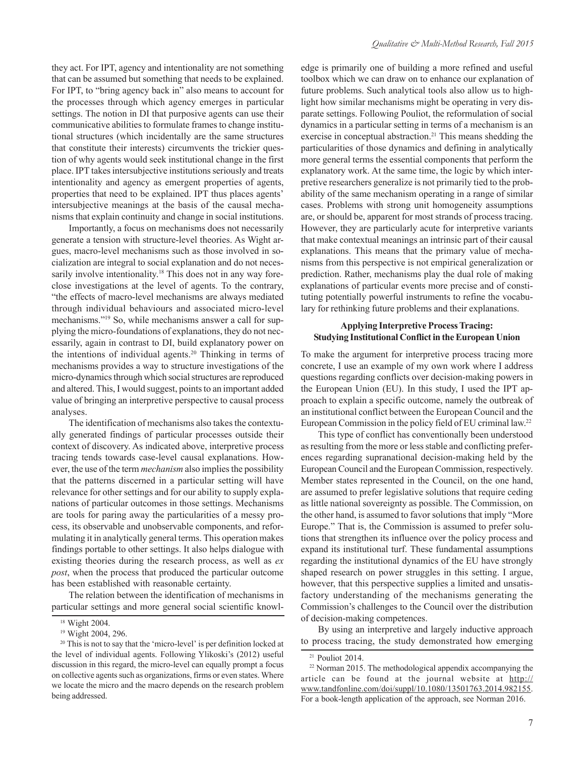they act. For IPT, agency and intentionality are not something that can be assumed but something that needs to be explained. For IPT, to "bring agency back in" also means to account for the processes through which agency emerges in particular settings. The notion in DI that purposive agents can use their communicative abilities to formulate frames to change institutional structures (which incidentally are the same structures that constitute their interests) circumvents the trickier question of why agents would seek institutional change in the first place. IPT takes intersubjective institutions seriously and treats intentionality and agency as emergent properties of agents, properties that need to be explained. IPT thus places agents' intersubjective meanings at the basis of the causal mechanisms that explain continuity and change in social institutions.

Importantly, a focus on mechanisms does not necessarily generate a tension with structure-level theories. As Wight argues, macro-level mechanisms such as those involved in socialization are integral to social explanation and do not necessarily involve intentionality.<sup>18</sup> This does not in any way foreclose investigations at the level of agents. To the contrary, "the effects of macro-level mechanisms are always mediated through individual behaviours and associated micro-level mechanisms."19 So, while mechanisms answer a call for supplying the micro-foundations of explanations, they do not necessarily, again in contrast to DI, build explanatory power on the intentions of individual agents.20 Thinking in terms of mechanisms provides a way to structure investigations of the micro-dynamics through which social structures are reproduced and altered. This, I would suggest, points to an important added value of bringing an interpretive perspective to causal process analyses.

The identification of mechanisms also takes the contextually generated findings of particular processes outside their context of discovery. As indicated above, interpretive process tracing tends towards case-level causal explanations. However, the use of the term *mechanism* also implies the possibility that the patterns discerned in a particular setting will have relevance for other settings and for our ability to supply explanations of particular outcomes in those settings. Mechanisms are tools for paring away the particularities of a messy process, its observable and unobservable components, and reformulating it in analytically general terms. This operation makes findings portable to other settings. It also helps dialogue with existing theories during the research process, as well as *ex post*, when the process that produced the particular outcome has been established with reasonable certainty.

The relation between the identification of mechanisms in particular settings and more general social scientific knowledge is primarily one of building a more refined and useful toolbox which we can draw on to enhance our explanation of future problems. Such analytical tools also allow us to highlight how similar mechanisms might be operating in very disparate settings. Following Pouliot, the reformulation of social dynamics in a particular setting in terms of a mechanism is an exercise in conceptual abstraction.<sup>21</sup> This means shedding the particularities of those dynamics and defining in analytically more general terms the essential components that perform the explanatory work. At the same time, the logic by which interpretive researchers generalize is not primarily tied to the probability of the same mechanism operating in a range of similar cases. Problems with strong unit homogeneity assumptions are, or should be, apparent for most strands of process tracing. However, they are particularly acute for interpretive variants that make contextual meanings an intrinsic part of their causal explanations. This means that the primary value of mechanisms from this perspective is not empirical generalization or prediction. Rather, mechanisms play the dual role of making explanations of particular events more precise and of constituting potentially powerful instruments to refine the vocabulary for rethinking future problems and their explanations.

#### **Applying Interpretive Process Tracing: Studying Institutional Conflict in the European Union**

To make the argument for interpretive process tracing more concrete, I use an example of my own work where I address questions regarding conflicts over decision-making powers in the European Union (EU). In this study, I used the IPT approach to explain a specific outcome, namely the outbreak of an institutional conflict between the European Council and the European Commission in the policy field of EU criminal law.<sup>22</sup>

This type of conflict has conventionally been understood as resulting from the more or less stable and conflicting preferences regarding supranational decision-making held by the European Council and the European Commission, respectively. Member states represented in the Council, on the one hand, are assumed to prefer legislative solutions that require ceding as little national sovereignty as possible. The Commission, on the other hand, is assumed to favor solutions that imply "More Europe." That is, the Commission is assumed to prefer solutions that strengthen its influence over the policy process and expand its institutional turf. These fundamental assumptions regarding the institutional dynamics of the EU have strongly shaped research on power struggles in this setting. I argue, however, that this perspective supplies a limited and unsatisfactory understanding of the mechanisms generating the Commission's challenges to the Council over the distribution of decision-making competences.

By using an interpretive and largely inductive approach to process tracing, the study demonstrated how emerging

<sup>18</sup> Wight 2004.

<sup>19</sup> Wight 2004, 296.

<sup>&</sup>lt;sup>20</sup> This is not to say that the 'micro-level' is per definition locked at the level of individual agents. Following Ylikoski's (2012) useful discussion in this regard, the micro-level can equally prompt a focus on collective agents such as organizations, firms or even states. Where we locate the micro and the macro depends on the research problem being addressed.

<sup>21</sup> Pouliot 2014.

<sup>&</sup>lt;sup>22</sup> Norman 2015. The methodological appendix accompanying the article can be found at the journal website at http:// www.tandfonline.com/doi/suppl/10.1080/13501763.2014.982155. For a book-length application of the approach, see Norman 2016.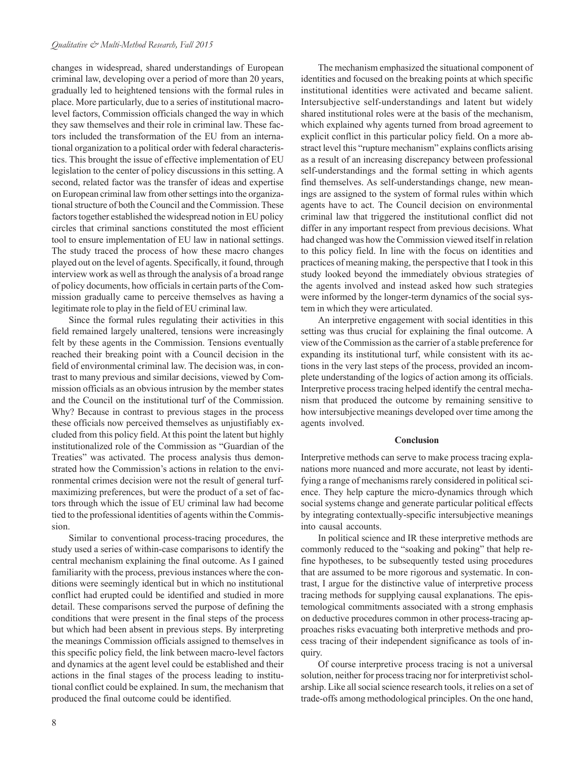changes in widespread, shared understandings of European criminal law, developing over a period of more than 20 years, gradually led to heightened tensions with the formal rules in place. More particularly, due to a series of institutional macrolevel factors, Commission officials changed the way in which they saw themselves and their role in criminal law. These factors included the transformation of the EU from an international organization to a political order with federal characteristics. This brought the issue of effective implementation of EU legislation to the center of policy discussions in this setting. A second, related factor was the transfer of ideas and expertise on European criminal law from other settings into the organizational structure of both the Council and the Commission. These factors together established the widespread notion in EU policy circles that criminal sanctions constituted the most efficient tool to ensure implementation of EU law in national settings. The study traced the process of how these macro changes played out on the level of agents. Specifically, it found, through interview work as well as through the analysis of a broad range of policy documents, how officials in certain parts of the Commission gradually came to perceive themselves as having a legitimate role to play in the field of EU criminal law.

Since the formal rules regulating their activities in this field remained largely unaltered, tensions were increasingly felt by these agents in the Commission. Tensions eventually reached their breaking point with a Council decision in the field of environmental criminal law. The decision was, in contrast to many previous and similar decisions, viewed by Commission officials as an obvious intrusion by the member states and the Council on the institutional turf of the Commission. Why? Because in contrast to previous stages in the process these officials now perceived themselves as unjustifiably excluded from this policy field. At this point the latent but highly institutionalized role of the Commission as "Guardian of the Treaties" was activated. The process analysis thus demonstrated how the Commission's actions in relation to the environmental crimes decision were not the result of general turfmaximizing preferences, but were the product of a set of factors through which the issue of EU criminal law had become tied to the professional identities of agents within the Commission.

Similar to conventional process-tracing procedures, the study used a series of within-case comparisons to identify the central mechanism explaining the final outcome. As I gained familiarity with the process, previous instances where the conditions were seemingly identical but in which no institutional conflict had erupted could be identified and studied in more detail. These comparisons served the purpose of defining the conditions that were present in the final steps of the process but which had been absent in previous steps. By interpreting the meanings Commission officials assigned to themselves in this specific policy field, the link between macro-level factors and dynamics at the agent level could be established and their actions in the final stages of the process leading to institutional conflict could be explained. In sum, the mechanism that produced the final outcome could be identified.

The mechanism emphasized the situational component of identities and focused on the breaking points at which specific institutional identities were activated and became salient. Intersubjective self-understandings and latent but widely shared institutional roles were at the basis of the mechanism, which explained why agents turned from broad agreement to explicit conflict in this particular policy field. On a more abstract level this "rupture mechanism" explains conflicts arising as a result of an increasing discrepancy between professional self-understandings and the formal setting in which agents find themselves. As self-understandings change, new meanings are assigned to the system of formal rules within which agents have to act. The Council decision on environmental criminal law that triggered the institutional conflict did not differ in any important respect from previous decisions. What had changed was how the Commission viewed itself in relation to this policy field. In line with the focus on identities and practices of meaning making, the perspective that I took in this study looked beyond the immediately obvious strategies of the agents involved and instead asked how such strategies were informed by the longer-term dynamics of the social system in which they were articulated.

An interpretive engagement with social identities in this setting was thus crucial for explaining the final outcome. A view of the Commission as the carrier of a stable preference for expanding its institutional turf, while consistent with its actions in the very last steps of the process, provided an incomplete understanding of the logics of action among its officials. Interpretive process tracing helped identify the central mechanism that produced the outcome by remaining sensitive to how intersubjective meanings developed over time among the agents involved.

#### **Conclusion**

Interpretive methods can serve to make process tracing explanations more nuanced and more accurate, not least by identifying a range of mechanisms rarely considered in political science. They help capture the micro-dynamics through which social systems change and generate particular political effects by integrating contextually-specific intersubjective meanings into causal accounts.

In political science and IR these interpretive methods are commonly reduced to the "soaking and poking" that help refine hypotheses, to be subsequently tested using procedures that are assumed to be more rigorous and systematic. In contrast, I argue for the distinctive value of interpretive process tracing methods for supplying causal explanations. The epistemological commitments associated with a strong emphasis on deductive procedures common in other process-tracing approaches risks evacuating both interpretive methods and process tracing of their independent significance as tools of inquiry.

Of course interpretive process tracing is not a universal solution, neither for process tracing nor for interpretivist scholarship. Like all social science research tools, it relies on a set of trade-offs among methodological principles. On the one hand,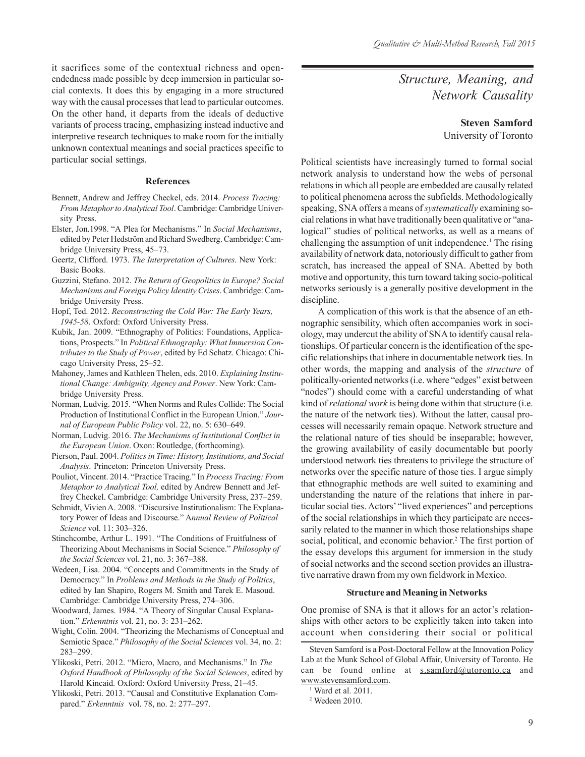it sacrifices some of the contextual richness and openendedness made possible by deep immersion in particular social contexts. It does this by engaging in a more structured way with the causal processes that lead to particular outcomes. On the other hand, it departs from the ideals of deductive variants of process tracing, emphasizing instead inductive and interpretive research techniques to make room for the initially unknown contextual meanings and social practices specific to particular social settings.

#### **References**

- Bennett, Andrew and Jeffrey Checkel, eds. 2014. *Process Tracing: From Metaphor to Analytical Tool*. Cambridge: Cambridge University Press.
- Elster, Jon.1998. "A Plea for Mechanisms." In *Social Mechanisms*, edited by Peter Hedström and Richard Swedberg. Cambridge: Cambridge University Press, 45–73.
- Geertz, Clifford. 1973. *The Interpretation of Cultures*. New York: Basic Books.
- Guzzini, Stefano. 2012. *The Return of Geopolitics in Europe? Social Mechanisms and Foreign Policy Identity Crises*. Cambridge: Cambridge University Press.
- Hopf, Ted. 2012. *Reconstructing the Cold War: The Early Years, 1945-58*. Oxford: Oxford University Press.
- Kubik, Jan. 2009. "Ethnography of Politics: Foundations, Applications, Prospects." In *Political Ethnography: What Immersion Contributes to the Study of Power*, edited by Ed Schatz. Chicago: Chicago University Press, 25–52.
- Mahoney, James and Kathleen Thelen, eds. 2010. *Explaining Institutional Change: Ambiguity, Agency and Power*. New York: Cambridge University Press.
- Norman, Ludvig. 2015. "When Norms and Rules Collide: The Social Production of Institutional Conflict in the European Union." *Journal of European Public Policy* vol. 22, no. 5: 630–649.
- Norman, Ludvig. 2016. *The Mechanisms of Institutional Conflict in the European Union*. Oxon: Routledge, (forthcoming).
- Pierson, Paul. 2004. *Politics in Time: History, Institutions, and Social Analysis*. Princeton: Princeton University Press.
- Pouliot, Vincent. 2014. "Practice Tracing." In *Process Tracing: From Metaphor to Analytical Tool,* edited by Andrew Bennett and Jeffrey Checkel. Cambridge: Cambridge University Press, 237–259.
- Schmidt, Vivien A. 2008. "Discursive Institutionalism: The Explanatory Power of Ideas and Discourse." A*nnual Review of Political Science* vol. 11: 303–326.
- Stinchcombe, Arthur L. 1991. "The Conditions of Fruitfulness of Theorizing About Mechanisms in Social Science." *Philosophy of the Social Sciences* vol. 21, no. 3: 367–388.
- Wedeen, Lisa. 2004. "Concepts and Commitments in the Study of Democracy." In *Problems and Methods in the Study of Politics*, edited by Ian Shapiro, Rogers M. Smith and Tarek E. Masoud. Cambridge: Cambridge University Press, 274–306.
- Woodward, James. 1984. "A Theory of Singular Causal Explanation." *Erkenntnis* vol. 21, no. 3: 231–262.
- Wight, Colin. 2004. "Theorizing the Mechanisms of Conceptual and Semiotic Space." *Philosophy of the Social Sciences* vol. 34, no. 2: 283–299.
- Ylikoski, Petri. 2012. "Micro, Macro, and Mechanisms." In *The Oxford Handbook of Philosophy of the Social Sciences*, edited by Harold Kincaid. Oxford: Oxford University Press, 21–45.
- Ylikoski, Petri. 2013. "Causal and Constitutive Explanation Compared." *Erkenntnis* vol. 78, no. 2: 277–297.

*Structure, Meaning, and Network Causality*

**Steven Samford**

University of Toronto

Political scientists have increasingly turned to formal social network analysis to understand how the webs of personal relations in which all people are embedded are causally related to political phenomena across the subfields. Methodologically speaking, SNA offers a means of *systematically* examining social relations in what have traditionally been qualitative or "analogical" studies of political networks, as well as a means of challenging the assumption of unit independence.<sup>1</sup> The rising availability of network data, notoriously difficult to gather from scratch, has increased the appeal of SNA. Abetted by both motive and opportunity, this turn toward taking socio-political networks seriously is a generally positive development in the discipline.

A complication of this work is that the absence of an ethnographic sensibility, which often accompanies work in sociology, may undercut the ability of SNA to identify causal relationships. Of particular concern is the identification of the specific relationships that inhere in documentable network ties. In other words, the mapping and analysis of the *structure* of politically-oriented networks (i.e. where "edges" exist between "nodes") should come with a careful understanding of what kind of *relational work* is being done within that structure (i.e. the nature of the network ties). Without the latter, causal processes will necessarily remain opaque. Network structure and the relational nature of ties should be inseparable; however, the growing availability of easily documentable but poorly understood network ties threatens to privilege the structure of networks over the specific nature of those ties. I argue simply that ethnographic methods are well suited to examining and understanding the nature of the relations that inhere in particular social ties. Actors' "lived experiences" and perceptions of the social relationships in which they participate are necessarily related to the manner in which those relationships shape social, political, and economic behavior.<sup>2</sup> The first portion of the essay develops this argument for immersion in the study of social networks and the second section provides an illustrative narrative drawn from my own fieldwork in Mexico.

#### **Structure and Meaning in Networks**

One promise of SNA is that it allows for an actor's relationships with other actors to be explicitly taken into taken into account when considering their social or political

Steven Samford is a Post-Doctoral Fellow at the Innovation Policy Lab at the Munk School of Global Affair, University of Toronto. He can be found online at s.samford@utoronto.ca and www.stevensamford.com.

<sup>1</sup> Ward et al. 2011.

<sup>2</sup> Wedeen 2010.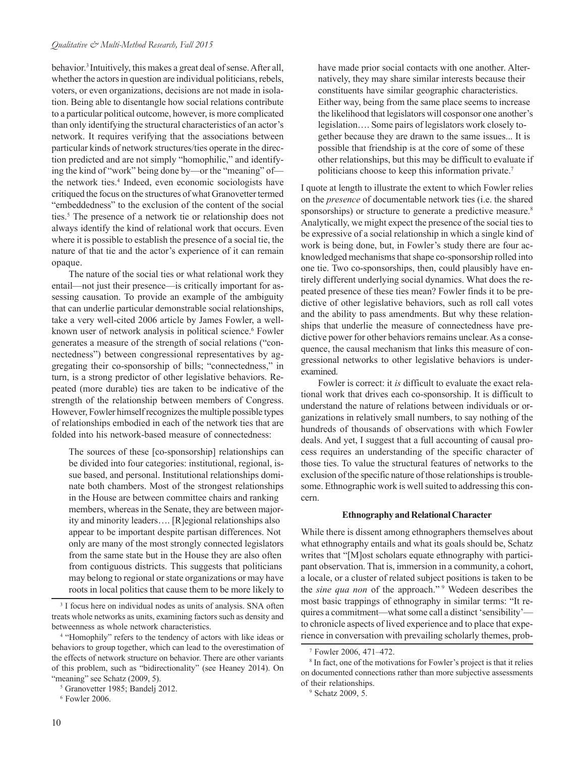behavior.3 Intuitively, this makes a great deal of sense. After all, whether the actors in question are individual politicians, rebels, voters, or even organizations, decisions are not made in isolation. Being able to disentangle how social relations contribute to a particular political outcome, however, is more complicated than only identifying the structural characteristics of an actor's network. It requires verifying that the associations between particular kinds of network structures/ties operate in the direction predicted and are not simply "homophilic," and identifying the kind of "work" being done by—or the "meaning" of the network ties.<sup>4</sup> Indeed, even economic sociologists have critiqued the focus on the structures of what Granovetter termed "embeddedness" to the exclusion of the content of the social ties.<sup>5</sup> The presence of a network tie or relationship does not always identify the kind of relational work that occurs. Even where it is possible to establish the presence of a social tie, the nature of that tie and the actor's experience of it can remain opaque.

The nature of the social ties or what relational work they entail—not just their presence—is critically important for assessing causation. To provide an example of the ambiguity that can underlie particular demonstrable social relationships, take a very well-cited 2006 article by James Fowler, a wellknown user of network analysis in political science.<sup>6</sup> Fowler generates a measure of the strength of social relations ("connectedness") between congressional representatives by aggregating their co-sponsorship of bills; "connectedness," in turn, is a strong predictor of other legislative behaviors. Repeated (more durable) ties are taken to be indicative of the strength of the relationship between members of Congress. However, Fowler himself recognizes the multiple possible types of relationships embodied in each of the network ties that are folded into his network-based measure of connectedness:

The sources of these [co-sponsorship] relationships can be divided into four categories: institutional, regional, issue based, and personal. Institutional relationships dominate both chambers. Most of the strongest relationships in the House are between committee chairs and ranking members, whereas in the Senate, they are between majority and minority leaders…. [R]egional relationships also appear to be important despite partisan differences. Not only are many of the most strongly connected legislators from the same state but in the House they are also often from contiguous districts. This suggests that politicians may belong to regional or state organizations or may have roots in local politics that cause them to be more likely to

6 Fowler 2006.

have made prior social contacts with one another. Alternatively, they may share similar interests because their constituents have similar geographic characteristics. Either way, being from the same place seems to increase the likelihood that legislators will cosponsor one another's legislation…. Some pairs of legislators work closely together because they are drawn to the same issues... It is possible that friendship is at the core of some of these other relationships, but this may be difficult to evaluate if politicians choose to keep this information private.7

I quote at length to illustrate the extent to which Fowler relies on the *presence* of documentable network ties (i.e. the shared sponsorships) or structure to generate a predictive measure.<sup>8</sup> Analytically, we might expect the presence of the social ties to be expressive of a social relationship in which a single kind of work is being done, but, in Fowler's study there are four acknowledged mechanisms that shape co-sponsorship rolled into one tie. Two co-sponsorships, then, could plausibly have entirely different underlying social dynamics. What does the repeated presence of these ties mean? Fowler finds it to be predictive of other legislative behaviors, such as roll call votes and the ability to pass amendments. But why these relationships that underlie the measure of connectedness have predictive power for other behaviors remains unclear. As a consequence, the causal mechanism that links this measure of congressional networks to other legislative behaviors is underexamined.

Fowler is correct: it *is* difficult to evaluate the exact relational work that drives each co-sponsorship. It is difficult to understand the nature of relations between individuals or organizations in relatively small numbers, to say nothing of the hundreds of thousands of observations with which Fowler deals. And yet, I suggest that a full accounting of causal process requires an understanding of the specific character of those ties. To value the structural features of networks to the exclusion of the specific nature of those relationships is troublesome. Ethnographic work is well suited to addressing this concern.

### **Ethnography and Relational Character**

While there is dissent among ethnographers themselves about what ethnography entails and what its goals should be, Schatz writes that "[M]ost scholars equate ethnography with participant observation. That is, immersion in a community, a cohort, a locale, or a cluster of related subject positions is taken to be the *sine qua non* of the approach."<sup>9</sup> Wedeen describes the most basic trappings of ethnography in similar terms: "It requires a commitment—what some call a distinct 'sensibility' to chronicle aspects of lived experience and to place that experience in conversation with prevailing scholarly themes, prob-

<sup>&</sup>lt;sup>3</sup> I focus here on individual nodes as units of analysis. SNA often treats whole networks as units, examining factors such as density and betweenness as whole network characteristics.

<sup>4</sup> "Homophily" refers to the tendency of actors with like ideas or behaviors to group together, which can lead to the overestimation of the effects of network structure on behavior. There are other variants of this problem, such as "bidirectionality" (see Heaney 2014). On "meaning" see Schatz (2009, 5).

<sup>5</sup> Granovetter 1985; Bandelj 2012.

<sup>7</sup> Fowler 2006, 471–472.

<sup>8</sup> In fact, one of the motivations for Fowler's project is that it relies on documented connections rather than more subjective assessments of their relationships.

<sup>9</sup> Schatz 2009, 5.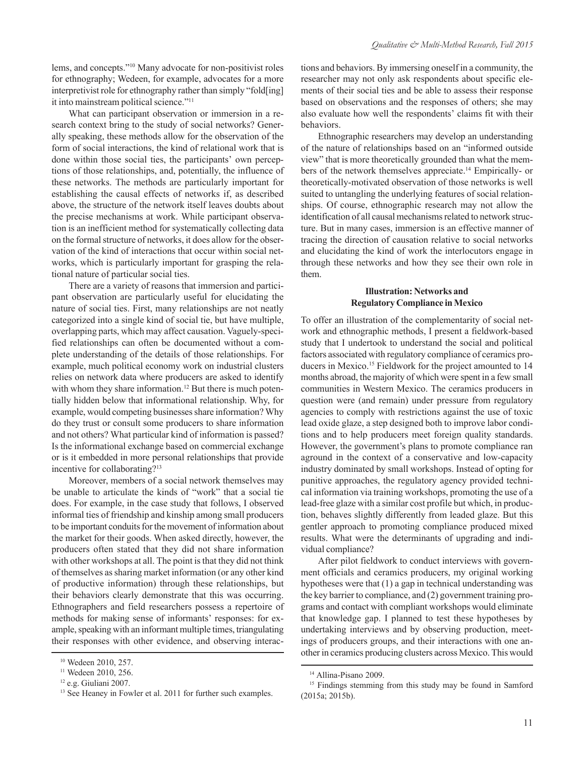lems, and concepts."10 Many advocate for non-positivist roles for ethnography; Wedeen, for example, advocates for a more interpretivist role for ethnography rather than simply "fold[ing] it into mainstream political science."11

What can participant observation or immersion in a research context bring to the study of social networks? Generally speaking, these methods allow for the observation of the form of social interactions, the kind of relational work that is done within those social ties, the participants' own perceptions of those relationships, and, potentially, the influence of these networks. The methods are particularly important for establishing the causal effects of networks if, as described above, the structure of the network itself leaves doubts about the precise mechanisms at work. While participant observation is an inefficient method for systematically collecting data on the formal structure of networks, it does allow for the observation of the kind of interactions that occur within social networks, which is particularly important for grasping the relational nature of particular social ties.

There are a variety of reasons that immersion and participant observation are particularly useful for elucidating the nature of social ties. First, many relationships are not neatly categorized into a single kind of social tie, but have multiple, overlapping parts, which may affect causation. Vaguely-specified relationships can often be documented without a complete understanding of the details of those relationships. For example, much political economy work on industrial clusters relies on network data where producers are asked to identify with whom they share information.<sup>12</sup> But there is much potentially hidden below that informational relationship. Why, for example, would competing businesses share information? Why do they trust or consult some producers to share information and not others? What particular kind of information is passed? Is the informational exchange based on commercial exchange or is it embedded in more personal relationships that provide incentive for collaborating?13

Moreover, members of a social network themselves may be unable to articulate the kinds of "work" that a social tie does. For example, in the case study that follows, I observed informal ties of friendship and kinship among small producers to be important conduits for the movement of information about the market for their goods. When asked directly, however, the producers often stated that they did not share information with other workshops at all. The point is that they did not think of themselves as sharing market information (or any other kind of productive information) through these relationships, but their behaviors clearly demonstrate that this was occurring. Ethnographers and field researchers possess a repertoire of methods for making sense of informants' responses: for example, speaking with an informant multiple times, triangulating their responses with other evidence, and observing interactions and behaviors. By immersing oneself in a community, the researcher may not only ask respondents about specific elements of their social ties and be able to assess their response based on observations and the responses of others; she may also evaluate how well the respondents' claims fit with their behaviors.

Ethnographic researchers may develop an understanding of the nature of relationships based on an "informed outside view" that is more theoretically grounded than what the members of the network themselves appreciate.<sup>14</sup> Empirically- or theoretically-motivated observation of those networks is well suited to untangling the underlying features of social relationships. Of course, ethnographic research may not allow the identification of all causal mechanisms related to network structure. But in many cases, immersion is an effective manner of tracing the direction of causation relative to social networks and elucidating the kind of work the interlocutors engage in through these networks and how they see their own role in them.

#### **Illustration: Networks and Regulatory Compliance in Mexico**

To offer an illustration of the complementarity of social network and ethnographic methods, I present a fieldwork-based study that I undertook to understand the social and political factors associated with regulatory compliance of ceramics producers in Mexico.<sup>15</sup> Fieldwork for the project amounted to 14 months abroad, the majority of which were spent in a few small communities in Western Mexico. The ceramics producers in question were (and remain) under pressure from regulatory agencies to comply with restrictions against the use of toxic lead oxide glaze, a step designed both to improve labor conditions and to help producers meet foreign quality standards. However, the government's plans to promote compliance ran aground in the context of a conservative and low-capacity industry dominated by small workshops. Instead of opting for punitive approaches, the regulatory agency provided technical information via training workshops, promoting the use of a lead-free glaze with a similar cost profile but which, in production, behaves slightly differently from leaded glaze. But this gentler approach to promoting compliance produced mixed results. What were the determinants of upgrading and individual compliance?

After pilot fieldwork to conduct interviews with government officials and ceramics producers, my original working hypotheses were that (1) a gap in technical understanding was the key barrier to compliance, and (2) government training programs and contact with compliant workshops would eliminate that knowledge gap. I planned to test these hypotheses by undertaking interviews and by observing production, meetings of producers groups, and their interactions with one another in ceramics producing clusters across Mexico. This would

<sup>10</sup> Wedeen 2010, 257.

<sup>&</sup>lt;sup>11</sup> Wedeen 2010, 256.

<sup>12</sup> e.g. Giuliani 2007.

<sup>&</sup>lt;sup>13</sup> See Heaney in Fowler et al. 2011 for further such examples.

<sup>14</sup> Allina-Pisano 2009.

<sup>&</sup>lt;sup>15</sup> Findings stemming from this study may be found in Samford (2015a; 2015b).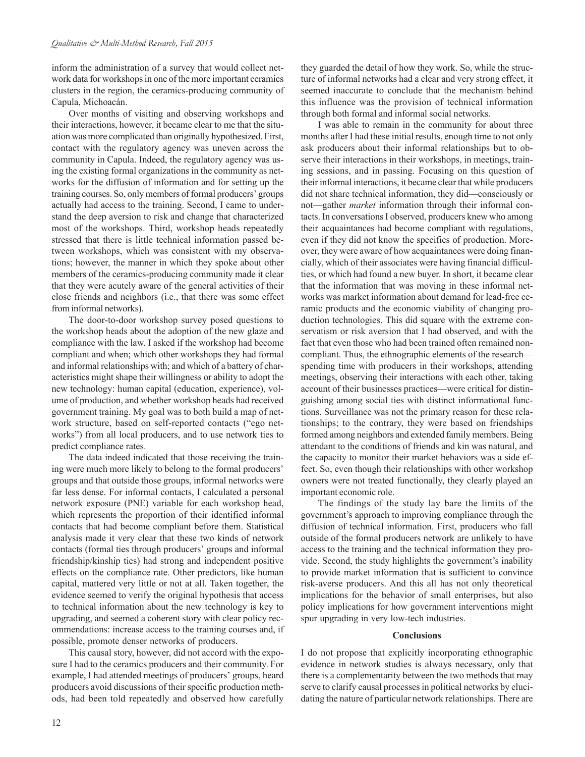inform the administration of a survey that would collect network data for workshops in one of the more important ceramics clusters in the region, the ceramics-producing community of Capula, Michoacán.

Over months of visiting and observing workshops and their interactions, however, it became clear to me that the situation was more complicated than originally hypothesized. First, contact with the regulatory agency was uneven across the community in Capula. Indeed, the regulatory agency was using the existing formal organizations in the community as networks for the diffusion of information and for setting up the training courses. So, only members of formal producers' groups actually had access to the training. Second, I came to understand the deep aversion to risk and change that characterized most of the workshops. Third, workshop heads repeatedly stressed that there is little technical information passed between workshops, which was consistent with my observations; however, the manner in which they spoke about other members of the ceramics-producing community made it clear that they were acutely aware of the general activities of their close friends and neighbors (i.e., that there was some effect from informal networks).

The door-to-door workshop survey posed questions to the workshop heads about the adoption of the new glaze and compliance with the law. I asked if the workshop had become compliant and when; which other workshops they had formal and informal relationships with; and which of a battery of characteristics might shape their willingness or ability to adopt the new technology: human capital (education, experience), volume of production, and whether workshop heads had received government training. My goal was to both build a map of network structure, based on self-reported contacts ("ego networks") from all local producers, and to use network ties to predict compliance rates.

The data indeed indicated that those receiving the training were much more likely to belong to the formal producers' groups and that outside those groups, informal networks were far less dense. For informal contacts, I calculated a personal network exposure (PNE) variable for each workshop head, which represents the proportion of their identified informal contacts that had become compliant before them. Statistical analysis made it very clear that these two kinds of network contacts (formal ties through producers' groups and informal friendship/kinship ties) had strong and independent positive effects on the compliance rate. Other predictors, like human capital, mattered very little or not at all. Taken together, the evidence seemed to verify the original hypothesis that access to technical information about the new technology is key to upgrading, and seemed a coherent story with clear policy recommendations: increase access to the training courses and, if possible, promote denser networks of producers.

This causal story, however, did not accord with the exposure I had to the ceramics producers and their community. For example, I had attended meetings of producers' groups, heard producers avoid discussions of their specific production methods, had been told repeatedly and observed how carefully

seemed inaccurate to conclude that the mechanism behind this influence was the provision of technical information through both formal and informal social networks. I was able to remain in the community for about three

months after I had these initial results, enough time to not only ask producers about their informal relationships but to observe their interactions in their workshops, in meetings, training sessions, and in passing. Focusing on this question of their informal interactions, it became clear that while producers did not share technical information, they did—consciously or not—gather *market* information through their informal contacts. In conversations I observed, producers knew who among their acquaintances had become compliant with regulations, even if they did not know the specifics of production. Moreover, they were aware of how acquaintances were doing financially, which of their associates were having financial difficulties, or which had found a new buyer. In short, it became clear that the information that was moving in these informal networks was market information about demand for lead-free ceramic products and the economic viability of changing production technologies. This did square with the extreme conservatism or risk aversion that I had observed, and with the fact that even those who had been trained often remained noncompliant. Thus, the ethnographic elements of the research spending time with producers in their workshops, attending meetings, observing their interactions with each other, taking account of their businesses practices—were critical for distinguishing among social ties with distinct informational functions. Surveillance was not the primary reason for these relationships; to the contrary, they were based on friendships formed among neighbors and extended family members. Being attendant to the conditions of friends and kin was natural, and the capacity to monitor their market behaviors was a side effect. So, even though their relationships with other workshop owners were not treated functionally, they clearly played an important economic role.

they guarded the detail of how they work. So, while the structure of informal networks had a clear and very strong effect, it

The findings of the study lay bare the limits of the government's approach to improving compliance through the diffusion of technical information. First, producers who fall outside of the formal producers network are unlikely to have access to the training and the technical information they provide. Second, the study highlights the government's inability to provide market information that is sufficient to convince risk-averse producers. And this all has not only theoretical implications for the behavior of small enterprises, but also policy implications for how government interventions might spur upgrading in very low-tech industries.

#### **Conclusions**

I do not propose that explicitly incorporating ethnographic evidence in network studies is always necessary, only that there is a complementarity between the two methods that may serve to clarify causal processes in political networks by elucidating the nature of particular network relationships. There are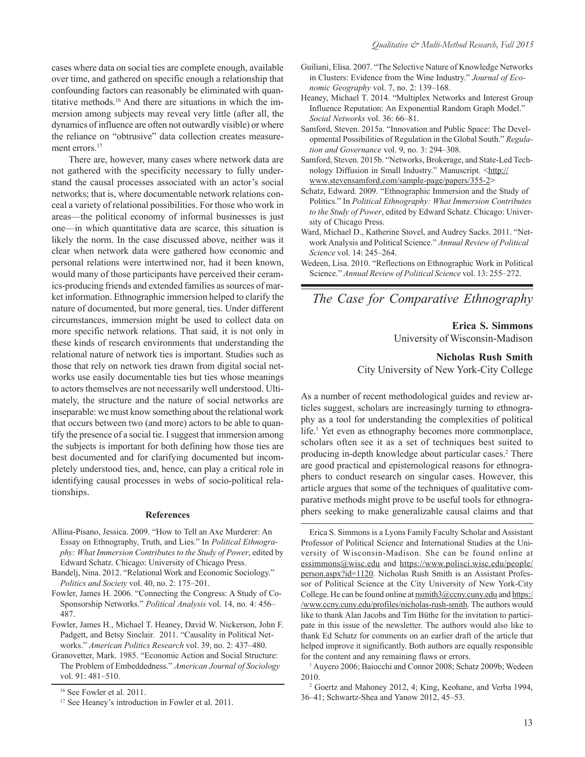cases where data on social ties are complete enough, available over time, and gathered on specific enough a relationship that confounding factors can reasonably be eliminated with quantitative methods.16 And there are situations in which the immersion among subjects may reveal very little (after all, the dynamics of influence are often not outwardly visible) or where the reliance on "obtrusive" data collection creates measurement errors.<sup>17</sup>

There are, however, many cases where network data are not gathered with the specificity necessary to fully understand the causal processes associated with an actor's social networks; that is, where documentable network relations conceal a variety of relational possibilities. For those who work in areas—the political economy of informal businesses is just one—in which quantitative data are scarce, this situation is likely the norm. In the case discussed above, neither was it clear when network data were gathered how economic and personal relations were intertwined nor, had it been known, would many of those participants have perceived their ceramics-producing friends and extended families as sources of market information. Ethnographic immersion helped to clarify the nature of documented, but more general, ties. Under different circumstances, immersion might be used to collect data on more specific network relations. That said, it is not only in these kinds of research environments that understanding the relational nature of network ties is important. Studies such as those that rely on network ties drawn from digital social networks use easily documentable ties but ties whose meanings to actors themselves are not necessarily well understood. Ultimately, the structure and the nature of social networks are inseparable: we must know something about the relational work that occurs between two (and more) actors to be able to quantify the presence of a social tie. I suggest that immersion among the subjects is important for both defining how those ties are best documented and for clarifying documented but incompletely understood ties, and, hence, can play a critical role in identifying causal processes in webs of socio-political relationships.

#### **References**

- Allina-Pisano, Jessica. 2009. "How to Tell an Axe Murderer: An Essay on Ethnography, Truth, and Lies." In *Political Ethnography: What Immersion Contributes to the Study of Power*, edited by Edward Schatz. Chicago: University of Chicago Press.
- Bandelj, Nina. 2012. "Relational Work and Economic Sociology." *Politics and Society* vol. 40, no. 2: 175–201.
- Fowler, James H. 2006. "Connecting the Congress: A Study of Co-Sponsorship Networks." *Political Analysis* vol. 14, no. 4: 456– 487.
- Fowler, James H., Michael T. Heaney, David W. Nickerson, John F. Padgett, and Betsy Sinclair. 2011. "Causality in Political Networks." *American Politics Research* vol. 39, no. 2: 437–480.
- Granovetter, Mark. 1985. "Economic Action and Social Structure: The Problem of Embeddedness." *American Journal of Sociology* vol. 91: 481–510.
- Guiliani, Elisa. 2007. "The Selective Nature of Knowledge Networks in Clusters: Evidence from the Wine Industry." *Journal of Economic Geography* vol. 7, no. 2: 139–168.
- Heaney, Michael T. 2014. "Multiplex Networks and Interest Group Influence Reputation: An Exponential Random Graph Model." *Social Networks* vol. 36: 66–81.
- Samford, Steven. 2015a. "Innovation and Public Space: The Developmental Possibilities of Regulation in the Global South." *Regulation and Governance* vol. 9, no. 3: 294–308.
- Samford, Steven. 2015b. "Networks, Brokerage, and State-Led Technology Diffusion in Small Industry." Manuscript. <http:// www.stevensamford.com/sample-page/papers/355-2>
- Schatz, Edward. 2009. "Ethnographic Immersion and the Study of Politics." In *Political Ethnography: What Immersion Contributes to the Study of Power*, edited by Edward Schatz. Chicago: University of Chicago Press.
- Ward, Michael D., Katherine Stovel, and Audrey Sacks. 2011. "Network Analysis and Political Science." *Annual Review of Political Science* vol. 14: 245–264.
- Wedeen, Lisa. 2010. "Reflections on Ethnographic Work in Political Science." *Annual Review of Political Science* vol. 13: 255–272.

## *The Case for Comparative Ethnography*

**Erica S. Simmons** University of Wisconsin-Madison

**Nicholas Rush Smith** City University of New York-City College

As a number of recent methodological guides and review articles suggest, scholars are increasingly turning to ethnography as a tool for understanding the complexities of political life.<sup>1</sup> Yet even as ethnography becomes more commonplace, scholars often see it as a set of techniques best suited to producing in-depth knowledge about particular cases.<sup>2</sup> There are good practical and epistemological reasons for ethnographers to conduct research on singular cases. However, this article argues that some of the techniques of qualitative comparative methods might prove to be useful tools for ethnographers seeking to make generalizable causal claims and that

Erica S. Simmons is a Lyons Family Faculty Scholar and Assistant Professor of Political Science and International Studies at the University of Wisconsin-Madison. She can be found online at [essimmons@wisc.edu and https://www.polisci.wisc.edu/people/](https://www.polisci.wisc.edu/people/person.aspx?id=1120) person.aspx?id=1120. Nicholas Rush Smith is an Assistant Professor of Political Science at the City University of New York-City College. He can be found online at  $n \frac{\text{ms}}{2}$  convieting and https:/ /www.ccny.cuny.edu/profiles/nicholas-rush-smith. The authors would like to thank Alan Jacobs and Tim Büthe for the invitation to participate in this issue of the newsletter. The authors would also like to thank Ed Schatz for comments on an earlier draft of the article that helped improve it significantly. Both authors are equally responsible for the content and any remaining flaws or errors.

1 Auyero 2006; Baiocchi and Connor 2008; Schatz 2009b; Wedeen 2010.

2 Goertz and Mahoney 2012, 4; King, Keohane, and Verba 1994, 36–41; Schwartz-Shea and Yanow 2012, 45–53.

<sup>16</sup> See Fowler et al. 2011.

<sup>&</sup>lt;sup>17</sup> See Heaney's introduction in Fowler et al. 2011.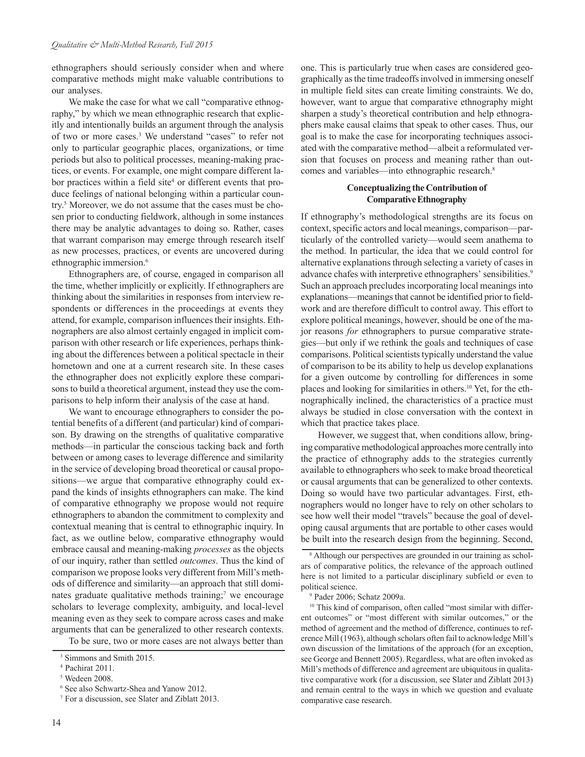ethnographers should seriously consider when and where comparative methods might make valuable contributions to our analyses.

We make the case for what we call "comparative ethnography," by which we mean ethnographic research that explicitly and intentionally builds an argument through the analysis of two or more cases.<sup>3</sup> We understand "cases" to refer not only to particular geographic places, organizations, or time periods but also to political processes, meaning-making practices, or events. For example, one might compare different labor practices within a field site<sup>4</sup> or different events that produce feelings of national belonging within a particular country.5 Moreover, we do not assume that the cases must be chosen prior to conducting fieldwork, although in some instances there may be analytic advantages to doing so. Rather, cases that warrant comparison may emerge through research itself as new processes, practices, or events are uncovered during ethnographic immersion.<sup>6</sup>

Ethnographers are, of course, engaged in comparison all the time, whether implicitly or explicitly. If ethnographers are thinking about the similarities in responses from interview respondents or differences in the proceedings at events they attend, for example, comparison influences their insights. Ethnographers are also almost certainly engaged in implicit comparison with other research or life experiences, perhaps thinking about the differences between a political spectacle in their hometown and one at a current research site. In these cases the ethnographer does not explicitly explore these comparisons to build a theoretical argument, instead they use the comparisons to help inform their analysis of the case at hand.

We want to encourage ethnographers to consider the potential benefits of a different (and particular) kind of comparison. By drawing on the strengths of qualitative comparative methods—in particular the conscious tacking back and forth between or among cases to leverage difference and similarity in the service of developing broad theoretical or causal propositions—we argue that comparative ethnography could expand the kinds of insights ethnographers can make. The kind of comparative ethnography we propose would not require ethnographers to abandon the commitment to complexity and contextual meaning that is central to ethnographic inquiry. In fact, as we outline below, comparative ethnography would embrace causal and meaning-making *processes* as the objects of our inquiry, rather than settled *outcomes*. Thus the kind of comparison we propose looks very different from Mill's methods of difference and similarity—an approach that still dominates graduate qualitative methods training;<sup>7</sup> we encourage scholars to leverage complexity, ambiguity, and local-level meaning even as they seek to compare across cases and make arguments that can be generalized to other research contexts.

To be sure, two or more cases are not always better than

one. This is particularly true when cases are considered geographically as the time tradeoffs involved in immersing oneself in multiple field sites can create limiting constraints. We do, however, want to argue that comparative ethnography might sharpen a study's theoretical contribution and help ethnographers make causal claims that speak to other cases. Thus, our goal is to make the case for incorporating techniques associated with the comparative method—albeit a reformulated version that focuses on process and meaning rather than outcomes and variables—into ethnographic research.<sup>8</sup>

#### **Conceptualizing the Contribution of Comparative Ethnography**

If ethnography's methodological strengths are its focus on context, specific actors and local meanings, comparison—particularly of the controlled variety—would seem anathema to the method. In particular, the idea that we could control for alternative explanations through selecting a variety of cases in advance chafes with interpretive ethnographers' sensibilities.<sup>9</sup> Such an approach precludes incorporating local meanings into explanations—meanings that cannot be identified prior to fieldwork and are therefore difficult to control away. This effort to explore political meanings, however, should be one of the major reasons *for* ethnographers to pursue comparative strategies—but only if we rethink the goals and techniques of case comparisons. Political scientists typically understand the value of comparison to be its ability to help us develop explanations for a given outcome by controlling for differences in some places and looking for similarities in others.<sup>10</sup> Yet, for the ethnographically inclined, the characteristics of a practice must always be studied in close conversation with the context in which that practice takes place.

However, we suggest that, when conditions allow, bringing comparative methodological approaches more centrally into the practice of ethnography adds to the strategies currently available to ethnographers who seek to make broad theoretical or causal arguments that can be generalized to other contexts. Doing so would have two particular advantages. First, ethnographers would no longer have to rely on other scholars to see how well their model "travels" because the goal of developing causal arguments that are portable to other cases would be built into the research design from the beginning. Second,

<sup>10</sup> This kind of comparison, often called "most similar with different outcomes" or "most different with similar outcomes," or the method of agreement and the method of difference, continues to reference Mill (1963), although scholars often fail to acknowledge Mill's own discussion of the limitations of the approach (for an exception, see George and Bennett 2005). Regardless, what are often invoked as Mill's methods of difference and agreement are ubiquitous in qualitative comparative work (for a discussion, see Slater and Ziblatt 2013) and remain central to the ways in which we question and evaluate comparative case research.

<sup>3</sup> Simmons and Smith 2015.

<sup>4</sup> Pachirat 2011.

<sup>5</sup> Wedeen 2008.

<sup>6</sup> See also Schwartz-Shea and Yanow 2012.

<sup>7</sup> For a discussion, see Slater and Ziblatt 2013.

<sup>8</sup> Although our perspectives are grounded in our training as scholars of comparative politics, the relevance of the approach outlined here is not limited to a particular disciplinary subfield or even to political science.

<sup>9</sup> Pader 2006; Schatz 2009a.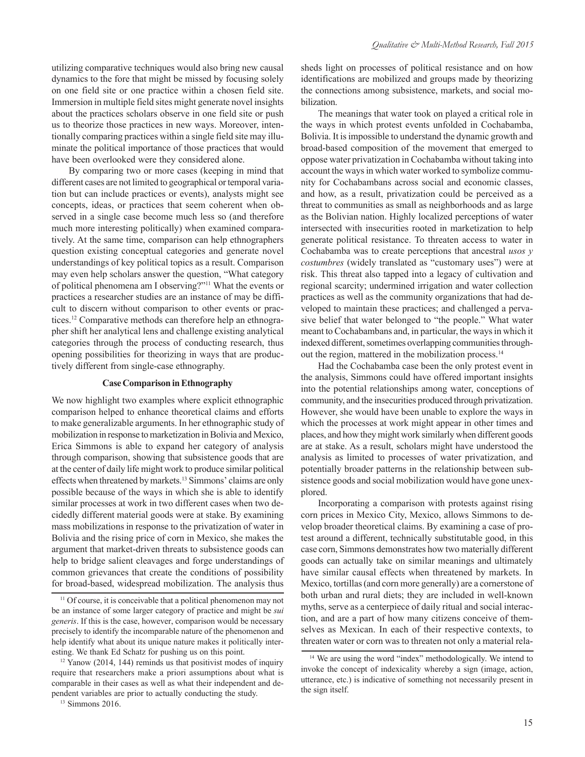utilizing comparative techniques would also bring new causal dynamics to the fore that might be missed by focusing solely on one field site or one practice within a chosen field site. Immersion in multiple field sites might generate novel insights about the practices scholars observe in one field site or push us to theorize those practices in new ways. Moreover, intentionally comparing practices within a single field site may illuminate the political importance of those practices that would have been overlooked were they considered alone.

By comparing two or more cases (keeping in mind that different cases are not limited to geographical or temporal variation but can include practices or events), analysts might see concepts, ideas, or practices that seem coherent when observed in a single case become much less so (and therefore much more interesting politically) when examined comparatively. At the same time, comparison can help ethnographers question existing conceptual categories and generate novel understandings of key political topics as a result. Comparison may even help scholars answer the question, "What category of political phenomena am I observing?"11 What the events or practices a researcher studies are an instance of may be difficult to discern without comparison to other events or practices.12 Comparative methods can therefore help an ethnographer shift her analytical lens and challenge existing analytical categories through the process of conducting research, thus opening possibilities for theorizing in ways that are productively different from single-case ethnography.

#### **Case Comparison in Ethnography**

We now highlight two examples where explicit ethnographic comparison helped to enhance theoretical claims and efforts to make generalizable arguments. In her ethnographic study of mobilization in response to marketization in Bolivia and Mexico, Erica Simmons is able to expand her category of analysis through comparison, showing that subsistence goods that are at the center of daily life might work to produce similar political effects when threatened by markets.<sup>13</sup> Simmons' claims are only possible because of the ways in which she is able to identify similar processes at work in two different cases when two decidedly different material goods were at stake. By examining mass mobilizations in response to the privatization of water in Bolivia and the rising price of corn in Mexico, she makes the argument that market-driven threats to subsistence goods can help to bridge salient cleavages and forge understandings of common grievances that create the conditions of possibility for broad-based, widespread mobilization. The analysis thus sheds light on processes of political resistance and on how identifications are mobilized and groups made by theorizing the connections among subsistence, markets, and social mobilization.

The meanings that water took on played a critical role in the ways in which protest events unfolded in Cochabamba, Bolivia. It is impossible to understand the dynamic growth and broad-based composition of the movement that emerged to oppose water privatization in Cochabamba without taking into account the ways in which water worked to symbolize community for Cochabambans across social and economic classes, and how, as a result, privatization could be perceived as a threat to communities as small as neighborhoods and as large as the Bolivian nation. Highly localized perceptions of water intersected with insecurities rooted in marketization to help generate political resistance. To threaten access to water in Cochabamba was to create perceptions that ancestral *usos y costumbres* (widely translated as "customary uses") were at risk. This threat also tapped into a legacy of cultivation and regional scarcity; undermined irrigation and water collection practices as well as the community organizations that had developed to maintain these practices; and challenged a pervasive belief that water belonged to "the people." What water meant to Cochabambans and, in particular, the ways in which it indexed different, sometimes overlapping communities throughout the region, mattered in the mobilization process.14

Had the Cochabamba case been the only protest event in the analysis, Simmons could have offered important insights into the potential relationships among water, conceptions of community, and the insecurities produced through privatization. However, she would have been unable to explore the ways in which the processes at work might appear in other times and places, and how they might work similarly when different goods are at stake. As a result, scholars might have understood the analysis as limited to processes of water privatization, and potentially broader patterns in the relationship between subsistence goods and social mobilization would have gone unexplored.

Incorporating a comparison with protests against rising corn prices in Mexico City, Mexico, allows Simmons to develop broader theoretical claims. By examining a case of protest around a different, technically substitutable good, in this case corn, Simmons demonstrates how two materially different goods can actually take on similar meanings and ultimately have similar causal effects when threatened by markets. In Mexico, tortillas (and corn more generally) are a cornerstone of both urban and rural diets; they are included in well-known myths, serve as a centerpiece of daily ritual and social interaction, and are a part of how many citizens conceive of themselves as Mexican. In each of their respective contexts, to threaten water or corn was to threaten not only a material rela-

<sup>&</sup>lt;sup>11</sup> Of course, it is conceivable that a political phenomenon may not be an instance of some larger category of practice and might be *sui generis*. If this is the case, however, comparison would be necessary precisely to identify the incomparable nature of the phenomenon and help identify what about its unique nature makes it politically interesting. We thank Ed Schatz for pushing us on this point.

<sup>&</sup>lt;sup>12</sup> Yanow (2014, 144) reminds us that positivist modes of inquiry require that researchers make a priori assumptions about what is comparable in their cases as well as what their independent and dependent variables are prior to actually conducting the study.

<sup>&</sup>lt;sup>13</sup> Simmons 2016.

<sup>&</sup>lt;sup>14</sup> We are using the word "index" methodologically. We intend to invoke the concept of indexicality whereby a sign (image, action, utterance, etc.) is indicative of something not necessarily present in the sign itself.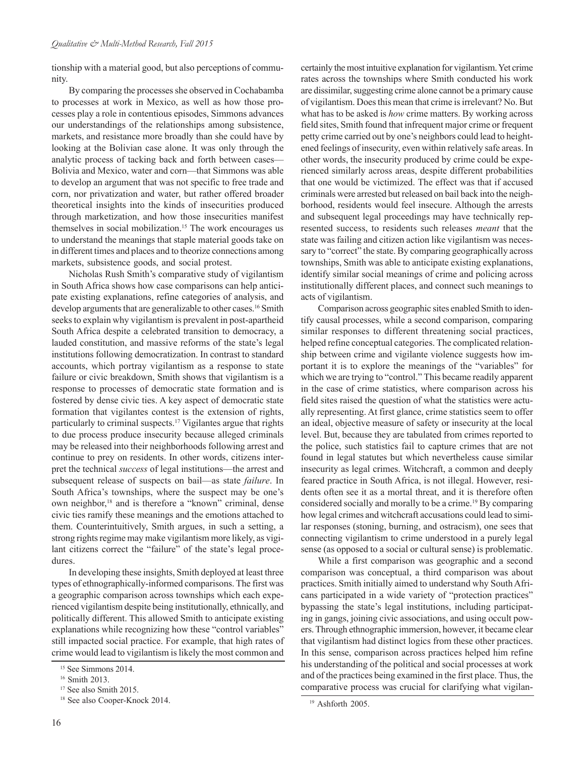tionship with a material good, but also perceptions of community.

By comparing the processes she observed in Cochabamba to processes at work in Mexico, as well as how those processes play a role in contentious episodes, Simmons advances our understandings of the relationships among subsistence, markets, and resistance more broadly than she could have by looking at the Bolivian case alone. It was only through the analytic process of tacking back and forth between cases— Bolivia and Mexico, water and corn—that Simmons was able to develop an argument that was not specific to free trade and corn, nor privatization and water, but rather offered broader theoretical insights into the kinds of insecurities produced through marketization, and how those insecurities manifest themselves in social mobilization.<sup>15</sup> The work encourages us to understand the meanings that staple material goods take on in different times and places and to theorize connections among markets, subsistence goods, and social protest.

Nicholas Rush Smith's comparative study of vigilantism in South Africa shows how case comparisons can help anticipate existing explanations, refine categories of analysis, and develop arguments that are generalizable to other cases.<sup>16</sup> Smith seeks to explain why vigilantism is prevalent in post-apartheid South Africa despite a celebrated transition to democracy, a lauded constitution, and massive reforms of the state's legal institutions following democratization. In contrast to standard accounts, which portray vigilantism as a response to state failure or civic breakdown, Smith shows that vigilantism is a response to processes of democratic state formation and is fostered by dense civic ties. A key aspect of democratic state formation that vigilantes contest is the extension of rights, particularly to criminal suspects.17 Vigilantes argue that rights to due process produce insecurity because alleged criminals may be released into their neighborhoods following arrest and continue to prey on residents. In other words, citizens interpret the technical *success* of legal institutions—the arrest and subsequent release of suspects on bail—as state *failure*. In South Africa's townships, where the suspect may be one's own neighbor,<sup>18</sup> and is therefore a "known" criminal, dense civic ties ramify these meanings and the emotions attached to them. Counterintuitively, Smith argues, in such a setting, a strong rights regime may make vigilantism more likely, as vigilant citizens correct the "failure" of the state's legal procedures.

In developing these insights, Smith deployed at least three types of ethnographically-informed comparisons. The first was a geographic comparison across townships which each experienced vigilantism despite being institutionally, ethnically, and politically different. This allowed Smith to anticipate existing explanations while recognizing how these "control variables" still impacted social practice. For example, that high rates of crime would lead to vigilantism is likely the most common and

16

certainly the most intuitive explanation for vigilantism. Yet crime rates across the townships where Smith conducted his work are dissimilar, suggesting crime alone cannot be a primary cause of vigilantism. Does this mean that crime is irrelevant? No. But what has to be asked is *how* crime matters. By working across field sites, Smith found that infrequent major crime or frequent petty crime carried out by one's neighbors could lead to heightened feelings of insecurity, even within relatively safe areas. In other words, the insecurity produced by crime could be experienced similarly across areas, despite different probabilities that one would be victimized. The effect was that if accused criminals were arrested but released on bail back into the neighborhood, residents would feel insecure. Although the arrests and subsequent legal proceedings may have technically represented success, to residents such releases *meant* that the state was failing and citizen action like vigilantism was necessary to "correct" the state. By comparing geographically across townships, Smith was able to anticipate existing explanations, identify similar social meanings of crime and policing across institutionally different places, and connect such meanings to acts of vigilantism.

Comparison across geographic sites enabled Smith to identify causal processes, while a second comparison, comparing similar responses to different threatening social practices, helped refine conceptual categories. The complicated relationship between crime and vigilante violence suggests how important it is to explore the meanings of the "variables" for which we are trying to "control." This became readily apparent in the case of crime statistics, where comparison across his field sites raised the question of what the statistics were actually representing. At first glance, crime statistics seem to offer an ideal, objective measure of safety or insecurity at the local level. But, because they are tabulated from crimes reported to the police, such statistics fail to capture crimes that are not found in legal statutes but which nevertheless cause similar insecurity as legal crimes. Witchcraft, a common and deeply feared practice in South Africa, is not illegal. However, residents often see it as a mortal threat, and it is therefore often considered socially and morally to be a crime.<sup>19</sup> By comparing how legal crimes and witchcraft accusations could lead to similar responses (stoning, burning, and ostracism), one sees that connecting vigilantism to crime understood in a purely legal sense (as opposed to a social or cultural sense) is problematic.

While a first comparison was geographic and a second comparison was conceptual, a third comparison was about practices. Smith initially aimed to understand why South Africans participated in a wide variety of "protection practices" bypassing the state's legal institutions, including participating in gangs, joining civic associations, and using occult powers. Through ethnographic immersion, however, it became clear that vigilantism had distinct logics from these other practices. In this sense, comparison across practices helped him refine his understanding of the political and social processes at work and of the practices being examined in the first place. Thus, the comparative process was crucial for clarifying what vigilan-

<sup>&</sup>lt;sup>15</sup> See Simmons 2014.

<sup>&</sup>lt;sup>16</sup> Smith 2013.

<sup>&</sup>lt;sup>17</sup> See also Smith 2015.

<sup>18</sup> See also Cooper-Knock 2014.

<sup>19</sup> Ashforth 2005.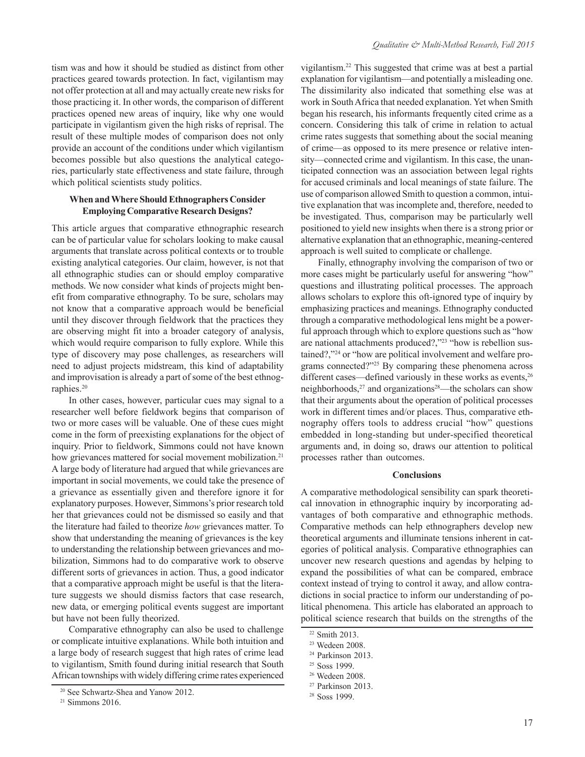tism was and how it should be studied as distinct from other practices geared towards protection. In fact, vigilantism may not offer protection at all and may actually create new risks for those practicing it. In other words, the comparison of different practices opened new areas of inquiry, like why one would participate in vigilantism given the high risks of reprisal. The result of these multiple modes of comparison does not only provide an account of the conditions under which vigilantism becomes possible but also questions the analytical categories, particularly state effectiveness and state failure, through which political scientists study politics.

#### **When and Where Should Ethnographers Consider Employing Comparative Research Designs?**

This article argues that comparative ethnographic research can be of particular value for scholars looking to make causal arguments that translate across political contexts or to trouble existing analytical categories. Our claim, however, is not that all ethnographic studies can or should employ comparative methods. We now consider what kinds of projects might benefit from comparative ethnography. To be sure, scholars may not know that a comparative approach would be beneficial until they discover through fieldwork that the practices they are observing might fit into a broader category of analysis, which would require comparison to fully explore. While this type of discovery may pose challenges, as researchers will need to adjust projects midstream, this kind of adaptability and improvisation is already a part of some of the best ethnographies.20

In other cases, however, particular cues may signal to a researcher well before fieldwork begins that comparison of two or more cases will be valuable. One of these cues might come in the form of preexisting explanations for the object of inquiry. Prior to fieldwork, Simmons could not have known how grievances mattered for social movement mobilization.<sup>21</sup> A large body of literature had argued that while grievances are important in social movements, we could take the presence of a grievance as essentially given and therefore ignore it for explanatory purposes. However, Simmons's prior research told her that grievances could not be dismissed so easily and that the literature had failed to theorize *how* grievances matter. To show that understanding the meaning of grievances is the key to understanding the relationship between grievances and mobilization, Simmons had to do comparative work to observe different sorts of grievances in action. Thus, a good indicator that a comparative approach might be useful is that the literature suggests we should dismiss factors that case research, new data, or emerging political events suggest are important but have not been fully theorized.

Comparative ethnography can also be used to challenge or complicate intuitive explanations. While both intuition and a large body of research suggest that high rates of crime lead to vigilantism, Smith found during initial research that South African townships with widely differing crime rates experienced vigilantism.22 This suggested that crime was at best a partial explanation for vigilantism—and potentially a misleading one. The dissimilarity also indicated that something else was at work in South Africa that needed explanation. Yet when Smith began his research, his informants frequently cited crime as a concern. Considering this talk of crime in relation to actual crime rates suggests that something about the social meaning of crime—as opposed to its mere presence or relative intensity—connected crime and vigilantism. In this case, the unanticipated connection was an association between legal rights for accused criminals and local meanings of state failure. The use of comparison allowed Smith to question a common, intuitive explanation that was incomplete and, therefore, needed to be investigated. Thus, comparison may be particularly well positioned to yield new insights when there is a strong prior or alternative explanation that an ethnographic, meaning-centered approach is well suited to complicate or challenge.

Finally, ethnography involving the comparison of two or more cases might be particularly useful for answering "how" questions and illustrating political processes. The approach allows scholars to explore this oft-ignored type of inquiry by emphasizing practices and meanings. Ethnography conducted through a comparative methodological lens might be a powerful approach through which to explore questions such as "how are national attachments produced?,"<sup>23</sup> "how is rebellion sustained?,"24 or "how are political involvement and welfare programs connected?"25 By comparing these phenomena across different cases—defined variously in these works as events,<sup>26</sup> neighborhoods,<sup>27</sup> and organizations<sup>28</sup>—the scholars can show that their arguments about the operation of political processes work in different times and/or places. Thus, comparative ethnography offers tools to address crucial "how" questions embedded in long-standing but under-specified theoretical arguments and, in doing so, draws our attention to political processes rather than outcomes.

#### **Conclusions**

A comparative methodological sensibility can spark theoretical innovation in ethnographic inquiry by incorporating advantages of both comparative and ethnographic methods. Comparative methods can help ethnographers develop new theoretical arguments and illuminate tensions inherent in categories of political analysis. Comparative ethnographies can uncover new research questions and agendas by helping to expand the possibilities of what can be compared, embrace context instead of trying to control it away, and allow contradictions in social practice to inform our understanding of political phenomena. This article has elaborated an approach to political science research that builds on the strengths of the

<sup>20</sup> See Schwartz-Shea and Yanow 2012.

 $21$  Simmons 2016.

<sup>22</sup> Smith 2013.

<sup>23</sup> Wedeen 2008.

<sup>&</sup>lt;sup>24</sup> Parkinson 2013.

<sup>25</sup> Soss 1999.

<sup>26</sup> Wedeen 2008.

<sup>27</sup> Parkinson 2013.

<sup>28</sup> Soss 1999.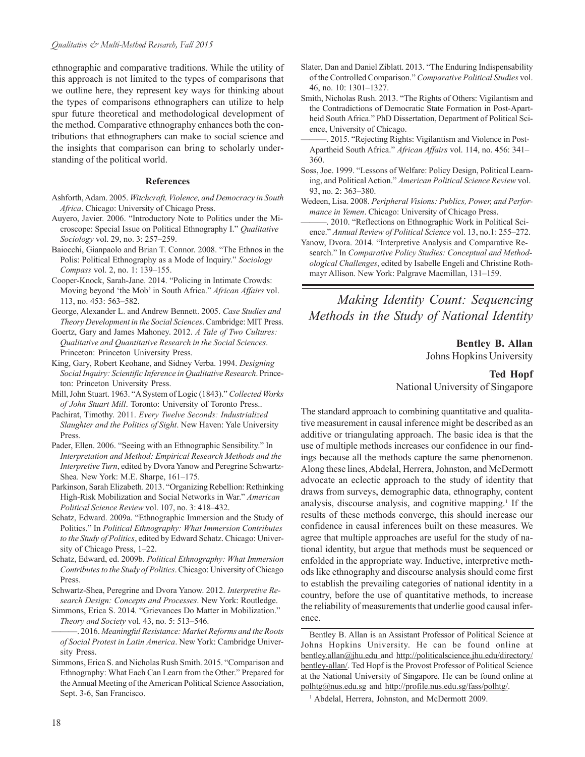ethnographic and comparative traditions. While the utility of this approach is not limited to the types of comparisons that we outline here, they represent key ways for thinking about the types of comparisons ethnographers can utilize to help spur future theoretical and methodological development of the method. Comparative ethnography enhances both the contributions that ethnographers can make to social science and the insights that comparison can bring to scholarly understanding of the political world.

#### **References**

- Ashforth, Adam. 2005. *Witchcraft, Violence, and Democracy in South Africa*. Chicago: University of Chicago Press.
- Auyero, Javier. 2006. "Introductory Note to Politics under the Microscope: Special Issue on Political Ethnography I." *Qualitative Sociology* vol. 29, no. 3: 257–259.
- Baiocchi, Gianpaolo and Brian T. Connor. 2008. "The Ethnos in the Polis: Political Ethnography as a Mode of Inquiry." *Sociology Compass* vol. 2, no. 1: 139–155.
- Cooper-Knock, Sarah-Jane. 2014. "Policing in Intimate Crowds: Moving beyond 'the Mob' in South Africa." *African Affairs* vol. 113, no. 453: 563–582.
- George, Alexander L. and Andrew Bennett. 2005. *Case Studies and Theory Development in the Social Sciences*. Cambridge: MIT Press.
- Goertz, Gary and James Mahoney. 2012. *A Tale of Two Cultures: Qualitative and Quantitative Research in the Social Sciences*. Princeton: Princeton University Press.
- King, Gary, Robert Keohane, and Sidney Verba. 1994. *Designing Social Inquiry: Scientific Inference in Qualitative Research*. Princeton: Princeton University Press.
- Mill, John Stuart. 1963. "A System of Logic (1843)." *Collected Works of John Stuart Mill*. Toronto: University of Toronto Press..
- Pachirat, Timothy. 2011. *Every Twelve Seconds: Industrialized Slaughter and the Politics of Sight*. New Haven: Yale University Press.
- Pader, Ellen. 2006. "Seeing with an Ethnographic Sensibility." In *Interpretation and Method: Empirical Research Methods and the Interpretive Turn*, edited by Dvora Yanow and Peregrine Schwartz-Shea. New York: M.E. Sharpe, 161–175.
- Parkinson, Sarah Elizabeth. 2013. "Organizing Rebellion: Rethinking High-Risk Mobilization and Social Networks in War." *American Political Science Review* vol. 107, no. 3: 418–432.
- Schatz, Edward. 2009a. "Ethnographic Immersion and the Study of Politics." In *Political Ethnography: What Immersion Contributes to the Study of Politics*, edited by Edward Schatz. Chicago: University of Chicago Press, 1–22.
- Schatz, Edward, ed. 2009b. *Political Ethnography: What Immersion Contributes to the Study of Politics*. Chicago: University of Chicago Press.
- Schwartz-Shea, Peregrine and Dvora Yanow. 2012. *Interpretive Research Design: Concepts and Processes*. New York: Routledge.
- Simmons, Erica S. 2014. "Grievances Do Matter in Mobilization." *Theory and Society* vol. 43, no. 5: 513–546.
- ———. 2016. *Meaningful Resistance: Market Reforms and the Roots of Social Protest in Latin America*. New York: Cambridge University Press.
- Simmons, Erica S. and Nicholas Rush Smith. 2015. "Comparison and Ethnography: What Each Can Learn from the Other." Prepared for the Annual Meeting of the American Political Science Association, Sept. 3-6, San Francisco.
- Slater, Dan and Daniel Ziblatt. 2013. "The Enduring Indispensability of the Controlled Comparison." *Comparative Political Studies* vol. 46, no. 10: 1301–1327.
- Smith, Nicholas Rush. 2013. "The Rights of Others: Vigilantism and the Contradictions of Democratic State Formation in Post-Apartheid South Africa." PhD Dissertation, Department of Political Science, University of Chicago.
- . 2015. "Rejecting Rights: Vigilantism and Violence in Post-Apartheid South Africa." *African Affairs* vol. 114, no. 456: 341– 360.
- Soss, Joe. 1999. "Lessons of Welfare: Policy Design, Political Learning, and Political Action." *American Political Science Review* vol. 93, no. 2: 363–380.
- Wedeen, Lisa. 2008. *Peripheral Visions: Publics, Power, and Performance in Yemen*. Chicago: University of Chicago Press.
- ———. 2010. "Reflections on Ethnographic Work in Political Science." *Annual Review of Political Science* vol. 13, no.1: 255–272.
- Yanow, Dvora. 2014. "Interpretive Analysis and Comparative Research." In *Comparative Policy Studies: Conceptual and Methodological Challenges*, edited by Isabelle Engeli and Christine Rothmayr Allison. New York: Palgrave Macmillan, 131–159.

## *Making Identity Count: Sequencing Methods in the Study of National Identity*

#### **Bentley B. Allan** Johns Hopkins University

## **Ted Hopf** National University of Singapore

The standard approach to combining quantitative and qualitative measurement in causal inference might be described as an additive or triangulating approach. The basic idea is that the use of multiple methods increases our confidence in our findings because all the methods capture the same phenomenon. Along these lines, Abdelal, Herrera, Johnston, and McDermott advocate an eclectic approach to the study of identity that draws from surveys, demographic data, ethnography, content analysis, discourse analysis, and cognitive mapping.<sup>1</sup> If the results of these methods converge, this should increase our confidence in causal inferences built on these measures. We agree that multiple approaches are useful for the study of national identity, but argue that methods must be sequenced or enfolded in the appropriate way. Inductive, interpretive methods like ethnography and discourse analysis should come first to establish the prevailing categories of national identity in a country, before the use of quantitative methods, to increase the reliability of measurements that underlie good causal inference.

Bentley B. Allan is an Assistant Professor of Political Science at Johns Hopkins University. He can be found online at [bentley.allan@jhu.edu and http://politicalscience.jhu.edu/directory/](http://politicalscience.jhu.edu/directory/bentley-allan/) bentley-allan/. Ted Hopf is the Provost Professor of Political Science at the National University of Singapore. He can be found online at polhtg@nus.edu.sg and http://profile.nus.edu.sg/fass/polhtg/.

<sup>1</sup> Abdelal, Herrera, Johnston, and McDermott 2009.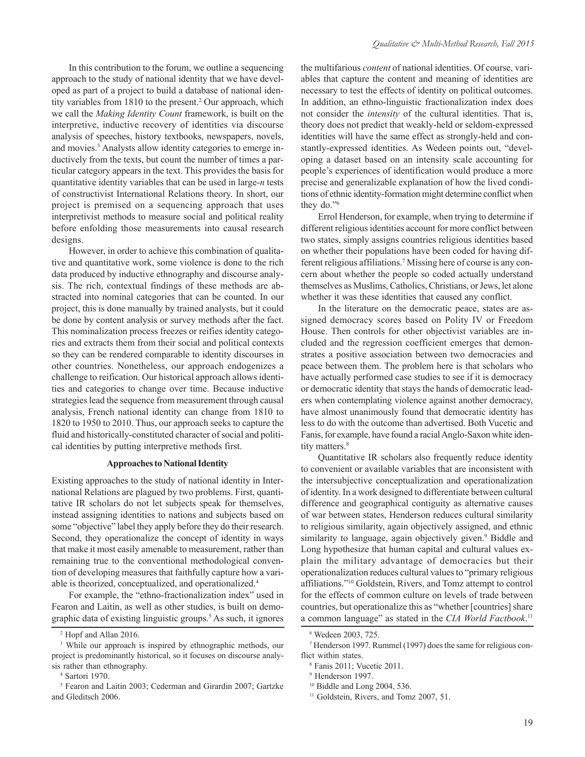In this contribution to the forum, we outline a sequencing approach to the study of national identity that we have developed as part of a project to build a database of national identity variables from 1810 to the present.<sup>2</sup> Our approach, which we call the *Making Identity Count* framework, is built on the interpretive, inductive recovery of identities via discourse analysis of speeches, history textbooks, newspapers, novels, and movies.<sup>3</sup> Analysts allow identity categories to emerge inductively from the texts, but count the number of times a particular category appears in the text. This provides the basis for quantitative identity variables that can be used in large-*n* tests of constructivist International Relations theory. In short, our project is premised on a sequencing approach that uses interpretivist methods to measure social and political reality before enfolding those measurements into causal research designs.

However, in order to achieve this combination of qualitative and quantitative work, some violence is done to the rich data produced by inductive ethnography and discourse analysis. The rich, contextual findings of these methods are abstracted into nominal categories that can be counted. In our project, this is done manually by trained analysts, but it could be done by content analysis or survey methods after the fact. This nominalization process freezes or reifies identity categories and extracts them from their social and political contexts so they can be rendered comparable to identity discourses in other countries. Nonetheless, our approach endogenizes a challenge to reification. Our historical approach allows identities and categories to change over time. Because inductive strategies lead the sequence from measurement through causal analysis, French national identity can change from 1810 to 1820 to 1950 to 2010. Thus, our approach seeks to capture the fluid and historically-constituted character of social and political identities by putting interpretive methods first.

#### **Approaches to National Identity**

Existing approaches to the study of national identity in International Relations are plagued by two problems. First, quantitative IR scholars do not let subjects speak for themselves, instead assigning identities to nations and subjects based on some "objective" label they apply before they do their research. Second, they operationalize the concept of identity in ways that make it most easily amenable to measurement, rather than remaining true to the conventional methodological convention of developing measures that faithfully capture how a variable is theorized, conceptualized, and operationalized.4

For example, the "ethno-fractionalization index" used in Fearon and Laitin, as well as other studies, is built on demographic data of existing linguistic groups.5 As such, it ignores

the multifarious *content* of national identities. Of course, variables that capture the content and meaning of identities are necessary to test the effects of identity on political outcomes. In addition, an ethno-linguistic fractionalization index does not consider the *intensity* of the cultural identities. That is, theory does not predict that weakly-held or seldom-expressed identities will have the same effect as strongly-held and constantly-expressed identities. As Wedeen points out, "developing a dataset based on an intensity scale accounting for people's experiences of identification would produce a more precise and generalizable explanation of how the lived conditions of ethnic identity-formation might determine conflict when they do."6

Errol Henderson, for example, when trying to determine if different religious identities account for more conflict between two states, simply assigns countries religious identities based on whether their populations have been coded for having different religious affiliations.<sup>7</sup> Missing here of course is any concern about whether the people so coded actually understand themselves as Muslims, Catholics, Christians, or Jews, let alone whether it was these identities that caused any conflict.

In the literature on the democratic peace, states are assigned democracy scores based on Polity IV or Freedom House. Then controls for other objectivist variables are included and the regression coefficient emerges that demonstrates a positive association between two democracies and peace between them. The problem here is that scholars who have actually performed case studies to see if it is democracy or democratic identity that stays the hands of democratic leaders when contemplating violence against another democracy, have almost unanimously found that democratic identity has less to do with the outcome than advertised. Both Vucetic and Fanis, for example, have found a racial Anglo-Saxon white identity matters.<sup>8</sup>

Quantitative IR scholars also frequently reduce identity to convenient or available variables that are inconsistent with the intersubjective conceptualization and operationalization of identity. In a work designed to differentiate between cultural difference and geographical contiguity as alternative causes of war between states, Henderson reduces cultural similarity to religious similarity, again objectively assigned, and ethnic similarity to language, again objectively given.<sup>9</sup> Biddle and Long hypothesize that human capital and cultural values explain the military advantage of democracies but their operationalization reduces cultural values to "primary religious affiliations."10 Goldstein, Rivers, and Tomz attempt to control for the effects of common culture on levels of trade between countries, but operationalize this as "whether [countries] share a common language" as stated in the *CIA World Factbook*. 11

<sup>2</sup> Hopf and Allan 2016.

<sup>&</sup>lt;sup>3</sup> While our approach is inspired by ethnographic methods, our project is predominantly historical, so it focuses on discourse analysis rather than ethnography.

<sup>4</sup> Sartori 1970.

<sup>&</sup>lt;sup>5</sup> Fearon and Laitin 2003; Cederman and Girardin 2007; Gartzke and Gleditsch 2006.

<sup>6</sup> Wedeen 2003, 725.

<sup>7</sup> Henderson 1997. Rummel (1997) does the same for religious conflict within states.

<sup>8</sup> Fanis 2011; Vucetic 2011.

<sup>9</sup> Henderson 1997.

<sup>10</sup> Biddle and Long 2004, 536.

<sup>&</sup>lt;sup>11</sup> Goldstein, Rivers, and Tomz 2007, 51.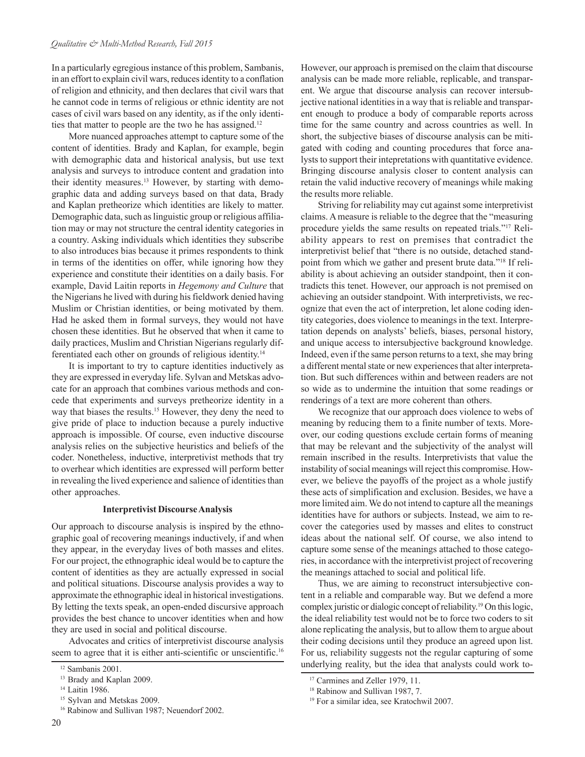#### *Qualitative & Multi-Method Research, Fall 2015*

In a particularly egregious instance of this problem, Sambanis, in an effort to explain civil wars, reduces identity to a conflation of religion and ethnicity, and then declares that civil wars that he cannot code in terms of religious or ethnic identity are not cases of civil wars based on any identity, as if the only identities that matter to people are the two he has assigned.<sup>12</sup>

More nuanced approaches attempt to capture some of the content of identities. Brady and Kaplan, for example, begin with demographic data and historical analysis, but use text analysis and surveys to introduce content and gradation into their identity measures.<sup>13</sup> However, by starting with demographic data and adding surveys based on that data, Brady and Kaplan pretheorize which identities are likely to matter. Demographic data, such as linguistic group or religious affiliation may or may not structure the central identity categories in a country. Asking individuals which identities they subscribe to also introduces bias because it primes respondents to think in terms of the identities on offer, while ignoring how they experience and constitute their identities on a daily basis. For example, David Laitin reports in *Hegemony and Culture* that the Nigerians he lived with during his fieldwork denied having Muslim or Christian identities, or being motivated by them. Had he asked them in formal surveys, they would not have chosen these identities. But he observed that when it came to daily practices, Muslim and Christian Nigerians regularly differentiated each other on grounds of religious identity.14

It is important to try to capture identities inductively as they are expressed in everyday life. Sylvan and Metskas advocate for an approach that combines various methods and concede that experiments and surveys pretheorize identity in a way that biases the results.<sup>15</sup> However, they deny the need to give pride of place to induction because a purely inductive approach is impossible. Of course, even inductive discourse analysis relies on the subjective heuristics and beliefs of the coder. Nonetheless, inductive, interpretivist methods that try to overhear which identities are expressed will perform better in revealing the lived experience and salience of identities than other approaches.

#### **Interpretivist Discourse Analysis**

Our approach to discourse analysis is inspired by the ethnographic goal of recovering meanings inductively, if and when they appear, in the everyday lives of both masses and elites. For our project, the ethnographic ideal would be to capture the content of identities as they are actually expressed in social and political situations. Discourse analysis provides a way to approximate the ethnographic ideal in historical investigations. By letting the texts speak, an open-ended discursive approach provides the best chance to uncover identities when and how they are used in social and political discourse.

Advocates and critics of interpretivist discourse analysis seem to agree that it is either anti-scientific or unscientific.<sup>16</sup>

<sup>16</sup> Rabinow and Sullivan 1987; Neuendorf 2002.

However, our approach is premised on the claim that discourse analysis can be made more reliable, replicable, and transparent. We argue that discourse analysis can recover intersubjective national identities in a way that is reliable and transparent enough to produce a body of comparable reports across time for the same country and across countries as well. In short, the subjective biases of discourse analysis can be mitigated with coding and counting procedures that force analysts to support their intepretations with quantitative evidence. Bringing discourse analysis closer to content analysis can retain the valid inductive recovery of meanings while making the results more reliable.

Striving for reliability may cut against some interpretivist claims. A measure is reliable to the degree that the "measuring procedure yields the same results on repeated trials."17 Reliability appears to rest on premises that contradict the interpretivist belief that "there is no outside, detached standpoint from which we gather and present brute data."18 If reliability is about achieving an outsider standpoint, then it contradicts this tenet. However, our approach is not premised on achieving an outsider standpoint. With interpretivists, we recognize that even the act of interpretion, let alone coding identity categories, does violence to meanings in the text. Interpretation depends on analysts' beliefs, biases, personal history, and unique access to intersubjective background knowledge. Indeed, even if the same person returns to a text, she may bring a different mental state or new experiences that alter interpretation. But such differences within and between readers are not so wide as to undermine the intuition that some readings or renderings of a text are more coherent than others.

We recognize that our approach does violence to webs of meaning by reducing them to a finite number of texts. Moreover, our coding questions exclude certain forms of meaning that may be relevant and the subjectivity of the analyst will remain inscribed in the results. Interpretivists that value the instability of social meanings will reject this compromise. However, we believe the payoffs of the project as a whole justify these acts of simplification and exclusion. Besides, we have a more limited aim. We do not intend to capture all the meanings identities have for authors or subjects. Instead, we aim to recover the categories used by masses and elites to construct ideas about the national self. Of course, we also intend to capture some sense of the meanings attached to those categories, in accordance with the interpretivist project of recovering the meanings attached to social and political life.

Thus, we are aiming to reconstruct intersubjective content in a reliable and comparable way. But we defend a more complex juristic or dialogic concept of reliability.19 On this logic, the ideal reliability test would not be to force two coders to sit alone replicating the analysis, but to allow them to argue about their coding decisions until they produce an agreed upon list. For us, reliability suggests not the regular capturing of some underlying reality, but the idea that analysts could work to-

<sup>12</sup> Sambanis 2001.

<sup>&</sup>lt;sup>13</sup> Brady and Kaplan 2009.

<sup>&</sup>lt;sup>14</sup> Laitin 1986.

<sup>&</sup>lt;sup>15</sup> Sylvan and Metskas 2009.

<sup>&</sup>lt;sup>17</sup> Carmines and Zeller 1979, 11.

<sup>&</sup>lt;sup>18</sup> Rabinow and Sullivan 1987, 7.

<sup>19</sup> For a similar idea, see Kratochwil 2007.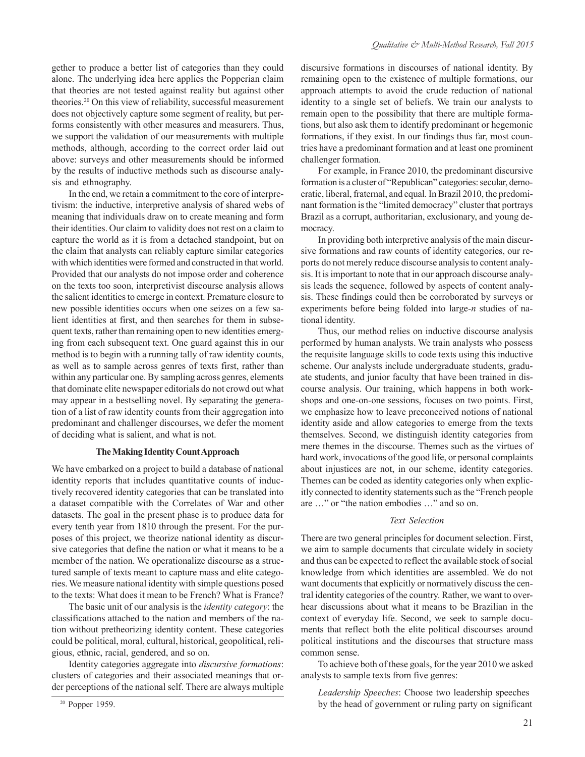gether to produce a better list of categories than they could alone. The underlying idea here applies the Popperian claim that theories are not tested against reality but against other theories.20 On this view of reliability, successful measurement does not objectively capture some segment of reality, but performs consistently with other measures and measurers. Thus, we support the validation of our measurements with multiple methods, although, according to the correct order laid out above: surveys and other measurements should be informed by the results of inductive methods such as discourse analysis and ethnography.

In the end, we retain a commitment to the core of interpretivism: the inductive, interpretive analysis of shared webs of meaning that individuals draw on to create meaning and form their identities. Our claim to validity does not rest on a claim to capture the world as it is from a detached standpoint, but on the claim that analysts can reliably capture similar categories with which identities were formed and constructed in that world. Provided that our analysts do not impose order and coherence on the texts too soon, interpretivist discourse analysis allows the salient identities to emerge in context. Premature closure to new possible identities occurs when one seizes on a few salient identities at first, and then searches for them in subsequent texts, rather than remaining open to new identities emerging from each subsequent text. One guard against this in our method is to begin with a running tally of raw identity counts, as well as to sample across genres of texts first, rather than within any particular one. By sampling across genres, elements that dominate elite newspaper editorials do not crowd out what may appear in a bestselling novel. By separating the generation of a list of raw identity counts from their aggregation into predominant and challenger discourses, we defer the moment of deciding what is salient, and what is not.

#### **The Making Identity Count Approach**

We have embarked on a project to build a database of national identity reports that includes quantitative counts of inductively recovered identity categories that can be translated into a dataset compatible with the Correlates of War and other datasets. The goal in the present phase is to produce data for every tenth year from 1810 through the present. For the purposes of this project, we theorize national identity as discursive categories that define the nation or what it means to be a member of the nation. We operationalize discourse as a structured sample of texts meant to capture mass and elite categories. We measure national identity with simple questions posed to the texts: What does it mean to be French? What is France?

The basic unit of our analysis is the *identity category*: the classifications attached to the nation and members of the nation without pretheorizing identity content. These categories could be political, moral, cultural, historical, geopolitical, religious, ethnic, racial, gendered, and so on.

Identity categories aggregate into *discursive formations*: clusters of categories and their associated meanings that order perceptions of the national self. There are always multiple discursive formations in discourses of national identity. By remaining open to the existence of multiple formations, our approach attempts to avoid the crude reduction of national identity to a single set of beliefs. We train our analysts to remain open to the possibility that there are multiple formations, but also ask them to identify predominant or hegemonic formations, if they exist. In our findings thus far, most countries have a predominant formation and at least one prominent challenger formation.

For example, in France 2010, the predominant discursive formation is a cluster of "Republican" categories: secular, democratic, liberal, fraternal, and equal. In Brazil 2010, the predominant formation is the "limited democracy" cluster that portrays Brazil as a corrupt, authoritarian, exclusionary, and young democracy.

In providing both interpretive analysis of the main discursive formations and raw counts of identity categories, our reports do not merely reduce discourse analysis to content analysis. It is important to note that in our approach discourse analysis leads the sequence, followed by aspects of content analysis. These findings could then be corroborated by surveys or experiments before being folded into large-*n* studies of national identity.

Thus, our method relies on inductive discourse analysis performed by human analysts. We train analysts who possess the requisite language skills to code texts using this inductive scheme. Our analysts include undergraduate students, graduate students, and junior faculty that have been trained in discourse analysis. Our training, which happens in both workshops and one-on-one sessions, focuses on two points. First, we emphasize how to leave preconceived notions of national identity aside and allow categories to emerge from the texts themselves. Second, we distinguish identity categories from mere themes in the discourse. Themes such as the virtues of hard work, invocations of the good life, or personal complaints about injustices are not, in our scheme, identity categories. Themes can be coded as identity categories only when explicitly connected to identity statements such as the "French people are …" or "the nation embodies …" and so on.

#### *Text Selection*

There are two general principles for document selection. First, we aim to sample documents that circulate widely in society and thus can be expected to reflect the available stock of social knowledge from which identities are assembled. We do not want documents that explicitly or normatively discuss the central identity categories of the country. Rather, we want to overhear discussions about what it means to be Brazilian in the context of everyday life. Second, we seek to sample documents that reflect both the elite political discourses around political institutions and the discourses that structure mass common sense.

To achieve both of these goals, for the year 2010 we asked analysts to sample texts from five genres:

*Leadership Speeches*: Choose two leadership speeches by the head of government or ruling party on significant

<sup>20</sup> Popper 1959.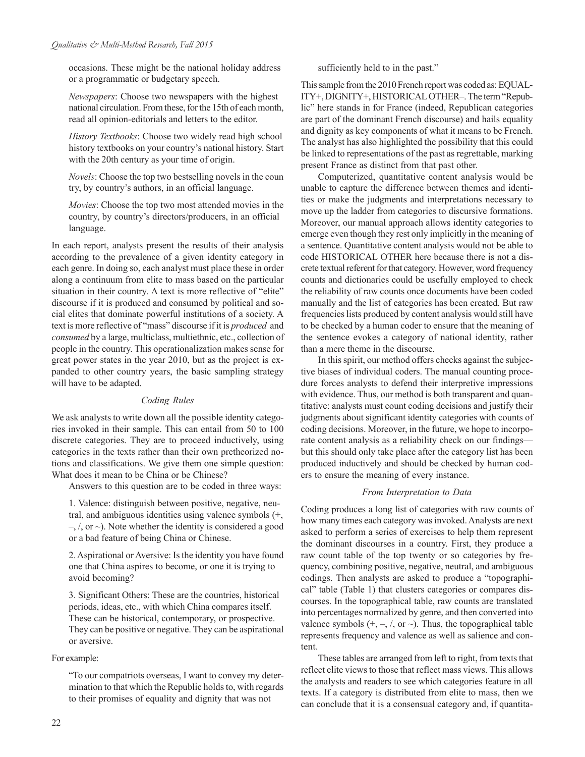occasions. These might be the national holiday address or a programmatic or budgetary speech.

*Newspapers*: Choose two newspapers with the highest national circulation. From these, for the 15th of each month, read all opinion-editorials and letters to the editor.

*History Textbooks*: Choose two widely read high school history textbooks on your country's national history. Start with the 20th century as your time of origin.

*Novels*: Choose the top two bestselling novels in the coun try, by country's authors, in an official language.

*Movies*: Choose the top two most attended movies in the country, by country's directors/producers, in an official language.

In each report, analysts present the results of their analysis according to the prevalence of a given identity category in each genre. In doing so, each analyst must place these in order along a continuum from elite to mass based on the particular situation in their country. A text is more reflective of "elite" discourse if it is produced and consumed by political and social elites that dominate powerful institutions of a society. A text is more reflective of "mass" discourse if it is *produced* and *consumed* by a large, multiclass, multiethnic, etc., collection of people in the country. This operationalization makes sense for great power states in the year 2010, but as the project is expanded to other country years, the basic sampling strategy will have to be adapted.

### *Coding Rules*

We ask analysts to write down all the possible identity categories invoked in their sample. This can entail from 50 to 100 discrete categories. They are to proceed inductively, using categories in the texts rather than their own pretheorized notions and classifications. We give them one simple question: What does it mean to be China or be Chinese?

Answers to this question are to be coded in three ways:

1. Valence: distinguish between positive, negative, neutral, and ambiguous identities using valence symbols (+,  $-$ ,  $\ell$ , or  $\sim$ ). Note whether the identity is considered a good or a bad feature of being China or Chinese.

2. Aspirational or Aversive: Is the identity you have found one that China aspires to become, or one it is trying to avoid becoming?

3. Significant Others: These are the countries, historical periods, ideas, etc., with which China compares itself. These can be historical, contemporary, or prospective. They can be positive or negative. They can be aspirational or aversive.

### For example:

"To our compatriots overseas, I want to convey my determination to that which the Republic holds to, with regards to their promises of equality and dignity that was not

sufficiently held to in the past."

This sample from the 2010 French report was coded as: EQUAL-ITY+, DIGNITY+, HISTORICAL OTHER–. The term "Republic" here stands in for France (indeed, Republican categories are part of the dominant French discourse) and hails equality and dignity as key components of what it means to be French. The analyst has also highlighted the possibility that this could be linked to representations of the past as regrettable, marking present France as distinct from that past other.

Computerized, quantitative content analysis would be unable to capture the difference between themes and identities or make the judgments and interpretations necessary to move up the ladder from categories to discursive formations. Moreover, our manual approach allows identity categories to emerge even though they rest only implicitly in the meaning of a sentence. Quantitative content analysis would not be able to code HISTORICAL OTHER here because there is not a discrete textual referent for that category. However, word frequency counts and dictionaries could be usefully employed to check the reliability of raw counts once documents have been coded manually and the list of categories has been created. But raw frequencies lists produced by content analysis would still have to be checked by a human coder to ensure that the meaning of the sentence evokes a category of national identity, rather than a mere theme in the discourse.

In this spirit, our method offers checks against the subjective biases of individual coders. The manual counting procedure forces analysts to defend their interpretive impressions with evidence. Thus, our method is both transparent and quantitative: analysts must count coding decisions and justify their judgments about significant identity categories with counts of coding decisions. Moreover, in the future, we hope to incorporate content analysis as a reliability check on our findings but this should only take place after the category list has been produced inductively and should be checked by human coders to ensure the meaning of every instance.

### *From Interpretation to Data*

Coding produces a long list of categories with raw counts of how many times each category was invoked. Analysts are next asked to perform a series of exercises to help them represent the dominant discourses in a country. First, they produce a raw count table of the top twenty or so categories by frequency, combining positive, negative, neutral, and ambiguous codings. Then analysts are asked to produce a "topographical" table (Table 1) that clusters categories or compares discourses. In the topographical table, raw counts are translated into percentages normalized by genre, and then converted into valence symbols  $(+, -, /, \text{ or } \sim)$ . Thus, the topographical table represents frequency and valence as well as salience and content.

These tables are arranged from left to right, from texts that reflect elite views to those that reflect mass views. This allows the analysts and readers to see which categories feature in all texts. If a category is distributed from elite to mass, then we can conclude that it is a consensual category and, if quantita-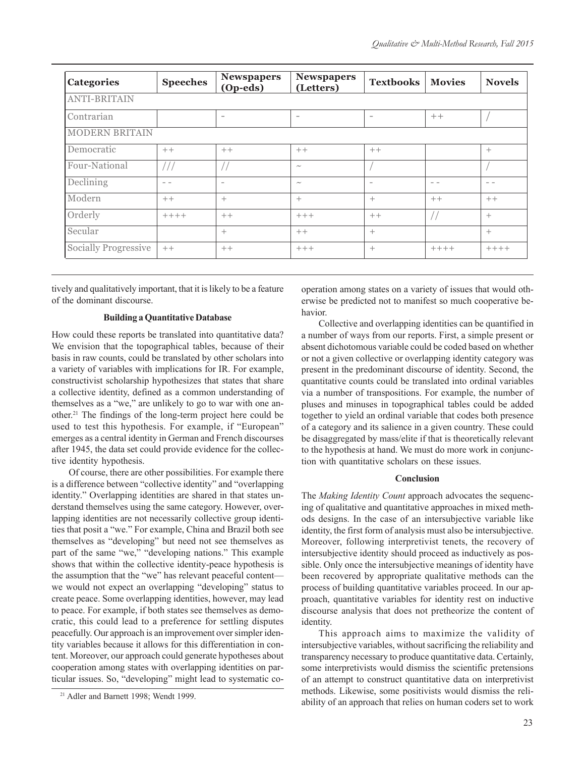| Categories            | <b>Speeches</b> | <b>Newspapers</b><br>(Op-eds) | <b>Newspapers</b><br>(Letters) | <b>Textbooks</b>         | <b>Movies</b> | <b>Novels</b> |  |  |  |
|-----------------------|-----------------|-------------------------------|--------------------------------|--------------------------|---------------|---------------|--|--|--|
| <b>ANTI-BRITAIN</b>   |                 |                               |                                |                          |               |               |  |  |  |
| Contrarian            |                 | $\overline{\phantom{a}}$      | $\overline{\phantom{a}}$       | $\overline{\phantom{a}}$ | $++$          |               |  |  |  |
| <b>MODERN BRITAIN</b> |                 |                               |                                |                          |               |               |  |  |  |
| Democratic            | $++$            | $++$                          | $++$                           | $++$                     |               | $+$           |  |  |  |
| Four-National         |                 |                               | $\sim\,$                       |                          |               |               |  |  |  |
| Declining             | $ -$            | $\overline{\phantom{a}}$      | $\sim$                         | $\overline{\phantom{a}}$ | $ -$          | $ -$          |  |  |  |
| Modern                | $++$            | $^{+}$                        | $^{+}$                         | $\ddot{}$                | $++$          | $++$          |  |  |  |
| Orderly               | $+++++$         | $++$                          | $+++$                          | $++$                     |               | $+$           |  |  |  |
| Secular               |                 | $^{+}$                        | $++$                           | $+$                      |               | $+$           |  |  |  |
| Socially Progressive  | $++$            | $++$                          | $+++$                          | $+$                      | $+++++$       | $+++++$       |  |  |  |

tively and qualitatively important, that it is likely to be a feature of the dominant discourse.

#### **Building a Quantitative Database**

How could these reports be translated into quantitative data? We envision that the topographical tables, because of their basis in raw counts, could be translated by other scholars into a variety of variables with implications for IR. For example, constructivist scholarship hypothesizes that states that share a collective identity, defined as a common understanding of themselves as a "we," are unlikely to go to war with one another.21 The findings of the long-term project here could be used to test this hypothesis. For example, if "European" emerges as a central identity in German and French discourses after 1945, the data set could provide evidence for the collective identity hypothesis.

Of course, there are other possibilities. For example there is a difference between "collective identity" and "overlapping identity." Overlapping identities are shared in that states understand themselves using the same category. However, overlapping identities are not necessarily collective group identities that posit a "we." For example, China and Brazil both see themselves as "developing" but need not see themselves as part of the same "we," "developing nations." This example shows that within the collective identity-peace hypothesis is the assumption that the "we" has relevant peaceful content we would not expect an overlapping "developing" status to create peace. Some overlapping identities, however, may lead to peace. For example, if both states see themselves as democratic, this could lead to a preference for settling disputes peacefully. Our approach is an improvement over simpler identity variables because it allows for this differentiation in content. Moreover, our approach could generate hypotheses about cooperation among states with overlapping identities on particular issues. So, "developing" might lead to systematic co-

operation among states on a variety of issues that would otherwise be predicted not to manifest so much cooperative behavior.

Collective and overlapping identities can be quantified in a number of ways from our reports. First, a simple present or absent dichotomous variable could be coded based on whether or not a given collective or overlapping identity category was present in the predominant discourse of identity. Second, the quantitative counts could be translated into ordinal variables via a number of transpositions. For example, the number of pluses and minuses in topographical tables could be added together to yield an ordinal variable that codes both presence of a category and its salience in a given country. These could be disaggregated by mass/elite if that is theoretically relevant to the hypothesis at hand. We must do more work in conjunction with quantitative scholars on these issues.

#### **Conclusion**

The *Making Identity Count* approach advocates the sequencing of qualitative and quantitative approaches in mixed methods designs. In the case of an intersubjective variable like identity, the first form of analysis must also be intersubjective. Moreover, following interpretivist tenets, the recovery of intersubjective identity should proceed as inductively as possible. Only once the intersubjective meanings of identity have been recovered by appropriate qualitative methods can the process of building quantitative variables proceed. In our approach, quantitative variables for identity rest on inductive discourse analysis that does not pretheorize the content of identity.

This approach aims to maximize the validity of intersubjective variables, without sacrificing the reliability and transparency necessary to produce quantitative data. Certainly, some interpretivists would dismiss the scientific pretensions of an attempt to construct quantitative data on interpretivist methods. Likewise, some positivists would dismiss the reliability of an approach that relies on human coders set to work

<sup>21</sup> Adler and Barnett 1998; Wendt 1999.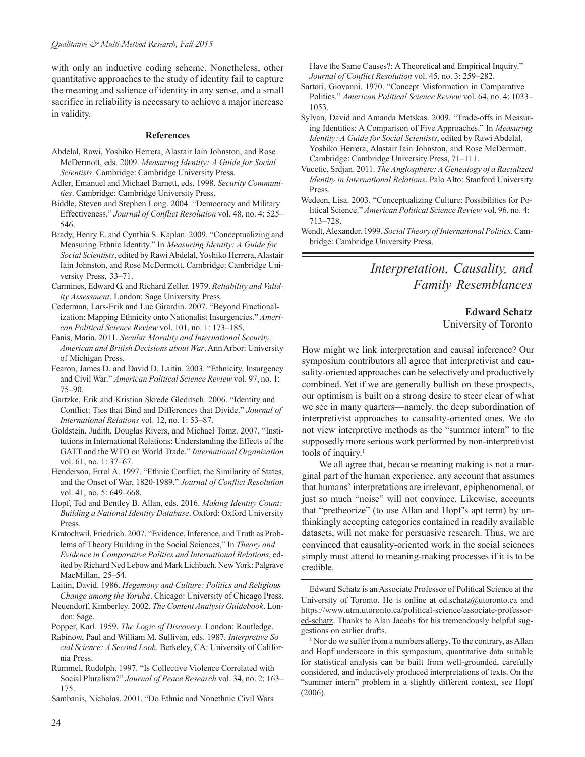with only an inductive coding scheme. Nonetheless, other quantitative approaches to the study of identity fail to capture the meaning and salience of identity in any sense, and a small sacrifice in reliability is necessary to achieve a major increase in validity.

#### **References**

- Abdelal, Rawi, Yoshiko Herrera, Alastair Iain Johnston, and Rose McDermott, eds. 2009. *Measuring Identity: A Guide for Social Scientists*. Cambridge: Cambridge University Press.
- Adler, Emanuel and Michael Barnett, eds. 1998. *Security Communities*. Cambridge: Cambridge University Press.
- Biddle, Steven and Stephen Long. 2004. "Democracy and Military Effectiveness." *Journal of Conflict Resolution* vol. 48, no. 4: 525– 546.
- Brady, Henry E. and Cynthia S. Kaplan. 2009. "Conceptualizing and Measuring Ethnic Identity." In *Measuring Identity: A Guide for Social Scientists*, edited by Rawi Abdelal, Yoshiko Herrera, Alastair Iain Johnston, and Rose McDermott. Cambridge: Cambridge University Press, 33–71.
- Carmines, Edward G. and Richard Zeller. 1979. *Reliability and Validity Assessment*. London: Sage University Press.
- Cederman, Lars-Erik and Luc Girardin. 2007. "Beyond Fractionalization: Mapping Ethnicity onto Nationalist Insurgencies." *American Political Science Review* vol. 101, no. 1: 173–185.
- Fanis, Maria. 2011. *Secular Morality and International Security: American and British Decisions about War*. Ann Arbor: University of Michigan Press.
- Fearon, James D. and David D. Laitin. 2003. "Ethnicity, Insurgency and Civil War." *American Political Science Review* vol. 97, no. 1: 75–90.
- Gartzke, Erik and Kristian Skrede Gleditsch. 2006. "Identity and Conflict: Ties that Bind and Differences that Divide." *Journal of International Relations* vol. 12, no. 1: 53–87.
- Goldstein, Judith, Douglas Rivers, and Michael Tomz. 2007. "Institutions in International Relations: Understanding the Effects of the GATT and the WTO on World Trade." *International Organization* vol. 61, no. 1: 37–67.
- Henderson, Errol A. 1997. "Ethnic Conflict, the Similarity of States, and the Onset of War, 1820-1989." *Journal of Conflict Resolution* vol. 41, no. 5: 649-668.
- Hopf, Ted and Bentley B. Allan, eds. 2016. *Making Identity Count: Building a National Identity Database*. Oxford: Oxford University Press.
- Kratochwil, Friedrich. 2007. "Evidence, Inference, and Truth as Problems of Theory Building in the Social Sciences," In *Theory and Evidence in Comparative Politics and International Relations*, edited by Richard Ned Lebow and Mark Lichbach. New York: Palgrave MacMillan, 25–54.
- Laitin, David. 1986. *Hegemony and Culture: Politics and Religious Change among the Yoruba*. Chicago: University of Chicago Press.
- Neuendorf, Kimberley. 2002. *The Content Analysis Guidebook*. London: Sage.
- Popper, Karl. 1959. *The Logic of Discovery*. London: Routledge.
- Rabinow, Paul and William M. Sullivan, eds. 1987. *Interpretive So cial Science: A Second Look*. Berkeley, CA: University of California Press.
- Rummel, Rudolph. 1997. "Is Collective Violence Correlated with Social Pluralism?" *Journal of Peace Research* vol. 34, no. 2: 163– 175.
- Sambanis, Nicholas. 2001. "Do Ethnic and Nonethnic Civil Wars

Have the Same Causes?: A Theoretical and Empirical Inquiry." *Journal of Conflict Resolution* vol. 45, no. 3: 259–282.

- Sartori, Giovanni. 1970. "Concept Misformation in Comparative Politics." *American Political Science Review* vol. 64, no. 4: 1033– 1053.
- Sylvan, David and Amanda Metskas. 2009. "Trade-offs in Measuring Identities: A Comparison of Five Approaches." In *Measuring Identity: A Guide for Social Scientists*, edited by Rawi Abdelal, Yoshiko Herrera, Alastair Iain Johnston, and Rose McDermott. Cambridge: Cambridge University Press, 71–111.
- Vucetic, Srdjan. 2011. *The Anglosphere: A Genealogy of a Racialized Identity in International Relations*. Palo Alto: Stanford University Press.
- Wedeen, Lisa. 2003. "Conceptualizing Culture: Possibilities for Political Science." *American Political Science Review* vol. 96, no. 4: 713–728.
- Wendt, Alexander. 1999. *Social Theory of International Politics*. Cambridge: Cambridge University Press.

## *Interpretation, Causality, and Family Resemblances*

## **Edward Schatz**

University of Toronto

How might we link interpretation and causal inference? Our symposium contributors all agree that interpretivist and causality-oriented approaches can be selectively and productively combined. Yet if we are generally bullish on these prospects, our optimism is built on a strong desire to steer clear of what we see in many quarters—namely, the deep subordination of interpretivist approaches to causality-oriented ones. We do not view interpretive methods as the "summer intern" to the supposedly more serious work performed by non-interpretivist tools of inquiry.<sup>1</sup>

We all agree that, because meaning making is not a marginal part of the human experience, any account that assumes that humans' interpretations are irrelevant, epiphenomenal, or just so much "noise" will not convince. Likewise, accounts that "pretheorize" (to use Allan and Hopf's apt term) by unthinkingly accepting categories contained in readily available datasets, will not make for persuasive research. Thus, we are convinced that causality-oriented work in the social sciences simply must attend to meaning-making processes if it is to be credible.

Edward Schatz is an Associate Professor of Political Science at the University of Toronto. He is online at ed.schatz@utoronto.ca and https://www.utm.utoronto.ca/political-science/associate-professored-schatz. Thanks to Alan Jacobs for his tremendously helpful suggestions on earlier drafts.

<sup>1</sup> Nor do we suffer from a numbers allergy. To the contrary, as Allan and Hopf underscore in this symposium, quantitative data suitable for statistical analysis can be built from well-grounded, carefully considered, and inductively produced interpretations of texts. On the "summer intern" problem in a slightly different context, see Hopf (2006).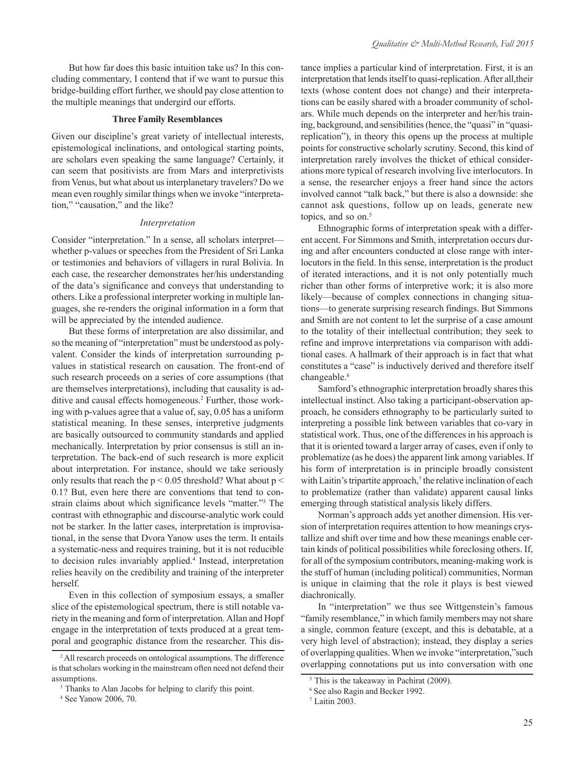But how far does this basic intuition take us? In this concluding commentary, I contend that if we want to pursue this bridge-building effort further, we should pay close attention to the multiple meanings that undergird our efforts.

#### **Three Family Resemblances**

Given our discipline's great variety of intellectual interests, epistemological inclinations, and ontological starting points, are scholars even speaking the same language? Certainly, it can seem that positivists are from Mars and interpretivists from Venus, but what about us interplanetary travelers? Do we mean even roughly similar things when we invoke "interpretation," "causation," and the like?

#### *Interpretation*

Consider "interpretation." In a sense, all scholars interpret whether p-values or speeches from the President of Sri Lanka or testimonies and behaviors of villagers in rural Bolivia. In each case, the researcher demonstrates her/his understanding of the data's significance and conveys that understanding to others. Like a professional interpreter working in multiple languages, she re-renders the original information in a form that will be appreciated by the intended audience.

But these forms of interpretation are also dissimilar, and so the meaning of "interpretation" must be understood as polyvalent. Consider the kinds of interpretation surrounding pvalues in statistical research on causation. The front-end of such research proceeds on a series of core assumptions (that are themselves interpretations), including that causality is additive and causal effects homogeneous.<sup>2</sup> Further, those working with p-values agree that a value of, say, 0.05 has a uniform statistical meaning. In these senses, interpretive judgments are basically outsourced to community standards and applied mechanically. Interpretation by prior consensus is still an interpretation. The back-end of such research is more explicit about interpretation. For instance, should we take seriously only results that reach the  $p < 0.05$  threshold? What about  $p <$ 0.1? But, even here there are conventions that tend to constrain claims about which significance levels "matter."3 The contrast with ethnographic and discourse-analytic work could not be starker. In the latter cases, interpretation is improvisational, in the sense that Dvora Yanow uses the term. It entails a systematic-ness and requires training, but it is not reducible to decision rules invariably applied.<sup>4</sup> Instead, interpretation relies heavily on the credibility and training of the interpreter herself.

Even in this collection of symposium essays, a smaller slice of the epistemological spectrum, there is still notable variety in the meaning and form of interpretation. Allan and Hopf engage in the interpretation of texts produced at a great temporal and geographic distance from the researcher. This distance implies a particular kind of interpretation. First, it is an interpretation that lends itself to quasi-replication. After all,their texts (whose content does not change) and their interpretations can be easily shared with a broader community of scholars. While much depends on the interpreter and her/his training, background, and sensibilities (hence, the "quasi" in "quasireplication"), in theory this opens up the process at multiple points for constructive scholarly scrutiny. Second, this kind of interpretation rarely involves the thicket of ethical considerations more typical of research involving live interlocutors. In a sense, the researcher enjoys a freer hand since the actors involved cannot "talk back," but there is also a downside: she cannot ask questions, follow up on leads, generate new topics, and so on.<sup>5</sup>

Ethnographic forms of interpretation speak with a different accent. For Simmons and Smith, interpretation occurs during and after encounters conducted at close range with interlocutors in the field. In this sense, interpretation is the product of iterated interactions, and it is not only potentially much richer than other forms of interpretive work; it is also more likely—because of complex connections in changing situations—to generate surprising research findings. But Simmons and Smith are not content to let the surprise of a case amount to the totality of their intellectual contribution; they seek to refine and improve interpretations via comparison with additional cases. A hallmark of their approach is in fact that what constitutes a "case" is inductively derived and therefore itself changeable.<sup>6</sup>

Samford's ethnographic interpretation broadly shares this intellectual instinct. Also taking a participant-observation approach, he considers ethnography to be particularly suited to interpreting a possible link between variables that co-vary in statistical work. Thus, one of the differences in his approach is that it is oriented toward a larger array of cases, even if only to problematize (as he does) the apparent link among variables. If his form of interpretation is in principle broadly consistent with Laitin's tripartite approach, $\tau$  the relative inclination of each to problematize (rather than validate) apparent causal links emerging through statistical analysis likely differs.

Norman's approach adds yet another dimension. His version of interpretation requires attention to how meanings crystallize and shift over time and how these meanings enable certain kinds of political possibilities while foreclosing others. If, for all of the symposium contributors, meaning-making work is the stuff of human (including political) communities, Norman is unique in claiming that the role it plays is best viewed diachronically.

In "interpretation" we thus see Wittgenstein's famous "family resemblance," in which family members may not share a single, common feature (except, and this is debatable, at a very high level of abstraction); instead, they display a series of overlapping qualities. When we invoke "interpretation,"such overlapping connotations put us into conversation with one

<sup>2</sup> All research proceeds on ontological assumptions. The difference is that scholars working in the mainstream often need not defend their assumptions.

<sup>&</sup>lt;sup>3</sup> Thanks to Alan Jacobs for helping to clarify this point.

<sup>4</sup> See Yanow 2006, 70.

<sup>&</sup>lt;sup>5</sup> This is the takeaway in Pachirat (2009).

<sup>6</sup> See also Ragin and Becker 1992.

<sup>7</sup> Laitin 2003.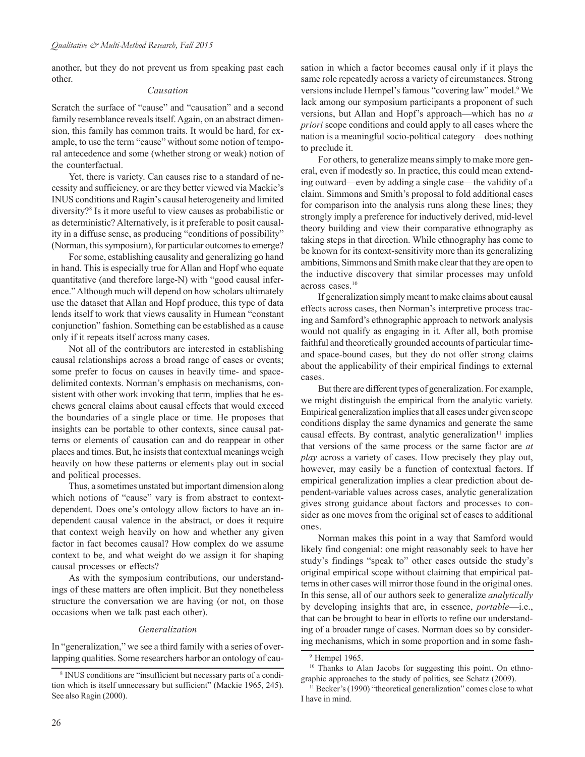another, but they do not prevent us from speaking past each other.

#### *Causation*

Scratch the surface of "cause" and "causation" and a second family resemblance reveals itself. Again, on an abstract dimension, this family has common traits. It would be hard, for example, to use the term "cause" without some notion of temporal antecedence and some (whether strong or weak) notion of the counterfactual.

Yet, there is variety. Can causes rise to a standard of necessity and sufficiency, or are they better viewed via Mackie's INUS conditions and Ragin's causal heterogeneity and limited diversity?8 Is it more useful to view causes as probabilistic or as deterministic? Alternatively, is it preferable to posit causality in a diffuse sense, as producing "conditions of possibility" (Norman, this symposium), for particular outcomes to emerge?

For some, establishing causality and generalizing go hand in hand. This is especially true for Allan and Hopf who equate quantitative (and therefore large-N) with "good causal inference." Although much will depend on how scholars ultimately use the dataset that Allan and Hopf produce, this type of data lends itself to work that views causality in Humean "constant conjunction" fashion. Something can be established as a cause only if it repeats itself across many cases.

Not all of the contributors are interested in establishing causal relationships across a broad range of cases or events; some prefer to focus on causes in heavily time- and spacedelimited contexts. Norman's emphasis on mechanisms, consistent with other work invoking that term, implies that he eschews general claims about causal effects that would exceed the boundaries of a single place or time. He proposes that insights can be portable to other contexts, since causal patterns or elements of causation can and do reappear in other places and times. But, he insists that contextual meanings weigh heavily on how these patterns or elements play out in social and political processes.

Thus, a sometimes unstated but important dimension along which notions of "cause" vary is from abstract to contextdependent. Does one's ontology allow factors to have an independent causal valence in the abstract, or does it require that context weigh heavily on how and whether any given factor in fact becomes causal? How complex do we assume context to be, and what weight do we assign it for shaping causal processes or effects?

As with the symposium contributions, our understandings of these matters are often implicit. But they nonetheless structure the conversation we are having (or not, on those occasions when we talk past each other).

#### *Generalization*

In "generalization," we see a third family with a series of overlapping qualities. Some researchers harbor an ontology of causation in which a factor becomes causal only if it plays the same role repeatedly across a variety of circumstances. Strong versions include Hempel's famous "covering law" model.<sup>9</sup> We lack among our symposium participants a proponent of such versions, but Allan and Hopf's approach—which has no *a priori* scope conditions and could apply to all cases where the nation is a meaningful socio-political category—does nothing to preclude it.

For others, to generalize means simply to make more general, even if modestly so. In practice, this could mean extending outward—even by adding a single case—the validity of a claim. Simmons and Smith's proposal to fold additional cases for comparison into the analysis runs along these lines; they strongly imply a preference for inductively derived, mid-level theory building and view their comparative ethnography as taking steps in that direction. While ethnography has come to be known for its context-sensitivity more than its generalizing ambitions, Simmons and Smith make clear that they are open to the inductive discovery that similar processes may unfold across cases.10

If generalization simply meant to make claims about causal effects across cases, then Norman's interpretive process tracing and Samford's ethnographic approach to network analysis would not qualify as engaging in it. After all, both promise faithful and theoretically grounded accounts of particular timeand space-bound cases, but they do not offer strong claims about the applicability of their empirical findings to external cases.

But there are different types of generalization. For example, we might distinguish the empirical from the analytic variety. Empirical generalization implies that all cases under given scope conditions display the same dynamics and generate the same causal effects. By contrast, analytic generalization $11$  implies that versions of the same process or the same factor are *at play* across a variety of cases. How precisely they play out, however, may easily be a function of contextual factors. If empirical generalization implies a clear prediction about dependent-variable values across cases, analytic generalization gives strong guidance about factors and processes to consider as one moves from the original set of cases to additional ones.

Norman makes this point in a way that Samford would likely find congenial: one might reasonably seek to have her study's findings "speak to" other cases outside the study's original empirical scope without claiming that empirical patterns in other cases will mirror those found in the original ones. In this sense, all of our authors seek to generalize *analytically* by developing insights that are, in essence, *portable*—i.e., that can be brought to bear in efforts to refine our understanding of a broader range of cases. Norman does so by considering mechanisms, which in some proportion and in some fash-

<sup>8</sup> INUS conditions are "insufficient but necessary parts of a condition which is itself unnecessary but sufficient" (Mackie 1965, 245). See also Ragin (2000).

<sup>9</sup> Hempel 1965.

<sup>&</sup>lt;sup>10</sup> Thanks to Alan Jacobs for suggesting this point. On ethnographic approaches to the study of politics, see Schatz (2009).

<sup>&</sup>lt;sup>11</sup> Becker's (1990) "theoretical generalization" comes close to what I have in mind.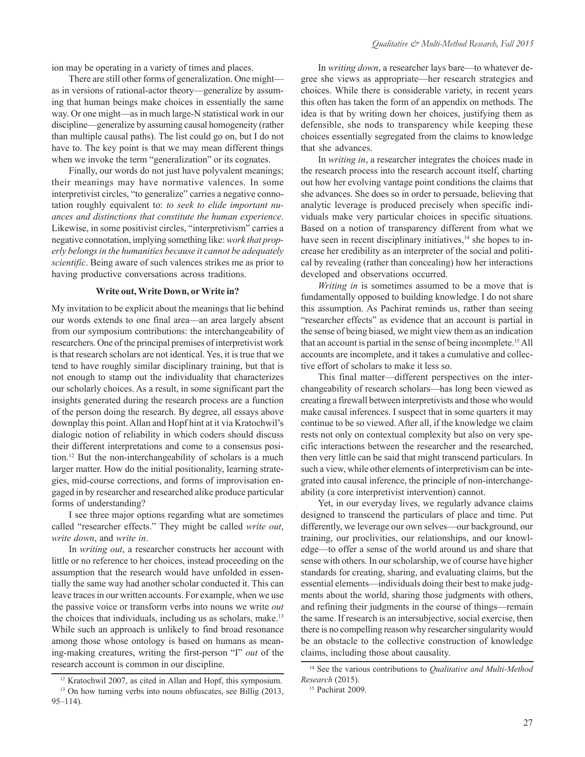ion may be operating in a variety of times and places.

There are still other forms of generalization. One might as in versions of rational-actor theory—generalize by assuming that human beings make choices in essentially the same way. Or one might—as in much large-N statistical work in our discipline—generalize by assuming causal homogeneity (rather than multiple causal paths). The list could go on, but I do not have to. The key point is that we may mean different things when we invoke the term "generalization" or its cognates.

Finally, our words do not just have polyvalent meanings; their meanings may have normative valences. In some interpretivist circles, "to generalize" carries a negative connotation roughly equivalent to: *to seek to elide important nuances and distinctions that constitute the human experience*. Likewise, in some positivist circles, "interpretivism" carries a negative connotation, implying something like: *work that properly belongs in the humanities because it cannot be adequately scientific*. Being aware of such valences strikes me as prior to having productive conversations across traditions.

#### **Write out, Write Down, or Write in?**

My invitation to be explicit about the meanings that lie behind our words extends to one final area—an area largely absent from our symposium contributions: the interchangeability of researchers. One of the principal premises of interpretivist work is that research scholars are not identical. Yes, it is true that we tend to have roughly similar disciplinary training, but that is not enough to stamp out the individuality that characterizes our scholarly choices. As a result, in some significant part the insights generated during the research process are a function of the person doing the research. By degree, all essays above downplay this point. Allan and Hopf hint at it via Kratochwil's dialogic notion of reliability in which coders should discuss their different interpretations and come to a consensus position.12 But the non-interchangeability of scholars is a much larger matter. How do the initial positionality, learning strategies, mid-course corrections, and forms of improvisation engaged in by researcher and researched alike produce particular forms of understanding?

I see three major options regarding what are sometimes called "researcher effects." They might be called *write out*, *write down*, and *write in*.

In *writing out*, a researcher constructs her account with little or no reference to her choices, instead proceeding on the assumption that the research would have unfolded in essentially the same way had another scholar conducted it. This can leave traces in our written accounts. For example, when we use the passive voice or transform verbs into nouns we write *out* the choices that individuals, including us as scholars, make.<sup>13</sup> While such an approach is unlikely to find broad resonance among those whose ontology is based on humans as meaning-making creatures, writing the first-person "I" *out* of the research account is common in our discipline.

In *writing down*, a researcher lays bare—to whatever degree she views as appropriate—her research strategies and choices. While there is considerable variety, in recent years this often has taken the form of an appendix on methods. The idea is that by writing down her choices, justifying them as defensible, she nods to transparency while keeping these choices essentially segregated from the claims to knowledge that she advances.

In *writing in*, a researcher integrates the choices made in the research process into the research account itself, charting out how her evolving vantage point conditions the claims that she advances. She does so in order to persuade, believing that analytic leverage is produced precisely when specific individuals make very particular choices in specific situations. Based on a notion of transparency different from what we have seen in recent disciplinary initiatives, $14$  she hopes to increase her credibility as an interpreter of the social and political by revealing (rather than concealing) how her interactions developed and observations occurred.

*Writing in* is sometimes assumed to be a move that is fundamentally opposed to building knowledge. I do not share this assumption. As Pachirat reminds us, rather than seeing "researcher effects" as evidence that an account is partial in the sense of being biased, we might view them as an indication that an account is partial in the sense of being incomplete.15 All accounts are incomplete, and it takes a cumulative and collective effort of scholars to make it less so.

This final matter—different perspectives on the interchangeability of research scholars—has long been viewed as creating a firewall between interpretivists and those who would make causal inferences. I suspect that in some quarters it may continue to be so viewed. After all, if the knowledge we claim rests not only on contextual complexity but also on very specific interactions between the researcher and the researched, then very little can be said that might transcend particulars. In such a view, while other elements of interpretivism can be integrated into causal inference, the principle of non-interchangeability (a core interpretivist intervention) cannot.

Yet, in our everyday lives, we regularly advance claims designed to transcend the particulars of place and time. Put differently, we leverage our own selves—our background, our training, our proclivities, our relationships, and our knowledge—to offer a sense of the world around us and share that sense with others. In our scholarship, we of course have higher standards for creating, sharing, and evaluating claims, but the essential elements—individuals doing their best to make judgments about the world, sharing those judgments with others, and refining their judgments in the course of things—remain the same. If research is an intersubjective, social exercise, then there is no compelling reason why researcher singularity would be an obstacle to the collective construction of knowledge claims, including those about causality.

<sup>12</sup> Kratochwil 2007, as cited in Allan and Hopf, this symposium.

<sup>&</sup>lt;sup>13</sup> On how turning verbs into nouns obfuscates, see Billig (2013, 95–114).

<sup>14</sup> See the various contributions to *Qualitative and Multi-Method Research* (2015).

<sup>&</sup>lt;sup>15</sup> Pachirat 2009.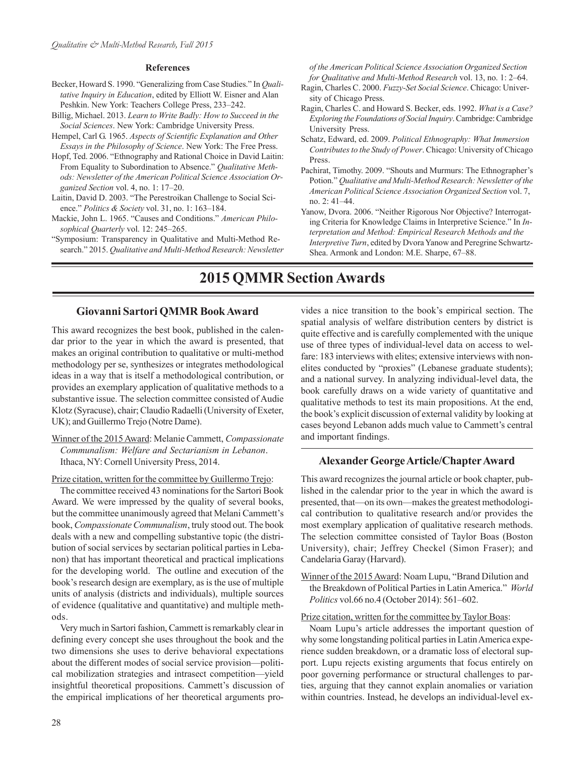#### **References**

- Becker, Howard S. 1990. "Generalizing from Case Studies." In *Qualitative Inquiry in Education*, edited by Elliott W. Eisner and Alan Peshkin. New York: Teachers College Press, 233–242.
- Billig, Michael. 2013. *Learn to Write Badly: How to Succeed in the Social Sciences*. New York: Cambridge University Press.
- Hempel, Carl G. 1965. *Aspects of Scientific Explanation and Other Essays in the Philosophy of Science*. New York: The Free Press.
- Hopf, Ted. 2006. "Ethnography and Rational Choice in David Laitin: From Equality to Subordination to Absence." *Qualitative Methods: Newsletter of the American Political Science Association Organized Section* vol. 4, no. 1: 17–20.
- Laitin, David D. 2003. "The Perestroikan Challenge to Social Science." *Politics & Society* vol. 31, no. 1: 163–184.
- Mackie, John L. 1965. "Causes and Conditions." *American Philosophical Quarterly* vol. 12: 245–265.
- "Symposium: Transparency in Qualitative and Multi-Method Research." 2015. *Qualitative and Multi-Method Research: Newsletter*

*of the American Political Science Association Organized Section for Qualitative and Multi-Method Research* vol. 13, no. 1: 2–64.

- Ragin, Charles C. 2000. *Fuzzy-Set Social Science*. Chicago: University of Chicago Press.
- Ragin, Charles C. and Howard S. Becker, eds. 1992. *What is a Case? Exploring the Foundations of Social Inquiry*. Cambridge: Cambridge University Press.
- Schatz, Edward, ed. 2009. *Political Ethnography: What Immersion Contributes to the Study of Power*. Chicago: University of Chicago Press.
- Pachirat, Timothy. 2009. "Shouts and Murmurs: The Ethnographer's Potion." *Qualitative and Multi-Method Research: Newsletter of the American Political Science Association Organized Section* vol. 7, no. 2: 41–44.
- Yanow, Dvora. 2006. "Neither Rigorous Nor Objective? Interrogating Criteria for Knowledge Claims in Interpretive Science." In *Interpretation and Method: Empirical Research Methods and the Interpretive Turn*, edited by Dvora Yanow and Peregrine Schwartz-Shea. Armonk and London: M.E. Sharpe, 67–88.

## **2015 QMMR Section Awards**

## **Giovanni Sartori QMMR Book Award**

This award recognizes the best book, published in the calendar prior to the year in which the award is presented, that makes an original contribution to qualitative or multi-method methodology per se, synthesizes or integrates methodological ideas in a way that is itself a methodological contribution, or provides an exemplary application of qualitative methods to a substantive issue. The selection committee consisted of Audie Klotz (Syracuse), chair; Claudio Radaelli (University of Exeter, UK); and Guillermo Trejo (Notre Dame).

Winner of the 2015 Award: Melanie Cammett, *Compassionate Communalism: Welfare and Sectarianism in Lebanon*. Ithaca, NY: Cornell University Press, 2014.

Prize citation, written for the committee by Guillermo Trejo:

The committee received 43 nominations for the Sartori Book Award. We were impressed by the quality of several books, but the committee unanimously agreed that Melani Cammett's book, *Compassionate Communalism*, truly stood out. The book deals with a new and compelling substantive topic (the distribution of social services by sectarian political parties in Lebanon) that has important theoretical and practical implications for the developing world. The outline and execution of the book's research design are exemplary, as is the use of multiple units of analysis (districts and individuals), multiple sources of evidence (qualitative and quantitative) and multiple methods.

Very much in Sartori fashion, Cammett is remarkably clear in defining every concept she uses throughout the book and the two dimensions she uses to derive behavioral expectations about the different modes of social service provision—political mobilization strategies and intrasect competition—yield insightful theoretical propositions. Cammett's discussion of the empirical implications of her theoretical arguments provides a nice transition to the book's empirical section. The spatial analysis of welfare distribution centers by district is quite effective and is carefully complemented with the unique use of three types of individual-level data on access to welfare: 183 interviews with elites; extensive interviews with nonelites conducted by "proxies" (Lebanese graduate students); and a national survey. In analyzing individual-level data, the book carefully draws on a wide variety of quantitative and qualitative methods to test its main propositions. At the end, the book's explicit discussion of external validity by looking at cases beyond Lebanon adds much value to Cammett's central and important findings.

#### **Alexander George Article/Chapter Award**

This award recognizes the journal article or book chapter, published in the calendar prior to the year in which the award is presented, that—on its own—makes the greatest methodological contribution to qualitative research and/or provides the most exemplary application of qualitative research methods. The selection committee consisted of Taylor Boas (Boston University), chair; Jeffrey Checkel (Simon Fraser); and Candelaria Garay (Harvard).

Winner of the 2015 Award: Noam Lupu, "Brand Dilution and the Breakdown of Political Parties in Latin America." *World Politics* vol.66 no.4 (October 2014): 561–602.

Prize citation, written for the committee by Taylor Boas:

Noam Lupu's article addresses the important question of why some longstanding political parties in Latin America experience sudden breakdown, or a dramatic loss of electoral support. Lupu rejects existing arguments that focus entirely on poor governing performance or structural challenges to parties, arguing that they cannot explain anomalies or variation within countries. Instead, he develops an individual-level ex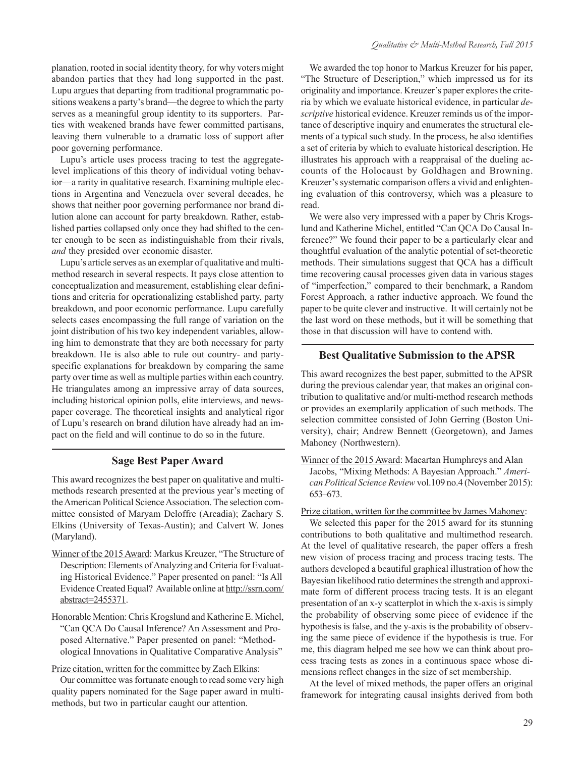planation, rooted in social identity theory, for why voters might abandon parties that they had long supported in the past. Lupu argues that departing from traditional programmatic positions weakens a party's brand—the degree to which the party serves as a meaningful group identity to its supporters. Parties with weakened brands have fewer committed partisans, leaving them vulnerable to a dramatic loss of support after poor governing performance.

Lupu's article uses process tracing to test the aggregatelevel implications of this theory of individual voting behavior—a rarity in qualitative research. Examining multiple elections in Argentina and Venezuela over several decades, he shows that neither poor governing performance nor brand dilution alone can account for party breakdown. Rather, established parties collapsed only once they had shifted to the center enough to be seen as indistinguishable from their rivals, *and* they presided over economic disaster.

Lupu's article serves as an exemplar of qualitative and multimethod research in several respects. It pays close attention to conceptualization and measurement, establishing clear definitions and criteria for operationalizing established party, party breakdown, and poor economic performance. Lupu carefully selects cases encompassing the full range of variation on the joint distribution of his two key independent variables, allowing him to demonstrate that they are both necessary for party breakdown. He is also able to rule out country- and partyspecific explanations for breakdown by comparing the same party over time as well as multiple parties within each country. He triangulates among an impressive array of data sources, including historical opinion polls, elite interviews, and newspaper coverage. The theoretical insights and analytical rigor of Lupu's research on brand dilution have already had an impact on the field and will continue to do so in the future.

### **Sage Best Paper Award**

This award recognizes the best paper on qualitative and multimethods research presented at the previous year's meeting of the American Political Science Association. The selection committee consisted of Maryam Deloffre (Arcadia); Zachary S. Elkins (University of Texas-Austin); and Calvert W. Jones (Maryland).

- Winner of the 2015 Award: Markus Kreuzer, "The Structure of Description: Elements of Analyzing and Criteria for Evaluating Historical Evidence." Paper presented on panel: "Is All [Evidence Created Equal? Available online at http://ssrn.com/](http://ssrn.com/abstract=2455371) abstract=2455371.
- Honorable Mention: Chris Krogslund and Katherine E. Michel, "Can QCA Do Causal Inference? An Assessment and Proposed Alternative." Paper presented on panel: "Methodological Innovations in Qualitative Comparative Analysis"

#### Prize citation, written for the committee by Zach Elkins:

Our committee was fortunate enough to read some very high quality papers nominated for the Sage paper award in multimethods, but two in particular caught our attention.

We awarded the top honor to Markus Kreuzer for his paper, "The Structure of Description," which impressed us for its originality and importance. Kreuzer's paper explores the criteria by which we evaluate historical evidence, in particular *descriptive* historical evidence. Kreuzer reminds us of the importance of descriptive inquiry and enumerates the structural elements of a typical such study. In the process, he also identifies a set of criteria by which to evaluate historical description. He illustrates his approach with a reappraisal of the dueling accounts of the Holocaust by Goldhagen and Browning. Kreuzer's systematic comparison offers a vivid and enlightening evaluation of this controversy, which was a pleasure to read.

We were also very impressed with a paper by Chris Krogslund and Katherine Michel, entitled "Can QCA Do Causal Inference?" We found their paper to be a particularly clear and thoughtful evaluation of the analytic potential of set-theoretic methods. Their simulations suggest that QCA has a difficult time recovering causal processes given data in various stages of "imperfection," compared to their benchmark, a Random Forest Approach, a rather inductive approach. We found the paper to be quite clever and instructive. It will certainly not be the last word on these methods, but it will be something that those in that discussion will have to contend with.

### **Best Qualitative Submission to the APSR**

This award recognizes the best paper, submitted to the APSR during the previous calendar year, that makes an original contribution to qualitative and/or multi-method research methods or provides an exemplarily application of such methods. The selection committee consisted of John Gerring (Boston University), chair; Andrew Bennett (Georgetown), and James Mahoney (Northwestern).

Winner of the 2015 Award: Macartan Humphreys and Alan Jacobs, "Mixing Methods: A Bayesian Approach." *American Political Science Review* vol.109 no.4 (November 2015): 653–673.

Prize citation, written for the committee by James Mahoney:

We selected this paper for the 2015 award for its stunning contributions to both qualitative and multimethod research. At the level of qualitative research, the paper offers a fresh new vision of process tracing and process tracing tests. The authors developed a beautiful graphical illustration of how the Bayesian likelihood ratio determines the strength and approximate form of different process tracing tests. It is an elegant presentation of an x-y scatterplot in which the x-axis is simply the probability of observing some piece of evidence if the hypothesis is false, and the y-axis is the probability of observing the same piece of evidence if the hypothesis is true. For me, this diagram helped me see how we can think about process tracing tests as zones in a continuous space whose dimensions reflect changes in the size of set membership.

At the level of mixed methods, the paper offers an original framework for integrating causal insights derived from both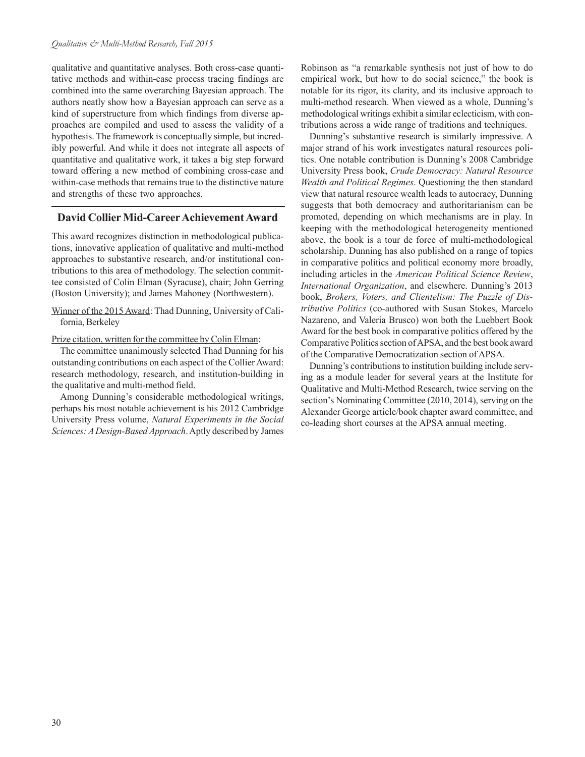qualitative and quantitative analyses. Both cross-case quantitative methods and within-case process tracing findings are combined into the same overarching Bayesian approach. The authors neatly show how a Bayesian approach can serve as a kind of superstructure from which findings from diverse approaches are compiled and used to assess the validity of a hypothesis. The framework is conceptually simple, but incredibly powerful. And while it does not integrate all aspects of quantitative and qualitative work, it takes a big step forward toward offering a new method of combining cross-case and within-case methods that remains true to the distinctive nature and strengths of these two approaches.

#### **David Collier Mid-Career Achievement Award**

This award recognizes distinction in methodological publications, innovative application of qualitative and multi-method approaches to substantive research, and/or institutional contributions to this area of methodology. The selection committee consisted of Colin Elman (Syracuse), chair; John Gerring (Boston University); and James Mahoney (Northwestern).

Winner of the 2015 Award: Thad Dunning, University of California, Berkeley

Prize citation, written for the committee by Colin Elman:

The committee unanimously selected Thad Dunning for his outstanding contributions on each aspect of the Collier Award: research methodology, research, and institution-building in the qualitative and multi-method field.

Among Dunning's considerable methodological writings, perhaps his most notable achievement is his 2012 Cambridge University Press volume, *Natural Experiments in the Social Sciences: A Design-Based Approach*. Aptly described by James Robinson as "a remarkable synthesis not just of how to do empirical work, but how to do social science," the book is notable for its rigor, its clarity, and its inclusive approach to multi-method research. When viewed as a whole, Dunning's methodological writings exhibit a similar eclecticism, with contributions across a wide range of traditions and techniques.

Dunning's substantive research is similarly impressive. A major strand of his work investigates natural resources politics. One notable contribution is Dunning's 2008 Cambridge University Press book, *Crude Democracy: Natural Resource Wealth and Political Regimes*. Questioning the then standard view that natural resource wealth leads to autocracy, Dunning suggests that both democracy and authoritarianism can be promoted, depending on which mechanisms are in play. In keeping with the methodological heterogeneity mentioned above, the book is a tour de force of multi-methodological scholarship. Dunning has also published on a range of topics in comparative politics and political economy more broadly, including articles in the *American Political Science Review*, *International Organization*, and elsewhere. Dunning's 2013 book, *Brokers, Voters, and Clientelism: The Puzzle of Distributive Politics* (co-authored with Susan Stokes, Marcelo Nazareno, and Valeria Brusco) won both the Luebbert Book Award for the best book in comparative politics offered by the Comparative Politics section of APSA, and the best book award of the Comparative Democratization section of APSA.

Dunning's contributions to institution building include serving as a module leader for several years at the Institute for Qualitative and Multi-Method Research, twice serving on the section's Nominating Committee (2010, 2014), serving on the Alexander George article/book chapter award committee, and co-leading short courses at the APSA annual meeting.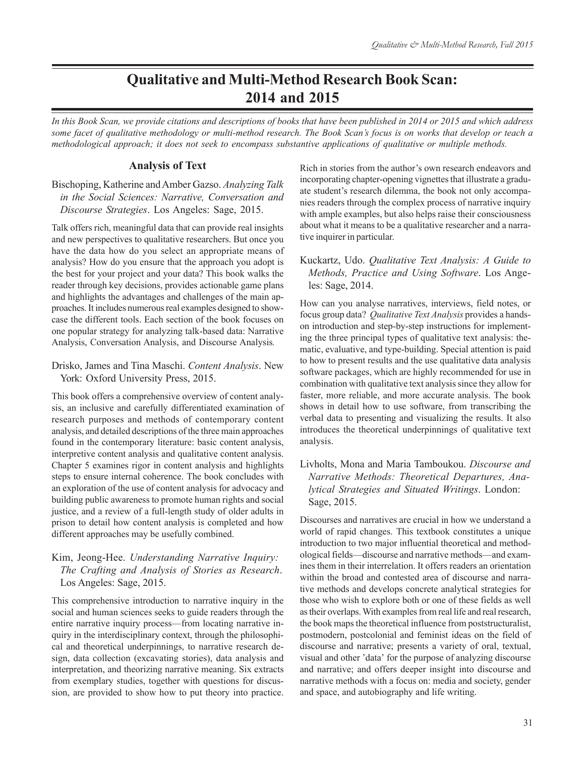## **Qualitative and Multi-Method Research Book Scan: 2014 and 2015**

*In this Book Scan, we provide citations and descriptions of books that have been published in 2014 or 2015 and which address some facet of qualitative methodology or multi-method research. The Book Scan's focus is on works that develop or teach a methodological approach; it does not seek to encompass substantive applications of qualitative or multiple methods.*

#### **Analysis of Text**

## Bischoping, Katherine and Amber Gazso. *Analyzing Talk in the Social Sciences: Narrative, Conversation and Discourse Strategies*. Los Angeles: Sage, 2015.

Talk offers rich, meaningful data that can provide real insights and new perspectives to qualitative researchers. But once you have the data how do you select an appropriate means of analysis? How do you ensure that the approach you adopt is the best for your project and your data? This book walks the reader through key decisions, provides actionable game plans and highlights the advantages and challenges of the main approaches. It includes numerous real examples designed to showcase the different tools. Each section of the book focuses on one popular strategy for analyzing talk-based data: Narrative Analysis, Conversation Analysis, and Discourse Analysis*.*

### Drisko, James and Tina Maschi. *Content Analysis*. New York: Oxford University Press, 2015.

This book offers a comprehensive overview of content analysis, an inclusive and carefully differentiated examination of research purposes and methods of contemporary content analysis, and detailed descriptions of the three main approaches found in the contemporary literature: basic content analysis, interpretive content analysis and qualitative content analysis. Chapter 5 examines rigor in content analysis and highlights steps to ensure internal coherence. The book concludes with an exploration of the use of content analysis for advocacy and building public awareness to promote human rights and social justice, and a review of a full-length study of older adults in prison to detail how content analysis is completed and how different approaches may be usefully combined.

## Kim, Jeong-Hee. *Understanding Narrative Inquiry: The Crafting and Analysis of Stories as Research*. Los Angeles: Sage, 2015.

This comprehensive introduction to narrative inquiry in the social and human sciences seeks to guide readers through the entire narrative inquiry process—from locating narrative inquiry in the interdisciplinary context, through the philosophical and theoretical underpinnings, to narrative research design, data collection (excavating stories), data analysis and interpretation, and theorizing narrative meaning. Six extracts from exemplary studies, together with questions for discussion, are provided to show how to put theory into practice.

Rich in stories from the author's own research endeavors and incorporating chapter-opening vignettes that illustrate a graduate student's research dilemma, the book not only accompanies readers through the complex process of narrative inquiry with ample examples, but also helps raise their consciousness about what it means to be a qualitative researcher and a narrative inquirer in particular.

## Kuckartz, Udo. *Qualitative Text Analysis: A Guide to Methods, Practice and Using Software*. Los Angeles: Sage, 2014.

How can you analyse narratives, interviews, field notes, or focus group data? *Qualitative Text Analysis* provides a handson introduction and step-by-step instructions for implementing the three principal types of qualitative text analysis: thematic, evaluative, and type-building. Special attention is paid to how to present results and the use qualitative data analysis software packages, which are highly recommended for use in combination with qualitative text analysis since they allow for faster, more reliable, and more accurate analysis. The book shows in detail how to use software, from transcribing the verbal data to presenting and visualizing the results. It also introduces the theoretical underpinnings of qualitative text analysis.

## Livholts, Mona and Maria Tamboukou. *Discourse and Narrative Methods: Theoretical Departures, Analytical Strategies and Situated Writings*. London: Sage, 2015.

Discourses and narratives are crucial in how we understand a world of rapid changes. This textbook constitutes a unique introduction to two major influential theoretical and methodological fields—discourse and narrative methods—and examines them in their interrelation. It offers readers an orientation within the broad and contested area of discourse and narrative methods and develops concrete analytical strategies for those who wish to explore both or one of these fields as well as their overlaps. With examples from real life and real research, the book maps the theoretical influence from poststructuralist, postmodern, postcolonial and feminist ideas on the field of discourse and narrative; presents a variety of oral, textual, visual and other 'data' for the purpose of analyzing discourse and narrative; and offers deeper insight into discourse and narrative methods with a focus on: media and society, gender and space, and autobiography and life writing.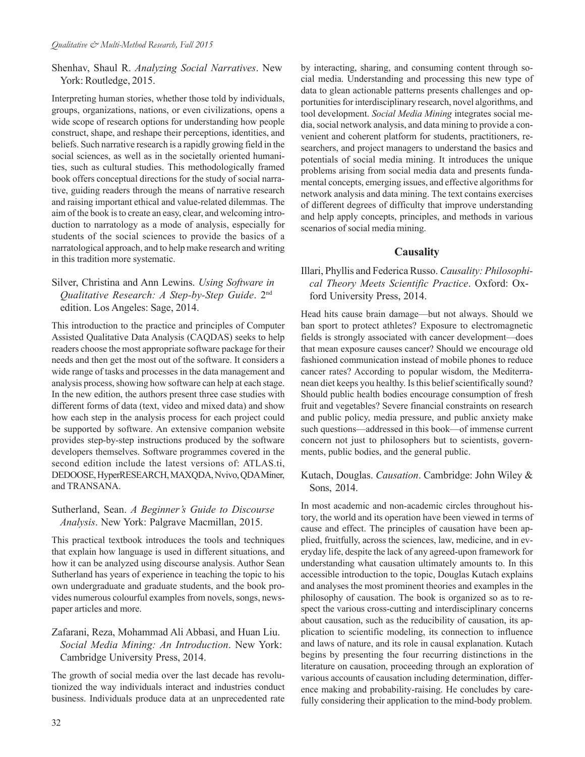## Shenhav, Shaul R. *Analyzing Social Narratives*. New York: Routledge, 2015.

Interpreting human stories, whether those told by individuals, groups, organizations, nations, or even civilizations, opens a wide scope of research options for understanding how people construct, shape, and reshape their perceptions, identities, and beliefs. Such narrative research is a rapidly growing field in the social sciences, as well as in the societally oriented humanities, such as cultural studies. This methodologically framed book offers conceptual directions for the study of social narrative, guiding readers through the means of narrative research and raising important ethical and value-related dilemmas. The aim of the book is to create an easy, clear, and welcoming introduction to narratology as a mode of analysis, especially for students of the social sciences to provide the basics of a narratological approach, and to help make research and writing in this tradition more systematic.

## Silver, Christina and Ann Lewins. *Using Software in Qualitative Research: A Step-by-Step Guide*. 2nd edition. Los Angeles: Sage, 2014.

This introduction to the practice and principles of Computer Assisted Qualitative Data Analysis (CAQDAS) seeks to help readers choose the most appropriate software package for their needs and then get the most out of the software. It considers a wide range of tasks and processes in the data management and analysis process, showing how software can help at each stage. In the new edition, the authors present three case studies with different forms of data (text, video and mixed data) and show how each step in the analysis process for each project could be supported by software. An extensive companion website provides step-by-step instructions produced by the software developers themselves. Software programmes covered in the second edition include the latest versions of: ATLAS.ti, DEDOOSE, HyperRESEARCH, MAXQDA, Nvivo, QDA Miner, and TRANSANA.

### Sutherland, Sean. *A Beginner's Guide to Discourse Analysis*. New York: Palgrave Macmillan, 2015.

This practical textbook introduces the tools and techniques that explain how language is used in different situations, and how it can be analyzed using discourse analysis. Author Sean Sutherland has years of experience in teaching the topic to his own undergraduate and graduate students, and the book provides numerous colourful examples from novels, songs, newspaper articles and more.

## Zafarani, Reza, Mohammad Ali Abbasi, and Huan Liu. *Social Media Mining: An Introduction*. New York: Cambridge University Press, 2014.

The growth of social media over the last decade has revolutionized the way individuals interact and industries conduct business. Individuals produce data at an unprecedented rate

by interacting, sharing, and consuming content through social media. Understanding and processing this new type of data to glean actionable patterns presents challenges and opportunities for interdisciplinary research, novel algorithms, and tool development. *Social Media Mining* integrates social media, social network analysis, and data mining to provide a convenient and coherent platform for students, practitioners, researchers, and project managers to understand the basics and potentials of social media mining. It introduces the unique problems arising from social media data and presents fundamental concepts, emerging issues, and effective algorithms for network analysis and data mining. The text contains exercises of different degrees of difficulty that improve understanding and help apply concepts, principles, and methods in various scenarios of social media mining.

## **Causality**

## Illari, Phyllis and Federica Russo. *Causality: Philosophical Theory Meets Scientific Practice*. Oxford: Oxford University Press, 2014.

Head hits cause brain damage—but not always. Should we ban sport to protect athletes? Exposure to electromagnetic fields is strongly associated with cancer development—does that mean exposure causes cancer? Should we encourage old fashioned communication instead of mobile phones to reduce cancer rates? According to popular wisdom, the Mediterranean diet keeps you healthy. Is this belief scientifically sound? Should public health bodies encourage consumption of fresh fruit and vegetables? Severe financial constraints on research and public policy, media pressure, and public anxiety make such questions—addressed in this book—of immense current concern not just to philosophers but to scientists, governments, public bodies, and the general public.

Kutach, Douglas. *Causation*. Cambridge: John Wiley & Sons, 2014.

In most academic and non-academic circles throughout history, the world and its operation have been viewed in terms of cause and effect. The principles of causation have been applied, fruitfully, across the sciences, law, medicine, and in everyday life, despite the lack of any agreed-upon framework for understanding what causation ultimately amounts to. In this accessible introduction to the topic, Douglas Kutach explains and analyses the most prominent theories and examples in the philosophy of causation. The book is organized so as to respect the various cross-cutting and interdisciplinary concerns about causation, such as the reducibility of causation, its application to scientific modeling, its connection to influence and laws of nature, and its role in causal explanation. Kutach begins by presenting the four recurring distinctions in the literature on causation, proceeding through an exploration of various accounts of causation including determination, difference making and probability-raising. He concludes by carefully considering their application to the mind-body problem.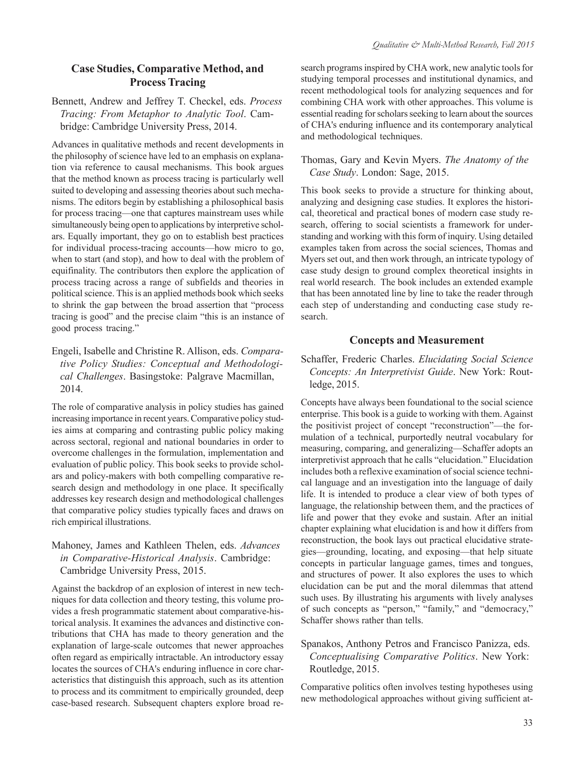## **Case Studies, Comparative Method, and Process Tracing**

Bennett, Andrew and Jeffrey T. Checkel, eds. *Process Tracing: From Metaphor to Analytic Tool*. Cambridge: Cambridge University Press, 2014.

Advances in qualitative methods and recent developments in the philosophy of science have led to an emphasis on explanation via reference to causal mechanisms. This book argues that the method known as process tracing is particularly well suited to developing and assessing theories about such mechanisms. The editors begin by establishing a philosophical basis for process tracing—one that captures mainstream uses while simultaneously being open to applications by interpretive scholars. Equally important, they go on to establish best practices for individual process-tracing accounts—how micro to go, when to start (and stop), and how to deal with the problem of equifinality. The contributors then explore the application of process tracing across a range of subfields and theories in political science. This is an applied methods book which seeks to shrink the gap between the broad assertion that "process tracing is good" and the precise claim "this is an instance of good process tracing."

## Engeli, Isabelle and Christine R. Allison, eds. *Comparative Policy Studies: Conceptual and Methodological Challenges*. Basingstoke: Palgrave Macmillan, 2014.

The role of comparative analysis in policy studies has gained increasing importance in recent years. Comparative policy studies aims at comparing and contrasting public policy making across sectoral, regional and national boundaries in order to overcome challenges in the formulation, implementation and evaluation of public policy. This book seeks to provide scholars and policy-makers with both compelling comparative research design and methodology in one place. It specifically addresses key research design and methodological challenges that comparative policy studies typically faces and draws on rich empirical illustrations.

## Mahoney, James and Kathleen Thelen, eds. *Advances in Comparative-Historical Analysis*. Cambridge: Cambridge University Press, 2015.

Against the backdrop of an explosion of interest in new techniques for data collection and theory testing, this volume provides a fresh programmatic statement about comparative-historical analysis. It examines the advances and distinctive contributions that CHA has made to theory generation and the explanation of large-scale outcomes that newer approaches often regard as empirically intractable. An introductory essay locates the sources of CHA's enduring influence in core characteristics that distinguish this approach, such as its attention to process and its commitment to empirically grounded, deep case-based research. Subsequent chapters explore broad research programs inspired by CHA work, new analytic tools for studying temporal processes and institutional dynamics, and recent methodological tools for analyzing sequences and for combining CHA work with other approaches. This volume is essential reading for scholars seeking to learn about the sources of CHA's enduring influence and its contemporary analytical and methodological techniques.

Thomas, Gary and Kevin Myers. *The Anatomy of the Case Study*. London: Sage, 2015.

This book seeks to provide a structure for thinking about, analyzing and designing case studies. It explores the historical, theoretical and practical bones of modern case study research, offering to social scientists a framework for understanding and working with this form of inquiry. Using detailed examples taken from across the social sciences, Thomas and Myers set out, and then work through, an intricate typology of case study design to ground complex theoretical insights in real world research. The book includes an extended example that has been annotated line by line to take the reader through each step of understanding and conducting case study research.

## **Concepts and Measurement**

Schaffer, Frederic Charles. *Elucidating Social Science Concepts: An Interpretivist Guide*. New York: Routledge, 2015.

Concepts have always been foundational to the social science enterprise. This book is a guide to working with them. Against the positivist project of concept "reconstruction"—the formulation of a technical, purportedly neutral vocabulary for measuring, comparing, and generalizing—Schaffer adopts an interpretivist approach that he calls "elucidation." Elucidation includes both a reflexive examination of social science technical language and an investigation into the language of daily life. It is intended to produce a clear view of both types of language, the relationship between them, and the practices of life and power that they evoke and sustain. After an initial chapter explaining what elucidation is and how it differs from reconstruction, the book lays out practical elucidative strategies—grounding, locating, and exposing—that help situate concepts in particular language games, times and tongues, and structures of power. It also explores the uses to which elucidation can be put and the moral dilemmas that attend such uses. By illustrating his arguments with lively analyses of such concepts as "person," "family," and "democracy," Schaffer shows rather than tells.

## Spanakos, Anthony Petros and Francisco Panizza, eds. *Conceptualising Comparative Politics*. New York: Routledge, 2015.

Comparative politics often involves testing hypotheses using new methodological approaches without giving sufficient at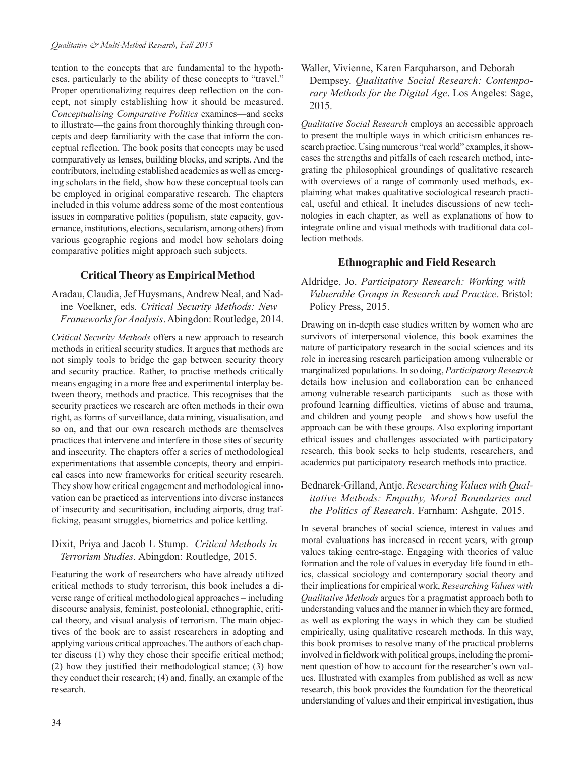tention to the concepts that are fundamental to the hypotheses, particularly to the ability of these concepts to "travel." Proper operationalizing requires deep reflection on the concept, not simply establishing how it should be measured. *Conceptualising Comparative Politics* examines—and seeks to illustrate—the gains from thoroughly thinking through concepts and deep familiarity with the case that inform the conceptual reflection. The book posits that concepts may be used comparatively as lenses, building blocks, and scripts. And the contributors, including established academics as well as emerging scholars in the field, show how these conceptual tools can be employed in original comparative research. The chapters included in this volume address some of the most contentious issues in comparative politics (populism, state capacity, governance, institutions, elections, secularism, among others) from various geographic regions and model how scholars doing comparative politics might approach such subjects.

## **Critical Theory as Empirical Method**

Aradau, Claudia, Jef Huysmans, Andrew Neal, and Nadine Voelkner, eds. *Critical Security Methods: New Frameworks for Analysis*. Abingdon: Routledge, 2014.

*Critical Security Methods* offers a new approach to research methods in critical security studies. It argues that methods are not simply tools to bridge the gap between security theory and security practice. Rather, to practise methods critically means engaging in a more free and experimental interplay between theory, methods and practice. This recognises that the security practices we research are often methods in their own right, as forms of surveillance, data mining, visualisation, and so on, and that our own research methods are themselves practices that intervene and interfere in those sites of security and insecurity. The chapters offer a series of methodological experimentations that assemble concepts, theory and empirical cases into new frameworks for critical security research. They show how critical engagement and methodological innovation can be practiced as interventions into diverse instances of insecurity and securitisation, including airports, drug trafficking, peasant struggles, biometrics and police kettling.

## Dixit, Priya and Jacob L Stump. *Critical Methods in Terrorism Studies*. Abingdon: Routledge, 2015.

Featuring the work of researchers who have already utilized critical methods to study terrorism, this book includes a diverse range of critical methodological approaches – including discourse analysis, feminist, postcolonial, ethnographic, critical theory, and visual analysis of terrorism. The main objectives of the book are to assist researchers in adopting and applying various critical approaches. The authors of each chapter discuss (1) why they chose their specific critical method; (2) how they justified their methodological stance; (3) how they conduct their research; (4) and, finally, an example of the research.

Waller, Vivienne, Karen Farquharson, and Deborah Dempsey. *Qualitative Social Research: Contemporary Methods for the Digital Age*. Los Angeles: Sage, 2015.

*Qualitative Social Research* employs an accessible approach to present the multiple ways in which criticism enhances research practice. Using numerous "real world" examples, it showcases the strengths and pitfalls of each research method, integrating the philosophical groundings of qualitative research with overviews of a range of commonly used methods, explaining what makes qualitative sociological research practical, useful and ethical. It includes discussions of new technologies in each chapter, as well as explanations of how to integrate online and visual methods with traditional data collection methods.

## **Ethnographic and Field Research**

Aldridge, Jo. *Participatory Research: Working with Vulnerable Groups in Research and Practice*. Bristol: Policy Press, 2015.

Drawing on in-depth case studies written by women who are survivors of interpersonal violence, this book examines the nature of participatory research in the social sciences and its role in increasing research participation among vulnerable or marginalized populations. In so doing, *Participatory Research* details how inclusion and collaboration can be enhanced among vulnerable research participants—such as those with profound learning difficulties, victims of abuse and trauma, and children and young people—and shows how useful the approach can be with these groups. Also exploring important ethical issues and challenges associated with participatory research, this book seeks to help students, researchers, and academics put participatory research methods into practice.

## Bednarek-Gilland, Antje. *Researching Values with Qualitative Methods: Empathy, Moral Boundaries and the Politics of Research*. Farnham: Ashgate, 2015.

In several branches of social science, interest in values and moral evaluations has increased in recent years, with group values taking centre-stage. Engaging with theories of value formation and the role of values in everyday life found in ethics, classical sociology and contemporary social theory and their implications for empirical work, *Researching Values with Qualitative Methods* argues for a pragmatist approach both to understanding values and the manner in which they are formed, as well as exploring the ways in which they can be studied empirically, using qualitative research methods. In this way, this book promises to resolve many of the practical problems involved in fieldwork with political groups, including the prominent question of how to account for the researcher's own values. Illustrated with examples from published as well as new research, this book provides the foundation for the theoretical understanding of values and their empirical investigation, thus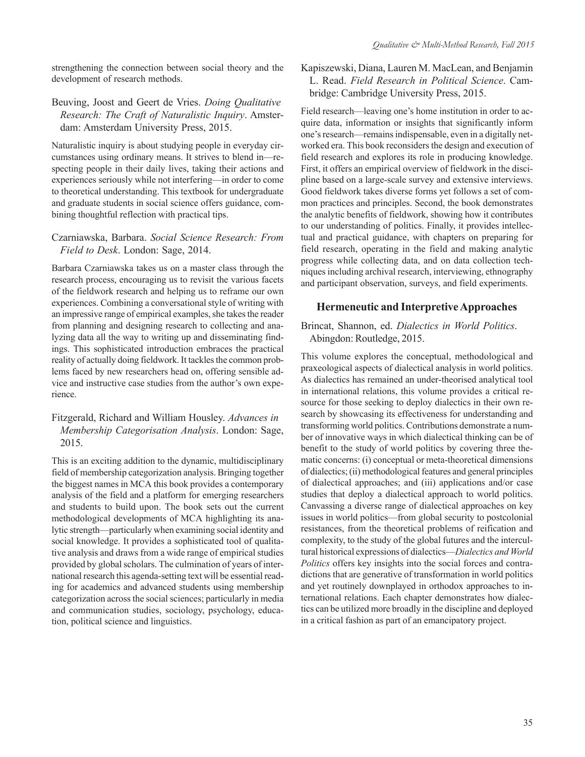strengthening the connection between social theory and the development of research methods.

## Beuving, Joost and Geert de Vries. *Doing Qualitative Research: The Craft of Naturalistic Inquiry*. Amsterdam: Amsterdam University Press, 2015.

Naturalistic inquiry is about studying people in everyday circumstances using ordinary means. It strives to blend in—respecting people in their daily lives, taking their actions and experiences seriously while not interfering—in order to come to theoretical understanding. This textbook for undergraduate and graduate students in social science offers guidance, combining thoughtful reflection with practical tips.

## Czarniawska, Barbara. *Social Science Research: From Field to Desk*. London: Sage, 2014.

Barbara Czarniawska takes us on a master class through the research process, encouraging us to revisit the various facets of the fieldwork research and helping us to reframe our own experiences. Combining a conversational style of writing with an impressive range of empirical examples, she takes the reader from planning and designing research to collecting and analyzing data all the way to writing up and disseminating findings. This sophisticated introduction embraces the practical reality of actually doing fieldwork. It tackles the common problems faced by new researchers head on, offering sensible advice and instructive case studies from the author's own experience.

## Fitzgerald, Richard and William Housley. *Advances in Membership Categorisation Analysis*. London: Sage, 2015.

This is an exciting addition to the dynamic, multidisciplinary field of membership categorization analysis. Bringing together the biggest names in MCA this book provides a contemporary analysis of the field and a platform for emerging researchers and students to build upon. The book sets out the current methodological developments of MCA highlighting its analytic strength—particularly when examining social identity and social knowledge. It provides a sophisticated tool of qualitative analysis and draws from a wide range of empirical studies provided by global scholars. The culmination of years of international research this agenda-setting text will be essential reading for academics and advanced students using membership categorization across the social sciences; particularly in media and communication studies, sociology, psychology, education, political science and linguistics.

## Kapiszewski, Diana, Lauren M. MacLean, and Benjamin L. Read. *Field Research in Political Science*. Cambridge: Cambridge University Press, 2015.

Field research—leaving one's home institution in order to acquire data, information or insights that significantly inform one's research—remains indispensable, even in a digitally networked era. This book reconsiders the design and execution of field research and explores its role in producing knowledge. First, it offers an empirical overview of fieldwork in the discipline based on a large-scale survey and extensive interviews. Good fieldwork takes diverse forms yet follows a set of common practices and principles. Second, the book demonstrates the analytic benefits of fieldwork, showing how it contributes to our understanding of politics. Finally, it provides intellectual and practical guidance, with chapters on preparing for field research, operating in the field and making analytic progress while collecting data, and on data collection techniques including archival research, interviewing, ethnography and participant observation, surveys, and field experiments.

## **Hermeneutic and Interpretive Approaches**

Brincat, Shannon, ed. *Dialectics in World Politics*. Abingdon: Routledge, 2015.

This volume explores the conceptual, methodological and praxeological aspects of dialectical analysis in world politics. As dialectics has remained an under-theorised analytical tool in international relations, this volume provides a critical resource for those seeking to deploy dialectics in their own research by showcasing its effectiveness for understanding and transforming world politics. Contributions demonstrate a number of innovative ways in which dialectical thinking can be of benefit to the study of world politics by covering three thematic concerns: (i) conceptual or meta-theoretical dimensions of dialectics; (ii) methodological features and general principles of dialectical approaches; and (iii) applications and/or case studies that deploy a dialectical approach to world politics. Canvassing a diverse range of dialectical approaches on key issues in world politics—from global security to postcolonial resistances, from the theoretical problems of reification and complexity, to the study of the global futures and the intercultural historical expressions of dialectics—*Dialectics and World Politics* offers key insights into the social forces and contradictions that are generative of transformation in world politics and yet routinely downplayed in orthodox approaches to international relations. Each chapter demonstrates how dialectics can be utilized more broadly in the discipline and deployed in a critical fashion as part of an emancipatory project.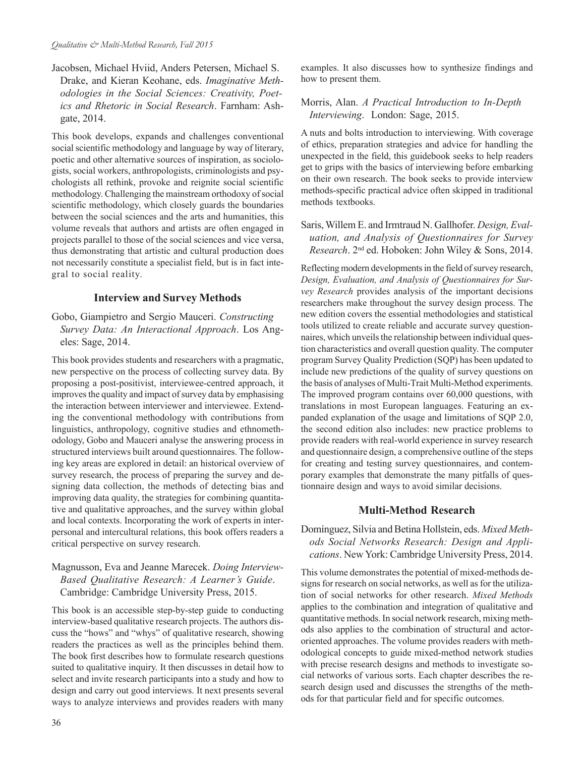Jacobsen, Michael Hviid, Anders Petersen, Michael S. Drake, and Kieran Keohane, eds. *Imaginative Methodologies in the Social Sciences: Creativity, Poetics and Rhetoric in Social Research*. Farnham: Ashgate, 2014.

This book develops, expands and challenges conventional social scientific methodology and language by way of literary, poetic and other alternative sources of inspiration, as sociologists, social workers, anthropologists, criminologists and psychologists all rethink, provoke and reignite social scientific methodology. Challenging the mainstream orthodoxy of social scientific methodology, which closely guards the boundaries between the social sciences and the arts and humanities, this volume reveals that authors and artists are often engaged in projects parallel to those of the social sciences and vice versa, thus demonstrating that artistic and cultural production does not necessarily constitute a specialist field, but is in fact integral to social reality.

## **Interview and Survey Methods**

Gobo, Giampietro and Sergio Mauceri. *Constructing Survey Data: An Interactional Approach*. Los Angeles: Sage, 2014.

This book provides students and researchers with a pragmatic, new perspective on the process of collecting survey data. By proposing a post-positivist, interviewee-centred approach, it improves the quality and impact of survey data by emphasising the interaction between interviewer and interviewee. Extending the conventional methodology with contributions from linguistics, anthropology, cognitive studies and ethnomethodology, Gobo and Mauceri analyse the answering process in structured interviews built around questionnaires. The following key areas are explored in detail: an historical overview of survey research, the process of preparing the survey and designing data collection, the methods of detecting bias and improving data quality, the strategies for combining quantitative and qualitative approaches, and the survey within global and local contexts. Incorporating the work of experts in interpersonal and intercultural relations, this book offers readers a critical perspective on survey research.

## Magnusson, Eva and Jeanne Marecek. *Doing Interview-Based Qualitative Research: A Learner's Guide*. Cambridge: Cambridge University Press, 2015.

This book is an accessible step-by-step guide to conducting interview-based qualitative research projects. The authors discuss the "hows" and "whys" of qualitative research, showing readers the practices as well as the principles behind them. The book first describes how to formulate research questions suited to qualitative inquiry. It then discusses in detail how to select and invite research participants into a study and how to design and carry out good interviews. It next presents several ways to analyze interviews and provides readers with many examples. It also discusses how to synthesize findings and how to present them.

## Morris, Alan. *A Practical Introduction to In-Depth Interviewing*. London: Sage, 2015.

A nuts and bolts introduction to interviewing. With coverage of ethics, preparation strategies and advice for handling the unexpected in the field, this guidebook seeks to help readers get to grips with the basics of interviewing before embarking on their own research. The book seeks to provide interview methods-specific practical advice often skipped in traditional methods textbooks.

Saris, Willem E. and Irmtraud N. Gallhofer. *Design, Evaluation, and Analysis of Questionnaires for Survey Research*. 2nd ed. Hoboken: John Wiley & Sons, 2014.

Reflecting modern developments in the field of survey research, *Design, Evaluation, and Analysis of Questionnaires for Survey Research* provides analysis of the important decisions researchers make throughout the survey design process. The new edition covers the essential methodologies and statistical tools utilized to create reliable and accurate survey questionnaires, which unveils the relationship between individual question characteristics and overall question quality. The computer program Survey Quality Prediction (SQP) has been updated to include new predictions of the quality of survey questions on the basis of analyses of Multi-Trait Multi-Method experiments. The improved program contains over 60,000 questions, with translations in most European languages. Featuring an expanded explanation of the usage and limitations of SQP 2.0, the second edition also includes: new practice problems to provide readers with real-world experience in survey research and questionnaire design, a comprehensive outline of the steps for creating and testing survey questionnaires, and contemporary examples that demonstrate the many pitfalls of questionnaire design and ways to avoid similar decisions.

## **Multi-Method Research**

Domínguez, Silvia and Betina Hollstein, eds. *Mixed Methods Social Networks Research: Design and Applications*. New York: Cambridge University Press, 2014.

This volume demonstrates the potential of mixed-methods designs for research on social networks, as well as for the utilization of social networks for other research. *Mixed Methods* applies to the combination and integration of qualitative and quantitative methods. In social network research, mixing methods also applies to the combination of structural and actororiented approaches. The volume provides readers with methodological concepts to guide mixed-method network studies with precise research designs and methods to investigate social networks of various sorts. Each chapter describes the research design used and discusses the strengths of the methods for that particular field and for specific outcomes.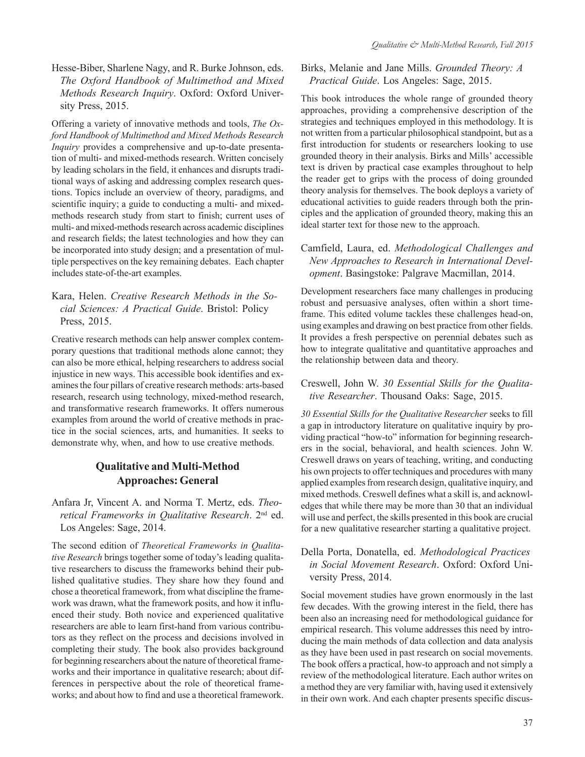Hesse-Biber, Sharlene Nagy, and R. Burke Johnson, eds. *The Oxford Handbook of Multimethod and Mixed Methods Research Inquiry*. Oxford: Oxford University Press, 2015.

Offering a variety of innovative methods and tools, *The Oxford Handbook of Multimethod and Mixed Methods Research Inquiry* provides a comprehensive and up-to-date presentation of multi- and mixed-methods research. Written concisely by leading scholars in the field, it enhances and disrupts traditional ways of asking and addressing complex research questions. Topics include an overview of theory, paradigms, and scientific inquiry; a guide to conducting a multi- and mixedmethods research study from start to finish; current uses of multi- and mixed-methods research across academic disciplines and research fields; the latest technologies and how they can be incorporated into study design; and a presentation of multiple perspectives on the key remaining debates. Each chapter includes state-of-the-art examples.

## Kara, Helen. *Creative Research Methods in the Social Sciences: A Practical Guide*. Bristol: Policy Press, 2015.

Creative research methods can help answer complex contemporary questions that traditional methods alone cannot; they can also be more ethical, helping researchers to address social injustice in new ways. This accessible book identifies and examines the four pillars of creative research methods: arts-based research, research using technology, mixed-method research, and transformative research frameworks. It offers numerous examples from around the world of creative methods in practice in the social sciences, arts, and humanities. It seeks to demonstrate why, when, and how to use creative methods.

## **Qualitative and Multi-Method Approaches: General**

Anfara Jr, Vincent A. and Norma T. Mertz, eds. *Theoretical Frameworks in Qualitative Research*. 2nd ed. Los Angeles: Sage, 2014.

The second edition of *Theoretical Frameworks in Qualitative Research* brings together some of today's leading qualitative researchers to discuss the frameworks behind their published qualitative studies. They share how they found and chose a theoretical framework, from what discipline the framework was drawn, what the framework posits, and how it influenced their study. Both novice and experienced qualitative researchers are able to learn first-hand from various contributors as they reflect on the process and decisions involved in completing their study. The book also provides background for beginning researchers about the nature of theoretical frameworks and their importance in qualitative research; about differences in perspective about the role of theoretical frameworks; and about how to find and use a theoretical framework.

## Birks, Melanie and Jane Mills. *Grounded Theory: A Practical Guide*. Los Angeles: Sage, 2015.

This book introduces the whole range of grounded theory approaches, providing a comprehensive description of the strategies and techniques employed in this methodology. It is not written from a particular philosophical standpoint, but as a first introduction for students or researchers looking to use grounded theory in their analysis. Birks and Mills' accessible text is driven by practical case examples throughout to help the reader get to grips with the process of doing grounded theory analysis for themselves. The book deploys a variety of educational activities to guide readers through both the principles and the application of grounded theory, making this an ideal starter text for those new to the approach.

## Camfield, Laura, ed. *Methodological Challenges and New Approaches to Research in International Development*. Basingstoke: Palgrave Macmillan, 2014.

Development researchers face many challenges in producing robust and persuasive analyses, often within a short timeframe. This edited volume tackles these challenges head-on, using examples and drawing on best practice from other fields. It provides a fresh perspective on perennial debates such as how to integrate qualitative and quantitative approaches and the relationship between data and theory.

## Creswell, John W. *30 Essential Skills for the Qualitative Researcher*. Thousand Oaks: Sage, 2015.

*30 Essential Skills for the Qualitative Researcher* seeks to fill a gap in introductory literature on qualitative inquiry by providing practical "how-to" information for beginning researchers in the social, behavioral, and health sciences. John W. Creswell draws on years of teaching, writing, and conducting his own projects to offer techniques and procedures with many applied examples from research design, qualitative inquiry, and mixed methods. Creswell defines what a skill is, and acknowledges that while there may be more than 30 that an individual will use and perfect, the skills presented in this book are crucial for a new qualitative researcher starting a qualitative project.

## Della Porta, Donatella, ed. *Methodological Practices in Social Movement Research*. Oxford: Oxford University Press, 2014.

Social movement studies have grown enormously in the last few decades. With the growing interest in the field, there has been also an increasing need for methodological guidance for empirical research. This volume addresses this need by introducing the main methods of data collection and data analysis as they have been used in past research on social movements. The book offers a practical, how-to approach and not simply a review of the methodological literature. Each author writes on a method they are very familiar with, having used it extensively in their own work. And each chapter presents specific discus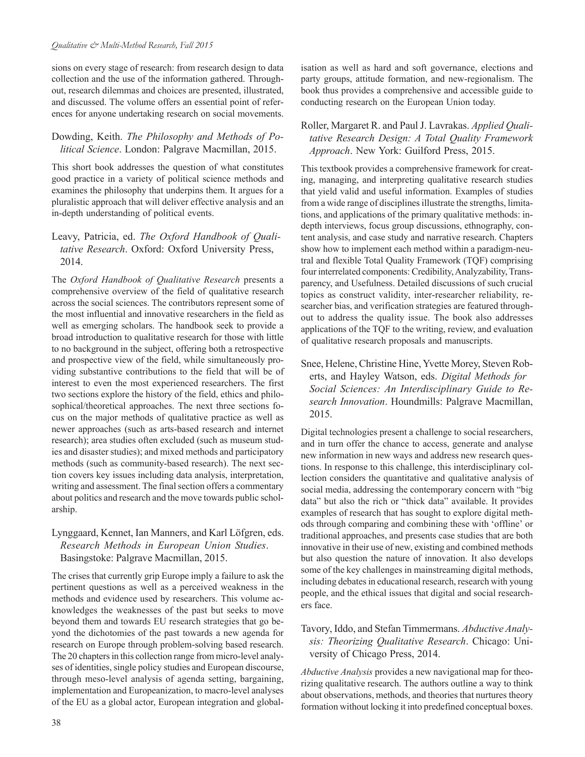sions on every stage of research: from research design to data collection and the use of the information gathered. Throughout, research dilemmas and choices are presented, illustrated, and discussed. The volume offers an essential point of references for anyone undertaking research on social movements.

## Dowding, Keith. *The Philosophy and Methods of Political Science*. London: Palgrave Macmillan, 2015.

This short book addresses the question of what constitutes good practice in a variety of political science methods and examines the philosophy that underpins them. It argues for a pluralistic approach that will deliver effective analysis and an in-depth understanding of political events.

## Leavy, Patricia, ed. *The Oxford Handbook of Qualitative Research*. Oxford: Oxford University Press, 2014.

The *Oxford Handbook of Qualitative Research* presents a comprehensive overview of the field of qualitative research across the social sciences. The contributors represent some of the most influential and innovative researchers in the field as well as emerging scholars. The handbook seek to provide a broad introduction to qualitative research for those with little to no background in the subject, offering both a retrospective and prospective view of the field, while simultaneously providing substantive contributions to the field that will be of interest to even the most experienced researchers. The first two sections explore the history of the field, ethics and philosophical/theoretical approaches. The next three sections focus on the major methods of qualitative practice as well as newer approaches (such as arts-based research and internet research); area studies often excluded (such as museum studies and disaster studies); and mixed methods and participatory methods (such as community-based research). The next section covers key issues including data analysis, interpretation, writing and assessment. The final section offers a commentary about politics and research and the move towards public scholarship.

## Lynggaard, Kennet, Ian Manners, and Karl Löfgren, eds. *Research Methods in European Union Studies*. Basingstoke: Palgrave Macmillan, 2015.

The crises that currently grip Europe imply a failure to ask the pertinent questions as well as a perceived weakness in the methods and evidence used by researchers. This volume acknowledges the weaknesses of the past but seeks to move beyond them and towards EU research strategies that go beyond the dichotomies of the past towards a new agenda for research on Europe through problem-solving based research. The 20 chapters in this collection range from micro-level analyses of identities, single policy studies and European discourse, through meso-level analysis of agenda setting, bargaining, implementation and Europeanization, to macro-level analyses of the EU as a global actor, European integration and globalisation as well as hard and soft governance, elections and party groups, attitude formation, and new-regionalism. The book thus provides a comprehensive and accessible guide to conducting research on the European Union today.

## Roller, Margaret R. and Paul J. Lavrakas. *Applied Qualitative Research Design: A Total Quality Framework Approach*. New York: Guilford Press, 2015.

This textbook provides a comprehensive framework for creating, managing, and interpreting qualitative research studies that yield valid and useful information. Examples of studies from a wide range of disciplines illustrate the strengths, limitations, and applications of the primary qualitative methods: indepth interviews, focus group discussions, ethnography, content analysis, and case study and narrative research. Chapters show how to implement each method within a paradigm-neutral and flexible Total Quality Framework (TQF) comprising four interrelated components: Credibility, Analyzability, Transparency, and Usefulness. Detailed discussions of such crucial topics as construct validity, inter-researcher reliability, researcher bias, and verification strategies are featured throughout to address the quality issue. The book also addresses applications of the TQF to the writing, review, and evaluation of qualitative research proposals and manuscripts.

Snee, Helene, Christine Hine, Yvette Morey, Steven Roberts, and Hayley Watson, eds. *Digital Methods for Social Sciences: An Interdisciplinary Guide to Research Innovation*. Houndmills: Palgrave Macmillan, 2015.

Digital technologies present a challenge to social researchers, and in turn offer the chance to access, generate and analyse new information in new ways and address new research questions. In response to this challenge, this interdisciplinary collection considers the quantitative and qualitative analysis of social media, addressing the contemporary concern with "big data" but also the rich or "thick data" available. It provides examples of research that has sought to explore digital methods through comparing and combining these with 'offline' or traditional approaches, and presents case studies that are both innovative in their use of new, existing and combined methods but also question the nature of innovation. It also develops some of the key challenges in mainstreaming digital methods, including debates in educational research, research with young people, and the ethical issues that digital and social researchers face.

## Tavory, Iddo, and Stefan Timmermans. *Abductive Analysis: Theorizing Qualitative Research*. Chicago: University of Chicago Press, 2014.

*Abductive Analysis* provides a new navigational map for theorizing qualitative research. The authors outline a way to think about observations, methods, and theories that nurtures theory formation without locking it into predefined conceptual boxes.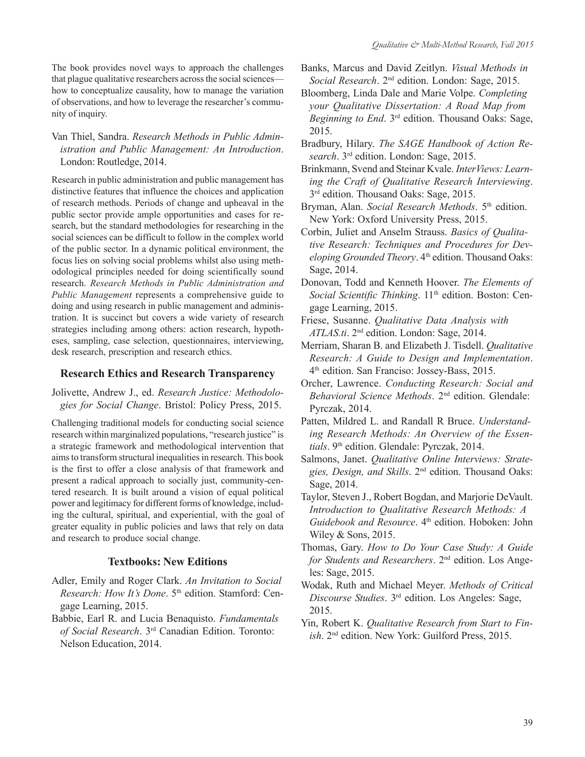The book provides novel ways to approach the challenges that plague qualitative researchers across the social sciences how to conceptualize causality, how to manage the variation of observations, and how to leverage the researcher's community of inquiry.

Van Thiel, Sandra. *Research Methods in Public Administration and Public Management: An Introduction*. London: Routledge, 2014.

Research in public administration and public management has distinctive features that influence the choices and application of research methods. Periods of change and upheaval in the public sector provide ample opportunities and cases for research, but the standard methodologies for researching in the social sciences can be difficult to follow in the complex world of the public sector. In a dynamic political environment, the focus lies on solving social problems whilst also using methodological principles needed for doing scientifically sound research. *Research Methods in Public Administration and Public Management* represents a comprehensive guide to doing and using research in public management and administration. It is succinct but covers a wide variety of research strategies including among others: action research, hypotheses, sampling, case selection, questionnaires, interviewing, desk research, prescription and research ethics.

## **Research Ethics and Research Transparency**

Jolivette, Andrew J., ed. *Research Justice: Methodologies for Social Change*. Bristol: Policy Press, 2015.

Challenging traditional models for conducting social science research within marginalized populations, "research justice" is a strategic framework and methodological intervention that aims to transform structural inequalities in research. This book is the first to offer a close analysis of that framework and present a radical approach to socially just, community-centered research. It is built around a vision of equal political power and legitimacy for different forms of knowledge, including the cultural, spiritual, and experiential, with the goal of greater equality in public policies and laws that rely on data and research to produce social change.

### **Textbooks: New Editions**

- Adler, Emily and Roger Clark. *An Invitation to Social Research: How It's Done.* 5<sup>th</sup> edition. Stamford: Cengage Learning, 2015.
- Babbie, Earl R. and Lucia Benaquisto. *Fundamentals of Social Research*. 3rd Canadian Edition. Toronto: Nelson Education, 2014.
- Banks, Marcus and David Zeitlyn. *Visual Methods in Social Research*. 2nd edition. London: Sage, 2015.
- Bloomberg, Linda Dale and Marie Volpe. *Completing your Qualitative Dissertation: A Road Map from Beginning to End*. 3rd edition. Thousand Oaks: Sage, 2015.
- Bradbury, Hilary. *The SAGE Handbook of Action Research*. 3rd edition. London: Sage, 2015.
- Brinkmann, Svend and Steinar Kvale. *InterViews: Learning the Craft of Qualitative Research Interviewing*. 3<sup>rd</sup> edition. Thousand Oaks: Sage, 2015.
- Bryman, Alan. *Social Research Methods*. 5<sup>th</sup> edition. New York: Oxford University Press, 2015.
- Corbin, Juliet and Anselm Strauss. *Basics of Qualitative Research: Techniques and Procedures for Developing Grounded Theory*. 4th edition. Thousand Oaks: Sage, 2014.
- Donovan, Todd and Kenneth Hoover. *The Elements of Social Scientific Thinking*. 11<sup>th</sup> edition. Boston: Cengage Learning, 2015.
- Friese, Susanne. *Qualitative Data Analysis with ATLAS.ti*. 2nd edition. London: Sage, 2014.
- Merriam, Sharan B. and Elizabeth J. Tisdell. *Qualitative Research: A Guide to Design and Implementation*. 4th edition. San Franciso: Jossey-Bass, 2015.
- Orcher, Lawrence. *Conducting Research: Social and Behavioral Science Methods*. 2nd edition. Glendale: Pyrczak, 2014.
- Patten, Mildred L. and Randall R Bruce. *Understanding Research Methods: An Overview of the Essen*tials. 9<sup>th</sup> edition. Glendale: Pyrczak, 2014.
- Salmons, Janet. *Qualitative Online Interviews: Strategies, Design, and Skills*. 2nd edition. Thousand Oaks: Sage, 2014.
- Taylor, Steven J., Robert Bogdan, and Marjorie DeVault. *Introduction to Qualitative Research Methods: A* Guidebook and Resource. 4<sup>th</sup> edition. Hoboken: John Wiley & Sons, 2015.
- Thomas, Gary. *How to Do Your Case Study: A Guide for Students and Researchers*. 2nd edition. Los Angeles: Sage, 2015.
- Wodak, Ruth and Michael Meyer. *Methods of Critical Discourse Studies*. 3rd edition. Los Angeles: Sage, 2015.
- Yin, Robert K. *Qualitative Research from Start to Finish*. 2nd edition. New York: Guilford Press, 2015.